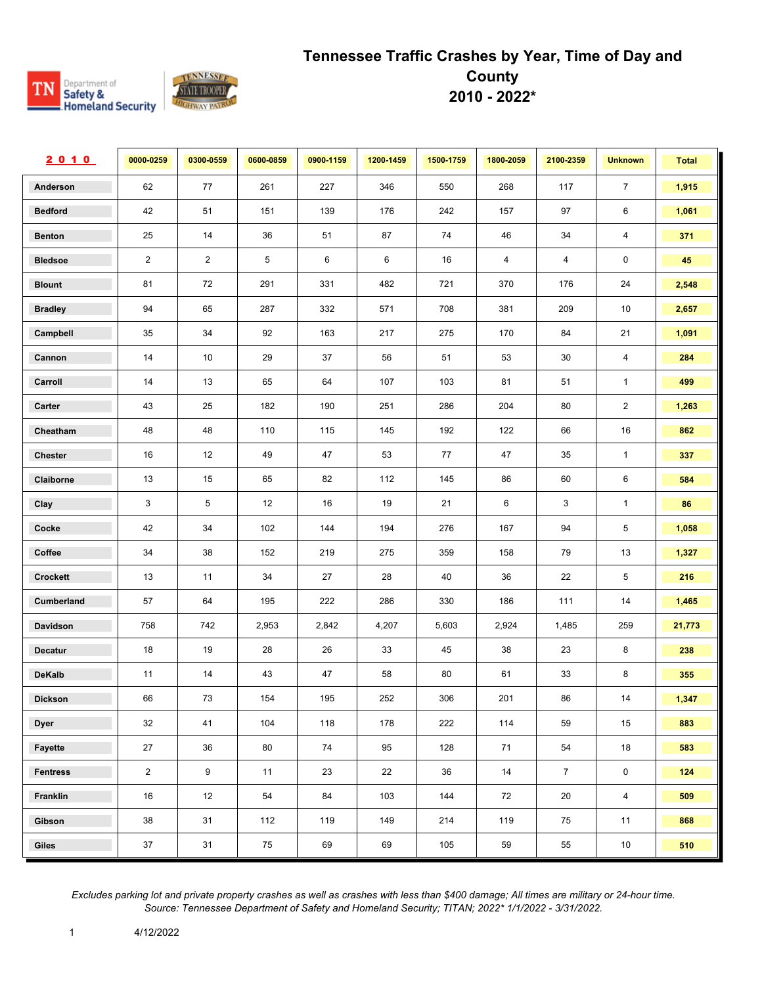#### Department of TN Safety &<br>Rafety &<br>Romeland Security **STATE TROOP GHWAY PA**

#### **Tennessee Traffic Crashes by Year, Time of Day and County 2010 - 2022\***

| 2010              | 0000-0259      | 0300-0559      | 0600-0859 | 0900-1159 | 1200-1459 | 1500-1759 | 1800-2059      | 2100-2359      | <b>Unknown</b>          | <b>Total</b> |
|-------------------|----------------|----------------|-----------|-----------|-----------|-----------|----------------|----------------|-------------------------|--------------|
| Anderson          | 62             | 77             | 261       | 227       | 346       | 550       | 268            | 117            | $\overline{7}$          | 1,915        |
| <b>Bedford</b>    | 42             | 51             | 151       | 139       | 176       | 242       | 157            | 97             | 6                       | 1,061        |
| <b>Benton</b>     | 25             | 14             | 36        | 51        | 87        | 74        | 46             | 34             | $\overline{\mathbf{4}}$ | 371          |
| <b>Bledsoe</b>    | $\overline{2}$ | $\overline{2}$ | 5         | 6         | 6         | 16        | $\overline{4}$ | $\overline{4}$ | $\mathsf 0$             | 45           |
| <b>Blount</b>     | 81             | 72             | 291       | 331       | 482       | 721       | 370            | 176            | 24                      | 2,548        |
| <b>Bradley</b>    | 94             | 65             | 287       | 332       | 571       | 708       | 381            | 209            | 10                      | 2,657        |
| Campbell          | 35             | 34             | 92        | 163       | 217       | 275       | 170            | 84             | 21                      | 1,091        |
| Cannon            | 14             | 10             | 29        | 37        | 56        | 51        | 53             | 30             | 4                       | 284          |
| Carroll           | 14             | 13             | 65        | 64        | 107       | 103       | 81             | 51             | $\mathbf{1}$            | 499          |
| Carter            | 43             | 25             | 182       | 190       | 251       | 286       | 204            | 80             | $\overline{2}$          | 1,263        |
| Cheatham          | 48             | 48             | 110       | 115       | 145       | 192       | 122            | 66             | $16\,$                  | 862          |
| <b>Chester</b>    | 16             | 12             | 49        | 47        | 53        | 77        | 47             | 35             | $\mathbf{1}$            | 337          |
| Claiborne         | 13             | 15             | 65        | 82        | 112       | 145       | 86             | 60             | 6                       | 584          |
| Clay              | 3              | 5              | 12        | 16        | 19        | 21        | 6              | 3              | $\mathbf{1}$            | 86           |
| Cocke             | 42             | 34             | 102       | 144       | 194       | 276       | 167            | 94             | $\overline{5}$          | 1,058        |
| Coffee            | 34             | 38             | 152       | 219       | 275       | 359       | 158            | 79             | 13                      | 1,327        |
| <b>Crockett</b>   | 13             | 11             | 34        | 27        | 28        | 40        | 36             | 22             | 5                       | 216          |
| <b>Cumberland</b> | 57             | 64             | 195       | 222       | 286       | 330       | 186            | 111            | 14                      | 1,465        |
| Davidson          | 758            | 742            | 2,953     | 2,842     | 4,207     | 5,603     | 2,924          | 1,485          | 259                     | 21,773       |
| <b>Decatur</b>    | 18             | 19             | 28        | 26        | 33        | 45        | 38             | 23             | 8                       | 238          |
| DeKalb            | 11             | 14             | 43        | 47        | 58        | 80        | 61             | 33             | 8                       | 355          |
| Dickson           | 66             | 73             | 154       | 195       | 252       | 306       | 201            | 86             | 14                      | 1,347        |
| <b>Dyer</b>       | 32             | 41             | 104       | 118       | 178       | 222       | 114            | 59             | 15                      | 883          |
| Fayette           | 27             | 36             | 80        | 74        | 95        | 128       | 71             | 54             | 18                      | 583          |
| <b>Fentress</b>   | $\overline{2}$ | $9^{\circ}$    | 11        | 23        | 22        | 36        | 14             | $\overline{7}$ | $\mathsf 0$             | 124          |
| Franklin          | 16             | 12             | 54        | 84        | 103       | 144       | 72             | 20             | $\overline{4}$          | 509          |
| Gibson            | 38             | 31             | 112       | 119       | 149       | 214       | 119            | 75             | 11                      | 868          |
| Giles             | 37             | 31             | 75        | 69        | 69        | 105       | 59             | 55             | 10                      | 510          |

*Excludes parking lot and private property crashes as well as crashes with less than \$400 damage; All times are military or 24-hour time. Source: Tennessee Department of Safety and Homeland Security; TITAN; 2022\* 1/1/2022 - 3/31/2022.*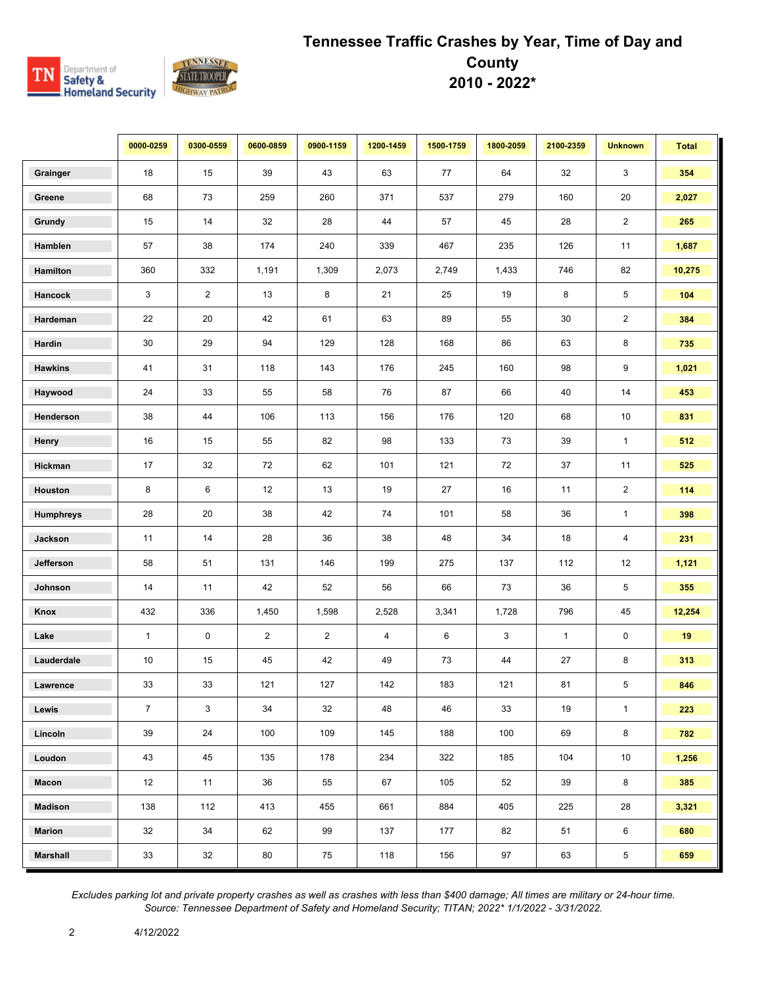

|                  | 0000-0259      | 0300-0559      | 0600-0859      | 0900-1159      | 1200-1459 | 1500-1759 | 1800-2059 | 2100-2359    | <b>Unknown</b> | <b>Total</b> |
|------------------|----------------|----------------|----------------|----------------|-----------|-----------|-----------|--------------|----------------|--------------|
| Grainger         | 18             | 15             | 39             | 43             | 63        | 77        | 64        | 32           | 3              | 354          |
| Greene           | 68             | 73             | 259            | 260            | 371       | 537       | 279       | 160          | 20             | 2,027        |
| Grundy           | 15             | 14             | 32             | 28             | 44        | 57        | 45        | 28           | $\overline{c}$ | 265          |
| Hamblen          | 57             | 38             | 174            | 240            | 339       | 467       | 235       | 126          | 11             | 1,687        |
| Hamilton         | 360            | 332            | 1,191          | 1,309          | 2,073     | 2,749     | 1,433     | 746          | 82             | 10,275       |
| Hancock          | 3              | $\overline{2}$ | 13             | 8              | 21        | 25        | 19        | 8            | $\sqrt{5}$     | 104          |
| Hardeman         | 22             | 20             | 42             | 61             | 63        | 89        | 55        | 30           | $\overline{c}$ | 384          |
| Hardin           | 30             | 29             | 94             | 129            | 128       | 168       | 86        | 63           | 8              | 735          |
| <b>Hawkins</b>   | 41             | 31             | 118            | 143            | 176       | 245       | 160       | 98           | 9              | 1,021        |
| Haywood          | 24             | 33             | 55             | 58             | 76        | 87        | 66        | 40           | 14             | 453          |
| Henderson        | 38             | 44             | 106            | 113            | 156       | 176       | 120       | 68           | 10             | 831          |
| Henry            | 16             | 15             | 55             | 82             | 98        | 133       | 73        | 39           | $\mathbf{1}$   | 512          |
| Hickman          | 17             | 32             | 72             | 62             | 101       | 121       | 72        | 37           | 11             | 525          |
| Houston          | 8              | 6              | 12             | 13             | 19        | $27\,$    | 16        | 11           | $\overline{2}$ | 114          |
| <b>Humphreys</b> | 28             | 20             | 38             | 42             | 74        | 101       | 58        | 36           | $\mathbf{1}$   | 398          |
| Jackson          | 11             | 14             | 28             | 36             | 38        | 48        | 34        | 18           | 4              | 231          |
| Jefferson        | 58             | 51             | 131            | 146            | 199       | 275       | 137       | 112          | 12             | 1,121        |
| Johnson          | 14             | 11             | 42             | 52             | 56        | 66        | 73        | 36           | 5              | 355          |
| Knox             | 432            | 336            | 1,450          | 1,598          | 2,528     | 3,341     | 1,728     | 796          | 45             | 12,254       |
| Lake             | $\mathbf{1}$   | 0              | $\overline{2}$ | $\overline{2}$ | 4         | 6         | 3         | $\mathbf{1}$ | $\pmb{0}$      | 19           |
| Lauderdale       | 10             | 15             | 45             | 42             | 49        | 73        | 44        | 27           | 8              | 313          |
| Lawrence         | 33             | 33             | 121            | 127            | 142       | 183       | 121       | 81           | 5              | 846          |
| Lewis            | $\overline{7}$ | $\mathbf{3}$   | 34             | 32             | 48        | 46        | 33        | 19           | $\mathbf{1}$   | 223          |
| Lincoln          | 39             | 24             | 100            | 109            | 145       | 188       | 100       | 69           | 8              | 782          |
| Loudon           | 43             | 45             | 135            | 178            | 234       | 322       | 185       | 104          | 10             | 1,256        |
| Macon            | 12             | 11             | 36             | 55             | 67        | 105       | 52        | 39           | 8              | 385          |
| Madison          | 138            | 112            | 413            | 455            | 661       | 884       | 405       | 225          | 28             | 3,321        |
| <b>Marion</b>    | 32             | 34             | 62             | 99             | 137       | 177       | 82        | 51           | 6              | 680          |
| <b>Marshall</b>  | 33             | 32             | 80             | 75             | 118       | 156       | 97        | 63           | $\,$ 5 $\,$    | 659          |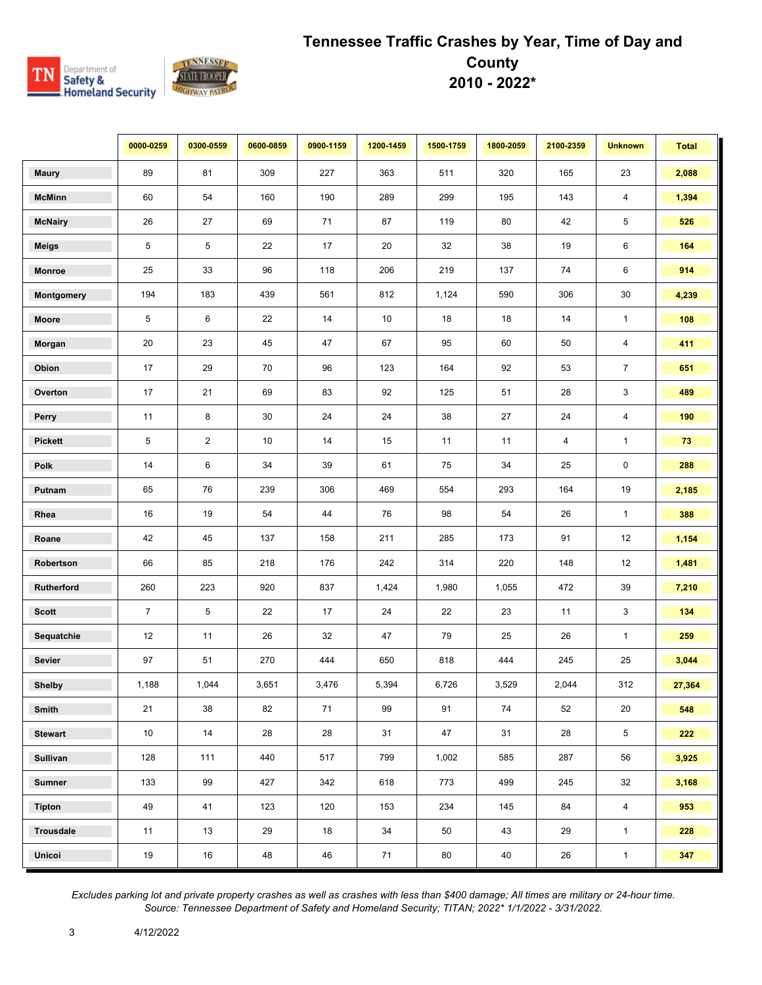

|                  | 0000-0259      | 0300-0559      | 0600-0859 | 0900-1159 | 1200-1459 | 1500-1759 | 1800-2059 | 2100-2359 | <b>Unknown</b>          | <b>Total</b> |
|------------------|----------------|----------------|-----------|-----------|-----------|-----------|-----------|-----------|-------------------------|--------------|
| <b>Maury</b>     | 89             | 81             | 309       | 227       | 363       | 511       | 320       | 165       | 23                      | 2,088        |
| <b>McMinn</b>    | 60             | 54             | 160       | 190       | 289       | 299       | 195       | 143       | 4                       | 1,394        |
| <b>McNairy</b>   | 26             | 27             | 69        | 71        | 87        | 119       | 80        | 42        | 5                       | 526          |
| <b>Meigs</b>     | 5              | 5              | 22        | 17        | 20        | 32        | 38        | 19        | 6                       | 164          |
| Monroe           | 25             | 33             | 96        | 118       | 206       | 219       | 137       | 74        | 6                       | 914          |
| Montgomery       | 194            | 183            | 439       | 561       | 812       | 1,124     | 590       | 306       | $30\,$                  | 4,239        |
| Moore            | 5              | 6              | 22        | 14        | 10        | 18        | 18        | 14        | $\mathbf{1}$            | 108          |
| Morgan           | 20             | 23             | 45        | 47        | 67        | 95        | 60        | 50        | 4                       | 411          |
| Obion            | 17             | 29             | 70        | 96        | 123       | 164       | 92        | 53        | $\overline{7}$          | 651          |
| Overton          | 17             | 21             | 69        | 83        | 92        | 125       | 51        | 28        | 3                       | 489          |
| Perry            | 11             | 8              | 30        | 24        | 24        | 38        | 27        | 24        | $\overline{\mathbf{4}}$ | 190          |
| <b>Pickett</b>   | 5              | $\overline{2}$ | 10        | 14        | 15        | 11        | 11        | 4         | $\mathbf{1}$            | $\bf 73$     |
| Polk             | 14             | 6              | 34        | 39        | 61        | 75        | 34        | 25        | $\pmb{0}$               | 288          |
| Putnam           | 65             | 76             | 239       | 306       | 469       | 554       | 293       | 164       | 19                      | 2,185        |
| Rhea             | 16             | 19             | 54        | 44        | 76        | 98        | 54        | 26        | $\mathbf{1}$            | 388          |
| Roane            | 42             | 45             | 137       | 158       | 211       | 285       | 173       | 91        | 12                      | 1,154        |
| Robertson        | 66             | 85             | 218       | 176       | 242       | 314       | 220       | 148       | 12                      | 1,481        |
| Rutherford       | 260            | 223            | 920       | 837       | 1,424     | 1,980     | 1,055     | 472       | 39                      | 7,210        |
| <b>Scott</b>     | $\overline{7}$ | 5              | 22        | 17        | 24        | 22        | 23        | 11        | 3                       | 134          |
| Sequatchie       | 12             | 11             | 26        | 32        | 47        | 79        | 25        | 26        | $\mathbf{1}$            | 259          |
| Sevier           | 97             | 51             | 270       | 444       | 650       | 818       | 444       | 245       | 25                      | 3,044        |
| Shelby           | 1,188          | 1,044          | 3,651     | 3,476     | 5,394     | 6,726     | 3,529     | 2,044     | 312                     | 27,364       |
| Smith            | 21             | 38             | 82        | 71        | 99        | 91        | 74        | 52        | 20                      | 548          |
| <b>Stewart</b>   | 10             | 14             | 28        | 28        | 31        | 47        | 31        | 28        | 5                       | 222          |
| Sullivan         | 128            | 111            | 440       | 517       | 799       | 1,002     | 585       | 287       | 56                      | 3,925        |
| <b>Sumner</b>    | 133            | 99             | 427       | 342       | 618       | 773       | 499       | 245       | 32                      | 3,168        |
| <b>Tipton</b>    | 49             | 41             | 123       | 120       | 153       | 234       | 145       | 84        | $\overline{4}$          | 953          |
| <b>Trousdale</b> | 11             | 13             | 29        | 18        | 34        | 50        | 43        | 29        | $\mathbf{1}$            | 228          |
| Unicoi           | 19             | $16\,$         | 48        | 46        | 71        | 80        | 40        | 26        | $\mathbf{1}$            | 347          |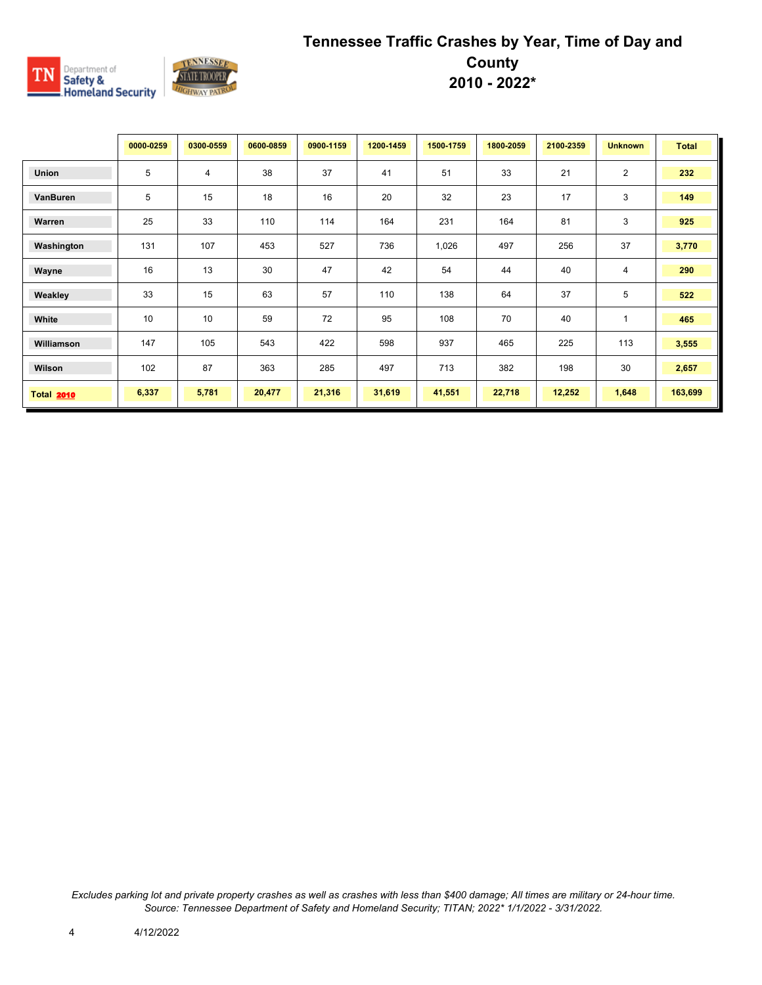

|                   | 0000-0259 | 0300-0559 | 0600-0859 | 0900-1159 | 1200-1459 | 1500-1759 | 1800-2059 | 2100-2359 | <b>Unknown</b> | <b>Total</b> |
|-------------------|-----------|-----------|-----------|-----------|-----------|-----------|-----------|-----------|----------------|--------------|
| <b>Union</b>      | 5         | 4         | 38        | 37        | 41        | 51        | 33        | 21        | 2              | 232          |
| VanBuren          | 5         | 15        | 18        | 16        | 20        | 32        | 23        | 17        | 3              | 149          |
| Warren            | 25        | 33        | 110       | 114       | 164       | 231       | 164       | 81        | 3              | 925          |
| Washington        | 131       | 107       | 453       | 527       | 736       | 1,026     | 497       | 256       | 37             | 3,770        |
| Wayne             | 16        | 13        | 30        | 47        | 42        | 54        | 44        | 40        | $\overline{4}$ | 290          |
| Weakley           | 33        | 15        | 63        | 57        | 110       | 138       | 64        | 37        | 5              | 522          |
| White             | 10        | 10        | 59        | 72        | 95        | 108       | 70        | 40        | $\mathbf{1}$   | 465          |
| Williamson        | 147       | 105       | 543       | 422       | 598       | 937       | 465       | 225       | 113            | 3,555        |
| Wilson            | 102       | 87        | 363       | 285       | 497       | 713       | 382       | 198       | 30             | 2,657        |
| <b>Total 2010</b> | 6,337     | 5,781     | 20,477    | 21,316    | 31,619    | 41,551    | 22,718    | 12,252    | 1,648          | 163,699      |

*Excludes parking lot and private property crashes as well as crashes with less than \$400 damage; All times are military or 24-hour time. Source: Tennessee Department of Safety and Homeland Security; TITAN; 2022\* 1/1/2022 - 3/31/2022.*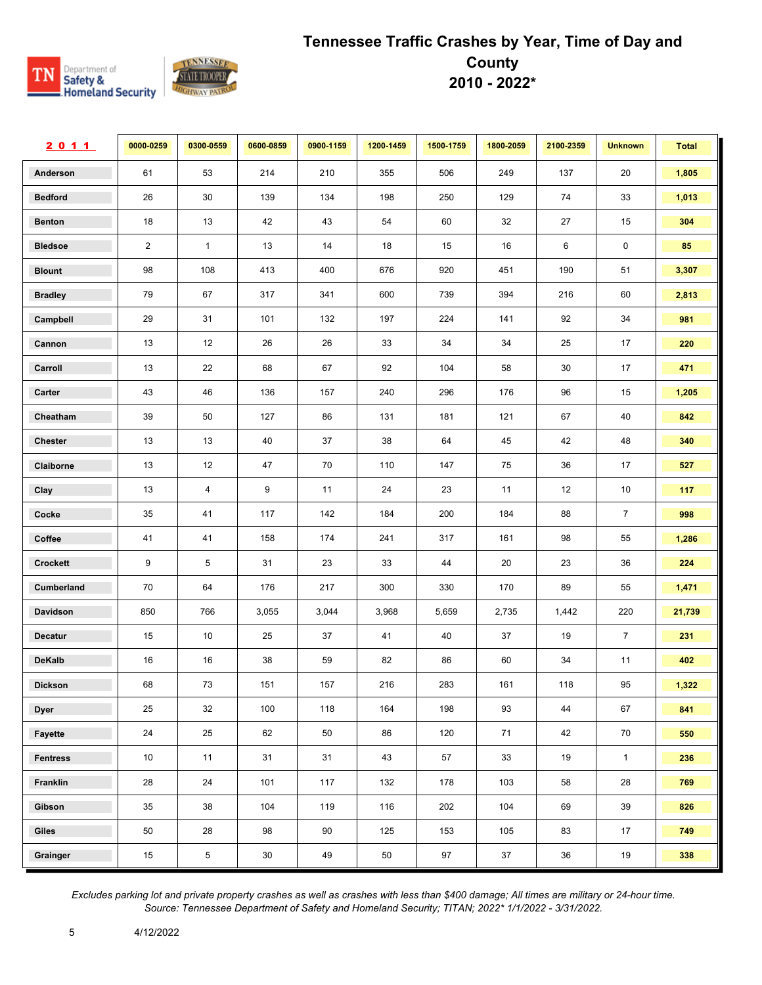

| 2011            | 0000-0259      | 0300-0559      | 0600-0859 | 0900-1159 | 1200-1459 | 1500-1759 | 1800-2059 | 2100-2359 | <b>Unknown</b> | <b>Total</b> |
|-----------------|----------------|----------------|-----------|-----------|-----------|-----------|-----------|-----------|----------------|--------------|
| Anderson        | 61             | 53             | 214       | 210       | 355       | 506       | 249       | 137       | 20             | 1,805        |
| <b>Bedford</b>  | 26             | 30             | 139       | 134       | 198       | 250       | 129       | 74        | 33             | 1,013        |
| <b>Benton</b>   | 18             | 13             | 42        | 43        | 54        | 60        | 32        | 27        | 15             | 304          |
| <b>Bledsoe</b>  | $\overline{2}$ | $\mathbf{1}$   | 13        | 14        | 18        | 15        | 16        | 6         | $\mathbf 0$    | 85           |
| <b>Blount</b>   | 98             | 108            | 413       | 400       | 676       | 920       | 451       | 190       | 51             | 3,307        |
| <b>Bradley</b>  | 79             | 67             | 317       | 341       | 600       | 739       | 394       | 216       | 60             | 2,813        |
| Campbell        | 29             | 31             | 101       | 132       | 197       | 224       | 141       | 92        | 34             | 981          |
| Cannon          | 13             | 12             | 26        | 26        | 33        | 34        | 34        | 25        | 17             | 220          |
| Carroll         | 13             | 22             | 68        | 67        | 92        | 104       | 58        | 30        | 17             | 471          |
| Carter          | 43             | 46             | 136       | 157       | 240       | 296       | 176       | 96        | 15             | 1,205        |
| Cheatham        | 39             | 50             | 127       | 86        | 131       | 181       | 121       | 67        | 40             | 842          |
| <b>Chester</b>  | 13             | 13             | 40        | 37        | 38        | 64        | 45        | 42        | 48             | 340          |
| Claiborne       | 13             | 12             | 47        | 70        | 110       | 147       | 75        | 36        | 17             | 527          |
| Clay            | 13             | 4              | 9         | 11        | 24        | 23        | 11        | 12        | 10             | 117          |
| Cocke           | 35             | 41             | 117       | 142       | 184       | 200       | 184       | 88        | $\overline{7}$ | 998          |
| Coffee          | 41             | 41             | 158       | 174       | 241       | 317       | 161       | 98        | 55             | 1,286        |
| Crockett        | 9              | 5              | 31        | 23        | 33        | 44        | 20        | 23        | 36             | 224          |
| Cumberland      | 70             | 64             | 176       | 217       | 300       | 330       | 170       | 89        | 55             | 1,471        |
| Davidson        | 850            | 766            | 3,055     | 3,044     | 3,968     | 5,659     | 2,735     | 1,442     | 220            | 21,739       |
| <b>Decatur</b>  | 15             | 10             | 25        | 37        | 41        | 40        | 37        | 19        | $\overline{7}$ | 231          |
| <b>DeKalb</b>   | 16             | 16             | 38        | 59        | 82        | 86        | 60        | 34        | 11             | 402          |
| <b>Dickson</b>  | 68             | 73             | 151       | 157       | 216       | 283       | 161       | 118       | 95             | 1,322        |
| <b>Dyer</b>     | 25             | 32             | 100       | 118       | 164       | 198       | 93        | 44        | 67             | 841          |
| Fayette         | 24             | 25             | 62        | 50        | 86        | 120       | 71        | 42        | 70             | 550          |
| <b>Fentress</b> | 10             | 11             | 31        | 31        | 43        | 57        | 33        | 19        | $\mathbf{1}$   | 236          |
| Franklin        | 28             | 24             | 101       | 117       | 132       | 178       | 103       | 58        | 28             | 769          |
| Gibson          | 35             | 38             | 104       | 119       | 116       | 202       | 104       | 69        | 39             | 826          |
| Giles           | 50             | 28             | 98        | 90        | 125       | 153       | 105       | 83        | 17             | 749          |
| Grainger        | 15             | $\overline{5}$ | $30\,$    | 49        | 50        | 97        | 37        | 36        | 19             | 338          |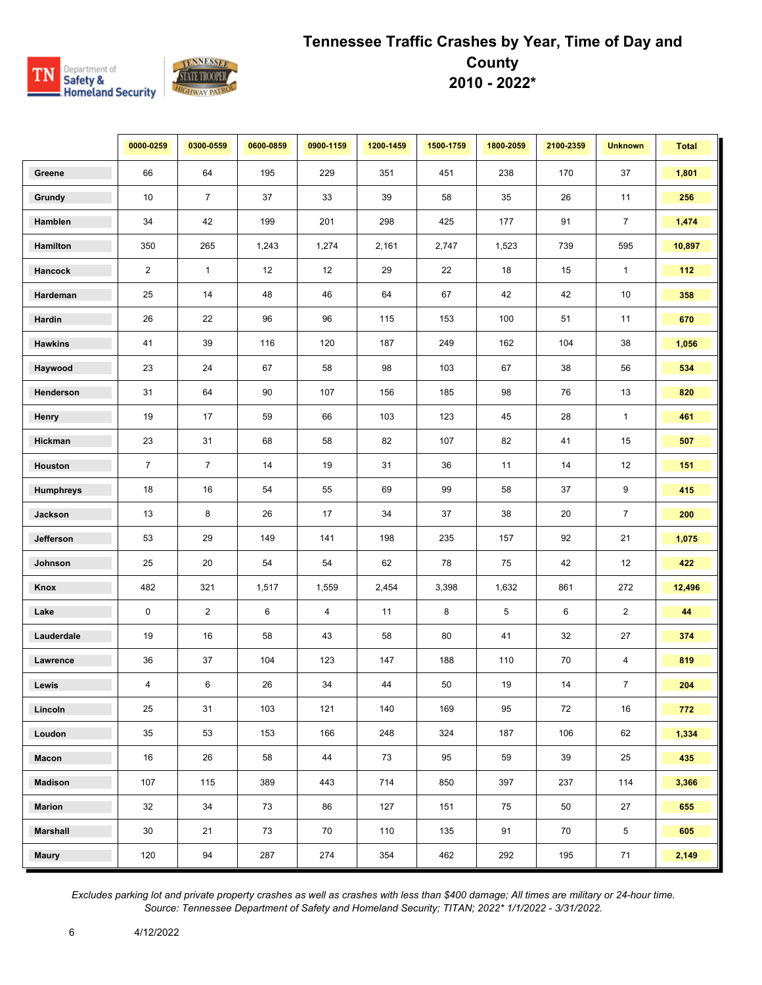

|                  | 0000-0259      | 0300-0559      | 0600-0859 | 0900-1159      | 1200-1459 | 1500-1759 | 1800-2059 | 2100-2359 | <b>Unknown</b> | <b>Total</b> |
|------------------|----------------|----------------|-----------|----------------|-----------|-----------|-----------|-----------|----------------|--------------|
| Greene           | 66             | 64             | 195       | 229            | 351       | 451       | 238       | 170       | 37             | 1,801        |
| Grundy           | 10             | $\overline{7}$ | 37        | 33             | 39        | 58        | 35        | 26        | 11             | 256          |
| Hamblen          | 34             | 42             | 199       | 201            | 298       | 425       | 177       | 91        | $\overline{7}$ | 1,474        |
| Hamilton         | 350            | 265            | 1,243     | 1,274          | 2,161     | 2,747     | 1,523     | 739       | 595            | 10,897       |
| Hancock          | 2              | $\mathbf{1}$   | 12        | 12             | 29        | 22        | 18        | 15        | $\mathbf{1}$   | 112          |
| Hardeman         | 25             | 14             | 48        | 46             | 64        | 67        | 42        | 42        | 10             | 358          |
| Hardin           | 26             | 22             | 96        | 96             | 115       | 153       | 100       | 51        | 11             | 670          |
| <b>Hawkins</b>   | 41             | 39             | 116       | 120            | 187       | 249       | 162       | 104       | 38             | 1,056        |
| Haywood          | 23             | 24             | 67        | 58             | 98        | 103       | 67        | 38        | 56             | 534          |
| Henderson        | 31             | 64             | 90        | 107            | 156       | 185       | 98        | 76        | 13             | 820          |
| Henry            | 19             | 17             | 59        | 66             | 103       | 123       | 45        | 28        | $\mathbf{1}$   | 461          |
| Hickman          | 23             | 31             | 68        | 58             | 82        | 107       | 82        | 41        | 15             | 507          |
| Houston          | $\overline{7}$ | $\overline{7}$ | 14        | 19             | 31        | 36        | 11        | 14        | 12             | 151          |
| <b>Humphreys</b> | 18             | 16             | 54        | 55             | 69        | 99        | 58        | 37        | 9              | 415          |
| Jackson          | 13             | 8              | 26        | 17             | 34        | 37        | 38        | 20        | $\overline{7}$ | 200          |
| Jefferson        | 53             | 29             | 149       | 141            | 198       | 235       | 157       | 92        | 21             | 1,075        |
| Johnson          | 25             | 20             | 54        | 54             | 62        | 78        | 75        | 42        | 12             | 422          |
| Knox             | 482            | 321            | 1,517     | 1,559          | 2,454     | 3,398     | 1,632     | 861       | 272            | 12,496       |
| Lake             | 0              | $\overline{2}$ | 6         | $\overline{4}$ | 11        | 8         | 5         | 6         | $\overline{2}$ | 44           |
| Lauderdale       | 19             | 16             | 58        | 43             | 58        | 80        | 41        | 32        | 27             | 374          |
| Lawrence         | 36             | 37             | 104       | 123            | 147       | 188       | 110       | 70        | 4              | 819          |
| Lewis            | 4              | 6              | 26        | 34             | 44        | 50        | 19        | 14        | $\overline{7}$ | 204          |
| Lincoln          | 25             | 31             | 103       | 121            | 140       | 169       | 95        | 72        | 16             | 772          |
| Loudon           | 35             | 53             | 153       | 166            | 248       | 324       | 187       | 106       | 62             | 1,334        |
| Macon            | 16             | 26             | 58        | 44             | 73        | 95        | 59        | 39        | 25             | 435          |
| <b>Madison</b>   | 107            | 115            | 389       | 443            | 714       | 850       | 397       | 237       | 114            | 3,366        |
| <b>Marion</b>    | 32             | 34             | 73        | 86             | 127       | 151       | 75        | 50        | 27             | 655          |
| <b>Marshall</b>  | 30             | 21             | 73        | 70             | 110       | 135       | 91        | 70        | 5              | 605          |
| <b>Maury</b>     | 120            | 94             | 287       | 274            | 354       | 462       | 292       | 195       | 71             | 2,149        |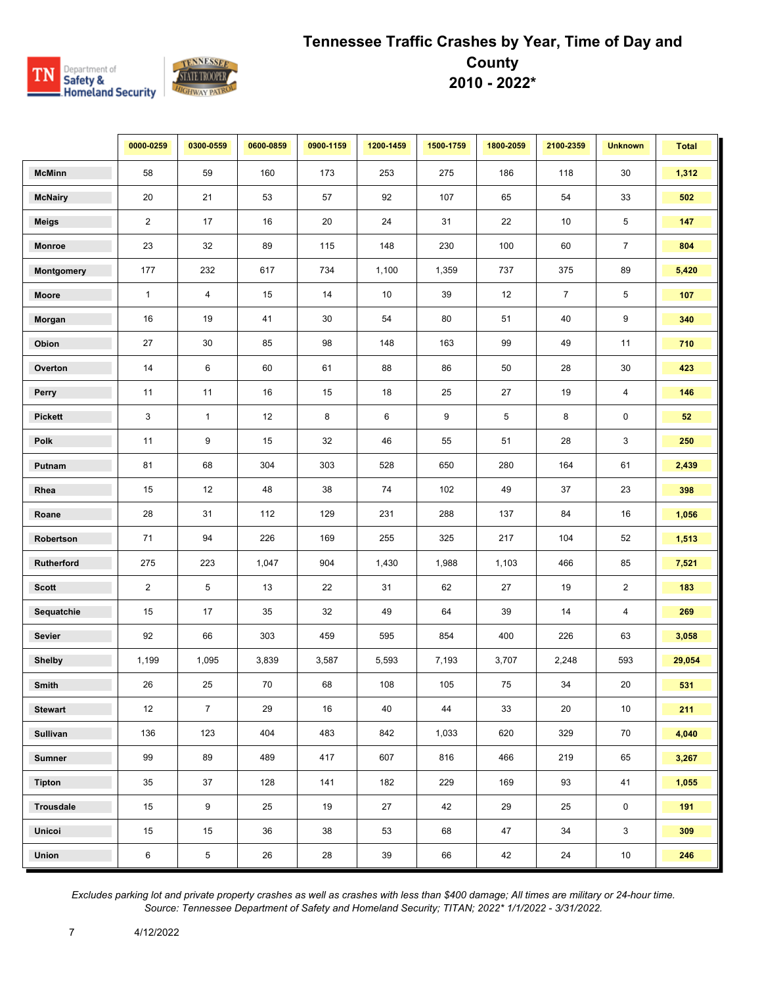

|                  | 0000-0259      | 0300-0559       | 0600-0859 | 0900-1159 | 1200-1459 | 1500-1759 | 1800-2059 | 2100-2359      | <b>Unknown</b> | <b>Total</b> |
|------------------|----------------|-----------------|-----------|-----------|-----------|-----------|-----------|----------------|----------------|--------------|
| <b>McMinn</b>    | 58             | 59              | 160       | 173       | 253       | 275       | 186       | 118            | 30             | 1,312        |
| <b>McNairy</b>   | 20             | 21              | 53        | 57        | 92        | 107       | 65        | 54             | 33             | 502          |
| <b>Meigs</b>     | $\overline{2}$ | 17              | 16        | 20        | 24        | 31        | 22        | 10             | 5              | 147          |
| <b>Monroe</b>    | 23             | 32              | 89        | 115       | 148       | 230       | 100       | 60             | $\overline{7}$ | 804          |
| Montgomery       | 177            | 232             | 617       | 734       | 1,100     | 1,359     | 737       | 375            | 89             | 5,420        |
| Moore            | $\mathbf{1}$   | $\overline{4}$  | 15        | 14        | 10        | 39        | 12        | $\overline{7}$ | 5              | 107          |
| Morgan           | 16             | 19              | 41        | 30        | 54        | 80        | 51        | 40             | 9              | 340          |
| Obion            | 27             | 30              | 85        | 98        | 148       | 163       | 99        | 49             | 11             | 710          |
| Overton          | 14             | 6               | 60        | 61        | 88        | 86        | 50        | 28             | $30\,$         | 423          |
| Perry            | 11             | 11              | 16        | 15        | 18        | 25        | 27        | 19             | 4              | 146          |
| <b>Pickett</b>   | 3              | $\mathbf{1}$    | 12        | 8         | 6         | 9         | 5         | 8              | $\pmb{0}$      | 52           |
| Polk             | 11             | 9               | 15        | 32        | 46        | 55        | 51        | 28             | 3              | 250          |
| Putnam           | 81             | 68              | 304       | 303       | 528       | 650       | 280       | 164            | 61             | 2,439        |
| Rhea             | 15             | 12              | 48        | 38        | 74        | 102       | 49        | 37             | 23             | 398          |
| Roane            | 28             | 31              | 112       | 129       | 231       | 288       | 137       | 84             | 16             | 1,056        |
| Robertson        | 71             | 94              | 226       | 169       | 255       | 325       | 217       | 104            | 52             | 1,513        |
| Rutherford       | 275            | 223             | 1,047     | 904       | 1,430     | 1,988     | 1,103     | 466            | 85             | 7,521        |
| <b>Scott</b>     | $\overline{2}$ | $5\phantom{.0}$ | 13        | 22        | 31        | 62        | 27        | 19             | $\overline{2}$ | 183          |
| Sequatchie       | 15             | 17              | 35        | 32        | 49        | 64        | 39        | 14             | 4              | 269          |
| Sevier           | 92             | 66              | 303       | 459       | 595       | 854       | 400       | 226            | 63             | 3,058        |
| <b>Shelby</b>    | 1,199          | 1,095           | 3,839     | 3,587     | 5,593     | 7,193     | 3,707     | 2,248          | 593            | 29,054       |
| Smith            | 26             | 25              | 70        | 68        | 108       | 105       | 75        | 34             | 20             | 531          |
| <b>Stewart</b>   | 12             | $\overline{7}$  | 29        | 16        | 40        | 44        | 33        | 20             | 10             | 211          |
| <b>Sullivan</b>  | 136            | 123             | 404       | 483       | 842       | 1,033     | 620       | 329            | 70             | 4,040        |
| <b>Sumner</b>    | 99             | 89              | 489       | 417       | 607       | 816       | 466       | 219            | 65             | 3,267        |
| <b>Tipton</b>    | 35             | 37              | 128       | 141       | 182       | 229       | 169       | 93             | 41             | 1,055        |
| <b>Trousdale</b> | 15             | 9               | 25        | 19        | 27        | 42        | 29        | 25             | $\mathbf 0$    | 191          |
| Unicoi           | 15             | 15              | 36        | 38        | 53        | 68        | 47        | 34             | 3              | 309          |
| Union            | 6              | $\overline{5}$  | 26        | 28        | 39        | 66        | 42        | 24             | 10             | 246          |

*Excludes parking lot and private property crashes as well as crashes with less than \$400 damage; All times are military or 24-hour time. Source: Tennessee Department of Safety and Homeland Security; TITAN; 2022\* 1/1/2022 - 3/31/2022.*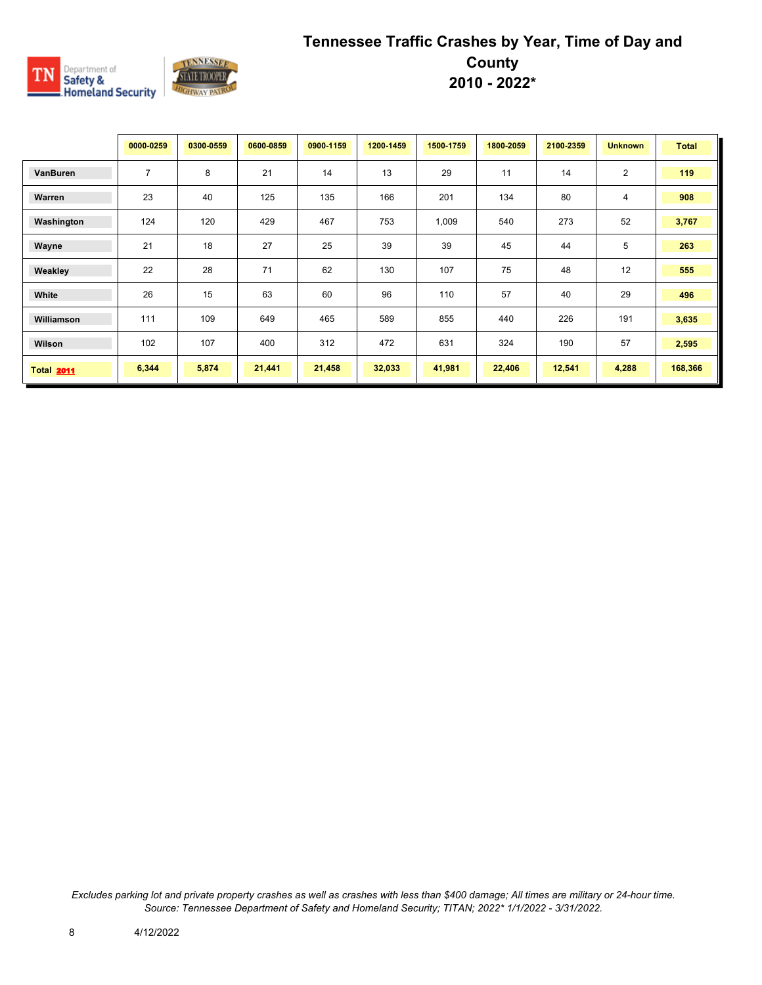

|                   | 0000-0259      | 0300-0559 | 0600-0859 | 0900-1159 | 1200-1459 | 1500-1759 | 1800-2059 | 2100-2359 | <b>Unknown</b> | <b>Total</b> |
|-------------------|----------------|-----------|-----------|-----------|-----------|-----------|-----------|-----------|----------------|--------------|
| VanBuren          | $\overline{7}$ | 8         | 21        | 14        | 13        | 29        | 11        | 14        | $\overline{2}$ | 119          |
| Warren            | 23             | 40        | 125       | 135       | 166       | 201       | 134       | 80        | 4              | 908          |
| Washington        | 124            | 120       | 429       | 467       | 753       | 1,009     | 540       | 273       | 52             | 3,767        |
| Wayne             | 21             | 18        | 27        | 25        | 39        | 39        | 45        | 44        | 5              | 263          |
| Weakley           | 22             | 28        | 71        | 62        | 130       | 107       | 75        | 48        | 12             | 555          |
| White             | 26             | 15        | 63        | 60        | 96        | 110       | 57        | 40        | 29             | 496          |
| Williamson        | 111            | 109       | 649       | 465       | 589       | 855       | 440       | 226       | 191            | 3,635        |
| Wilson            | 102            | 107       | 400       | 312       | 472       | 631       | 324       | 190       | 57             | 2,595        |
| <b>Total 2011</b> | 6,344          | 5,874     | 21,441    | 21,458    | 32,033    | 41,981    | 22,406    | 12,541    | 4,288          | 168,366      |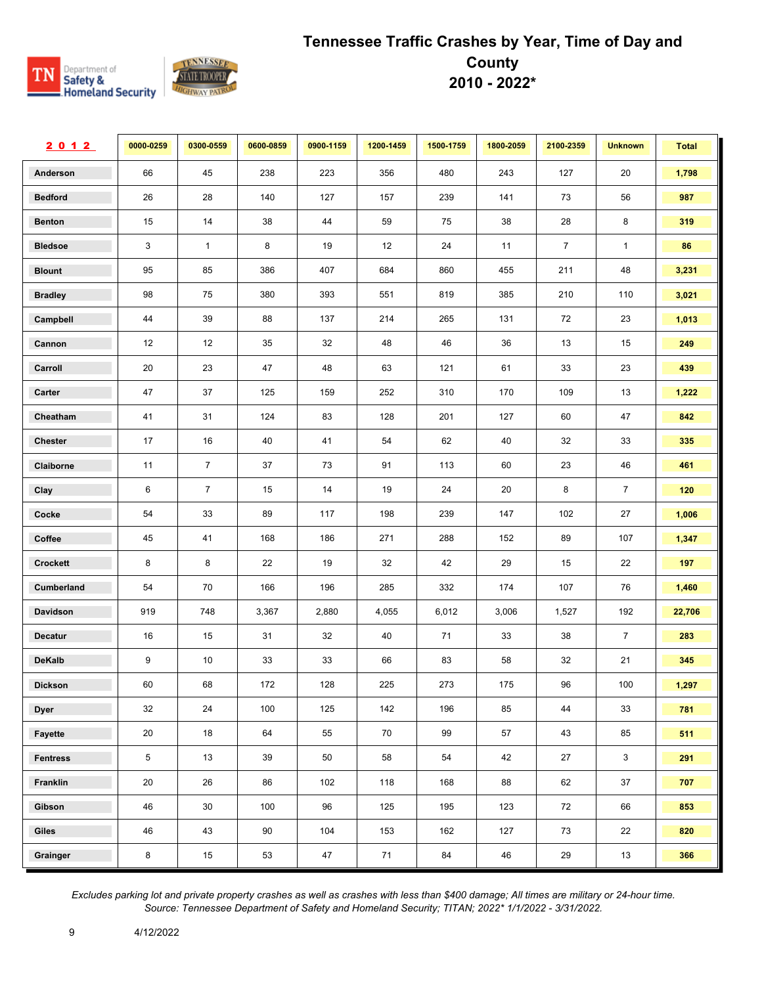

| 2012            | 0000-0259    | 0300-0559      | 0600-0859 | 0900-1159 | 1200-1459 | 1500-1759 | 1800-2059 | 2100-2359      | <b>Unknown</b> | <b>Total</b> |
|-----------------|--------------|----------------|-----------|-----------|-----------|-----------|-----------|----------------|----------------|--------------|
| Anderson        | 66           | 45             | 238       | 223       | 356       | 480       | 243       | 127            | 20             | 1,798        |
| <b>Bedford</b>  | 26           | 28             | 140       | 127       | 157       | 239       | 141       | 73             | 56             | 987          |
| <b>Benton</b>   | 15           | $14\,$         | 38        | 44        | 59        | 75        | 38        | 28             | 8              | 319          |
| <b>Bledsoe</b>  | $\mathbf{3}$ | $\mathbf{1}$   | 8         | 19        | 12        | 24        | 11        | $\overline{7}$ | $\mathbf{1}$   | ${\bf 86}$   |
| <b>Blount</b>   | 95           | 85             | 386       | 407       | 684       | 860       | 455       | 211            | 48             | 3,231        |
| <b>Bradley</b>  | 98           | 75             | 380       | 393       | 551       | 819       | 385       | 210            | 110            | 3,021        |
| Campbell        | 44           | 39             | 88        | 137       | 214       | 265       | 131       | 72             | 23             | 1,013        |
| Cannon          | 12           | 12             | 35        | 32        | 48        | 46        | 36        | 13             | 15             | 249          |
| Carroll         | 20           | 23             | 47        | 48        | 63        | 121       | 61        | 33             | 23             | 439          |
| Carter          | 47           | 37             | 125       | 159       | 252       | 310       | 170       | 109            | 13             | 1,222        |
| Cheatham        | 41           | 31             | 124       | 83        | 128       | 201       | 127       | 60             | 47             | 842          |
| Chester         | 17           | 16             | 40        | 41        | 54        | 62        | 40        | 32             | 33             | 335          |
| Claiborne       | 11           | $\overline{7}$ | 37        | 73        | 91        | 113       | 60        | 23             | 46             | 461          |
| Clay            | 6            | $\overline{7}$ | 15        | 14        | 19        | 24        | 20        | 8              | $\overline{7}$ | 120          |
| Cocke           | 54           | 33             | 89        | 117       | 198       | 239       | 147       | 102            | 27             | 1,006        |
| Coffee          | 45           | 41             | 168       | 186       | 271       | 288       | 152       | 89             | 107            | 1,347        |
| Crockett        | 8            | 8              | 22        | 19        | 32        | 42        | 29        | 15             | 22             | 197          |
| Cumberland      | 54           | 70             | 166       | 196       | 285       | 332       | 174       | 107            | 76             | 1,460        |
| Davidson        | 919          | 748            | 3,367     | 2,880     | 4,055     | 6,012     | 3,006     | 1,527          | 192            | 22,706       |
| Decatur         | 16           | 15             | 31        | 32        | 40        | 71        | 33        | 38             | $\overline{7}$ | 283          |
| <b>DeKalb</b>   | 9            | 10             | 33        | 33        | 66        | 83        | 58        | 32             | 21             | 345          |
| <b>Dickson</b>  | 60           | 68             | 172       | 128       | 225       | 273       | 175       | 96             | 100            | 1,297        |
| <b>Dyer</b>     | 32           | 24             | 100       | 125       | 142       | 196       | 85        | 44             | 33             | 781          |
| Fayette         | 20           | 18             | 64        | 55        | 70        | 99        | 57        | 43             | 85             | 511          |
| <b>Fentress</b> | $\sqrt{5}$   | 13             | 39        | 50        | 58        | 54        | 42        | 27             | $\mathbf{3}$   | 291          |
| Franklin        | 20           | 26             | 86        | 102       | 118       | 168       | 88        | 62             | 37             | 707          |
| Gibson          | 46           | 30             | 100       | 96        | 125       | 195       | 123       | 72             | 66             | 853          |
| Giles           | 46           | 43             | 90        | 104       | 153       | 162       | 127       | 73             | 22             | 820          |
| Grainger        | $\bf 8$      | 15             | 53        | 47        | 71        | 84        | 46        | 29             | 13             | 366          |

*Excludes parking lot and private property crashes as well as crashes with less than \$400 damage; All times are military or 24-hour time. Source: Tennessee Department of Safety and Homeland Security; TITAN; 2022\* 1/1/2022 - 3/31/2022.*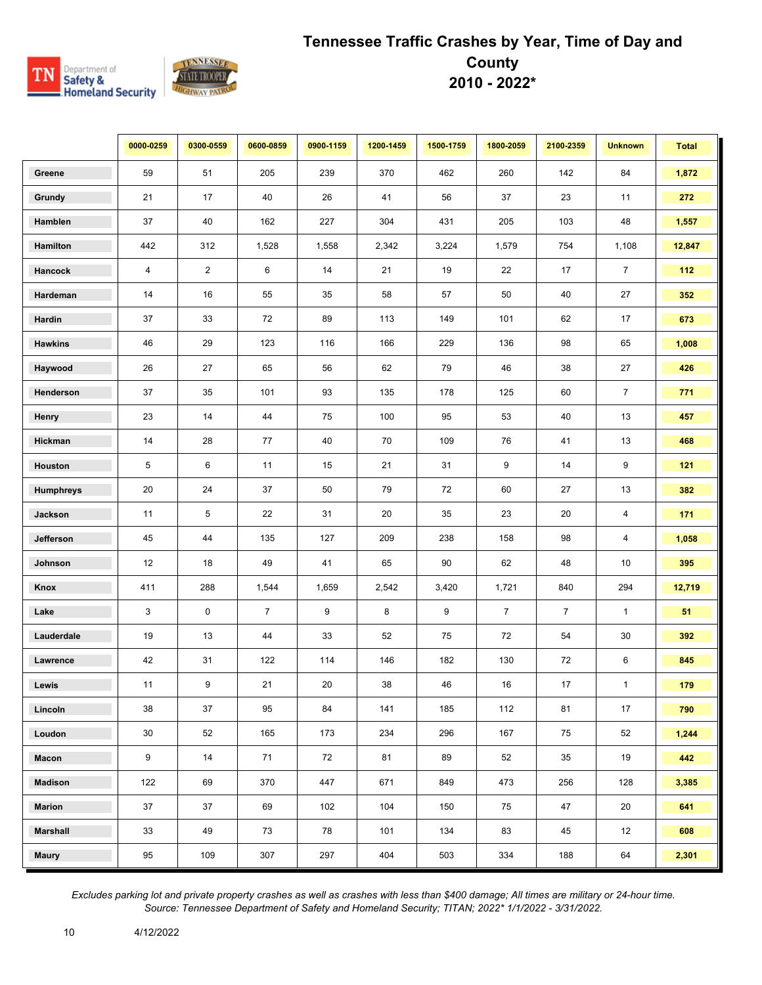

|                  | 0000-0259 | 0300-0559      | 0600-0859      | 0900-1159 | 1200-1459 | 1500-1759        | 1800-2059      | 2100-2359      | <b>Unknown</b> | <b>Total</b> |
|------------------|-----------|----------------|----------------|-----------|-----------|------------------|----------------|----------------|----------------|--------------|
| Greene           | 59        | 51             | 205            | 239       | 370       | 462              | 260            | 142            | 84             | 1,872        |
| Grundy           | 21        | 17             | 40             | 26        | 41        | 56               | 37             | 23             | 11             | 272          |
| Hamblen          | 37        | 40             | 162            | 227       | 304       | 431              | 205            | 103            | 48             | 1,557        |
| Hamilton         | 442       | 312            | 1,528          | 1,558     | 2,342     | 3,224            | 1,579          | 754            | 1,108          | 12,847       |
| Hancock          | 4         | $\overline{2}$ | 6              | 14        | 21        | 19               | 22             | 17             | $\overline{7}$ | 112          |
| Hardeman         | 14        | 16             | 55             | 35        | 58        | 57               | 50             | 40             | 27             | 352          |
| Hardin           | 37        | 33             | 72             | 89        | 113       | 149              | 101            | 62             | 17             | 673          |
| <b>Hawkins</b>   | 46        | 29             | 123            | 116       | 166       | 229              | 136            | 98             | 65             | 1,008        |
| Haywood          | 26        | 27             | 65             | 56        | 62        | 79               | 46             | 38             | 27             | 426          |
| Henderson        | 37        | 35             | 101            | 93        | 135       | 178              | 125            | 60             | $\overline{7}$ | 771          |
| Henry            | 23        | 14             | 44             | 75        | 100       | 95               | 53             | 40             | 13             | 457          |
| Hickman          | 14        | 28             | 77             | 40        | 70        | 109              | 76             | 41             | 13             | 468          |
| Houston          | 5         | 6              | 11             | 15        | 21        | 31               | 9              | 14             | 9              | 121          |
| <b>Humphreys</b> | 20        | 24             | 37             | 50        | 79        | 72               | 60             | 27             | 13             | 382          |
| Jackson          | 11        | 5              | $22\,$         | 31        | 20        | 35               | 23             | 20             | 4              | 171          |
| Jefferson        | 45        | 44             | 135            | 127       | 209       | 238              | 158            | 98             | 4              | 1,058        |
| Johnson          | 12        | 18             | 49             | 41        | 65        | 90               | 62             | 48             | 10             | 395          |
| Knox             | 411       | 288            | 1,544          | 1,659     | 2,542     | 3,420            | 1,721          | 840            | 294            | 12,719       |
| Lake             | 3         | 0              | $\overline{7}$ | 9         | 8         | $\boldsymbol{9}$ | $\overline{7}$ | $\overline{7}$ | $\mathbf{1}$   | 51           |
| Lauderdale       | 19        | 13             | 44             | 33        | 52        | 75               | 72             | 54             | 30             | 392          |
| Lawrence         | 42        | 31             | 122            | 114       | 146       | 182              | 130            | 72             | 6              | 845          |
| Lewis            | 11        | 9              | 21             | 20        | 38        | 46               | 16             | 17             | 1              | 179          |
| Lincoln          | 38        | 37             | 95             | 84        | 141       | 185              | 112            | 81             | 17             | 790          |
| Loudon           | 30        | 52             | 165            | 173       | 234       | 296              | 167            | 75             | 52             | 1,244        |
| Macon            | 9         | 14             | 71             | 72        | 81        | 89               | 52             | 35             | 19             | 442          |
| <b>Madison</b>   | 122       | 69             | 370            | 447       | 671       | 849              | 473            | 256            | 128            | 3,385        |
| <b>Marion</b>    | 37        | 37             | 69             | 102       | 104       | 150              | 75             | 47             | 20             | 641          |
| <b>Marshall</b>  | 33        | 49             | 73             | 78        | 101       | 134              | 83             | 45             | 12             | 608          |
| <b>Maury</b>     | 95        | 109            | 307            | 297       | 404       | 503              | 334            | 188            | 64             | 2,301        |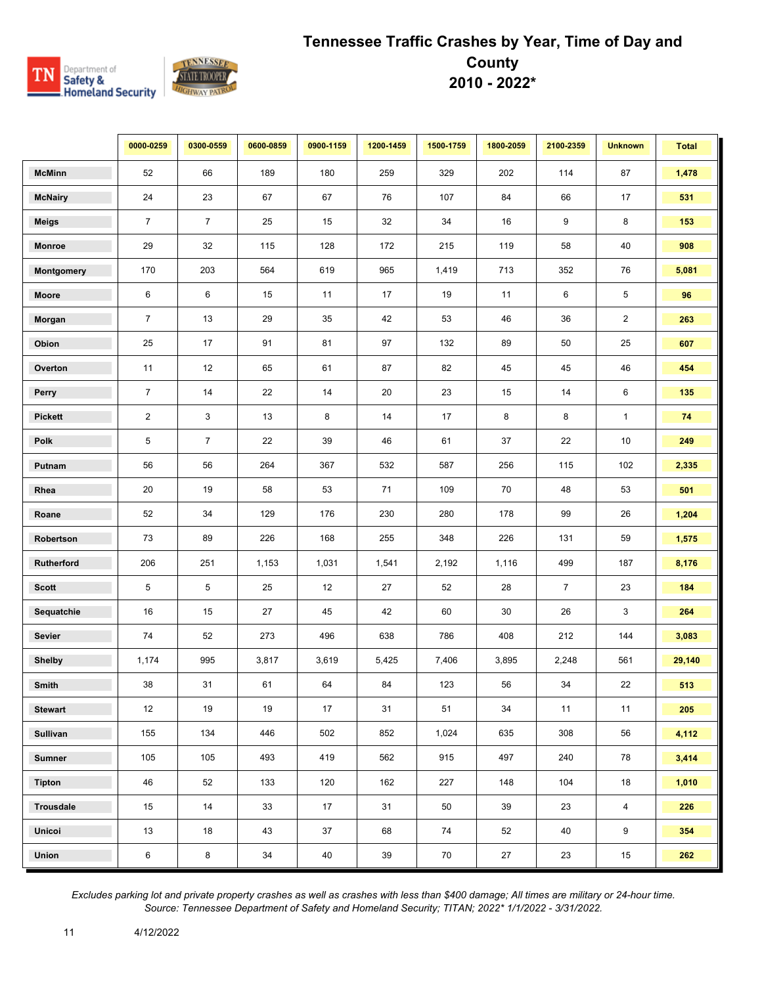

|                  | 0000-0259      | 0300-0559      | 0600-0859 | 0900-1159 | 1200-1459 | 1500-1759 | 1800-2059 | 2100-2359      | <b>Unknown</b> | <b>Total</b> |
|------------------|----------------|----------------|-----------|-----------|-----------|-----------|-----------|----------------|----------------|--------------|
| <b>McMinn</b>    | 52             | 66             | 189       | 180       | 259       | 329       | 202       | 114            | 87             | 1,478        |
| <b>McNairy</b>   | 24             | 23             | 67        | 67        | 76        | 107       | 84        | 66             | 17             | 531          |
| <b>Meigs</b>     | $\overline{7}$ | $\overline{7}$ | 25        | 15        | 32        | 34        | 16        | 9              | 8              | 153          |
| <b>Monroe</b>    | 29             | 32             | 115       | 128       | 172       | 215       | 119       | 58             | 40             | 908          |
| Montgomery       | 170            | 203            | 564       | 619       | 965       | 1,419     | 713       | 352            | 76             | 5,081        |
| Moore            | 6              | 6              | 15        | 11        | 17        | 19        | 11        | 6              | 5              | 96           |
| Morgan           | $\overline{7}$ | 13             | 29        | 35        | 42        | 53        | 46        | 36             | $\overline{2}$ | 263          |
| Obion            | 25             | 17             | 91        | 81        | 97        | 132       | 89        | 50             | 25             | 607          |
| Overton          | 11             | 12             | 65        | 61        | 87        | 82        | 45        | 45             | 46             | 454          |
| Perry            | $\overline{7}$ | 14             | 22        | 14        | 20        | 23        | 15        | 14             | 6              | 135          |
| <b>Pickett</b>   | $\overline{2}$ | 3              | 13        | 8         | 14        | 17        | 8         | 8              | $\mathbf{1}$   | 74           |
| Polk             | 5              | $\overline{7}$ | 22        | 39        | 46        | 61        | 37        | 22             | 10             | 249          |
| Putnam           | 56             | 56             | 264       | 367       | 532       | 587       | 256       | 115            | 102            | 2,335        |
| Rhea             | 20             | 19             | 58        | 53        | 71        | 109       | 70        | 48             | 53             | 501          |
| Roane            | 52             | 34             | 129       | 176       | 230       | 280       | 178       | 99             | 26             | 1,204        |
| Robertson        | 73             | 89             | 226       | 168       | 255       | 348       | 226       | 131            | 59             | 1,575        |
| Rutherford       | 206            | 251            | 1,153     | 1,031     | 1,541     | 2,192     | 1,116     | 499            | 187            | 8,176        |
| <b>Scott</b>     | 5              | 5              | 25        | 12        | 27        | 52        | 28        | $\overline{7}$ | 23             | 184          |
| Sequatchie       | 16             | 15             | 27        | 45        | 42        | 60        | 30        | 26             | 3              | 264          |
| Sevier           | 74             | 52             | 273       | 496       | 638       | 786       | 408       | 212            | 144            | 3,083        |
| <b>Shelby</b>    | 1,174          | 995            | 3,817     | 3,619     | 5,425     | 7,406     | 3,895     | 2,248          | 561            | 29,140       |
| Smith            | 38             | 31             | 61        | 64        | 84        | 123       | 56        | 34             | 22             | 513          |
| <b>Stewart</b>   | 12             | 19             | 19        | 17        | 31        | 51        | 34        | 11             | 11             | 205          |
| <b>Sullivan</b>  | 155            | 134            | 446       | 502       | 852       | 1,024     | 635       | 308            | 56             | 4,112        |
| <b>Sumner</b>    | 105            | 105            | 493       | 419       | 562       | 915       | 497       | 240            | 78             | 3,414        |
| <b>Tipton</b>    | 46             | 52             | 133       | 120       | 162       | 227       | 148       | 104            | 18             | 1,010        |
| <b>Trousdale</b> | 15             | 14             | 33        | 17        | 31        | 50        | 39        | 23             | $\overline{4}$ | 226          |
| Unicoi           | 13             | 18             | 43        | 37        | 68        | 74        | 52        | 40             | 9              | 354          |
| Union            | 6              | 8              | $34\,$    | 40        | 39        | 70        | 27        | 23             | 15             | 262          |

*Excludes parking lot and private property crashes as well as crashes with less than \$400 damage; All times are military or 24-hour time. Source: Tennessee Department of Safety and Homeland Security; TITAN; 2022\* 1/1/2022 - 3/31/2022.*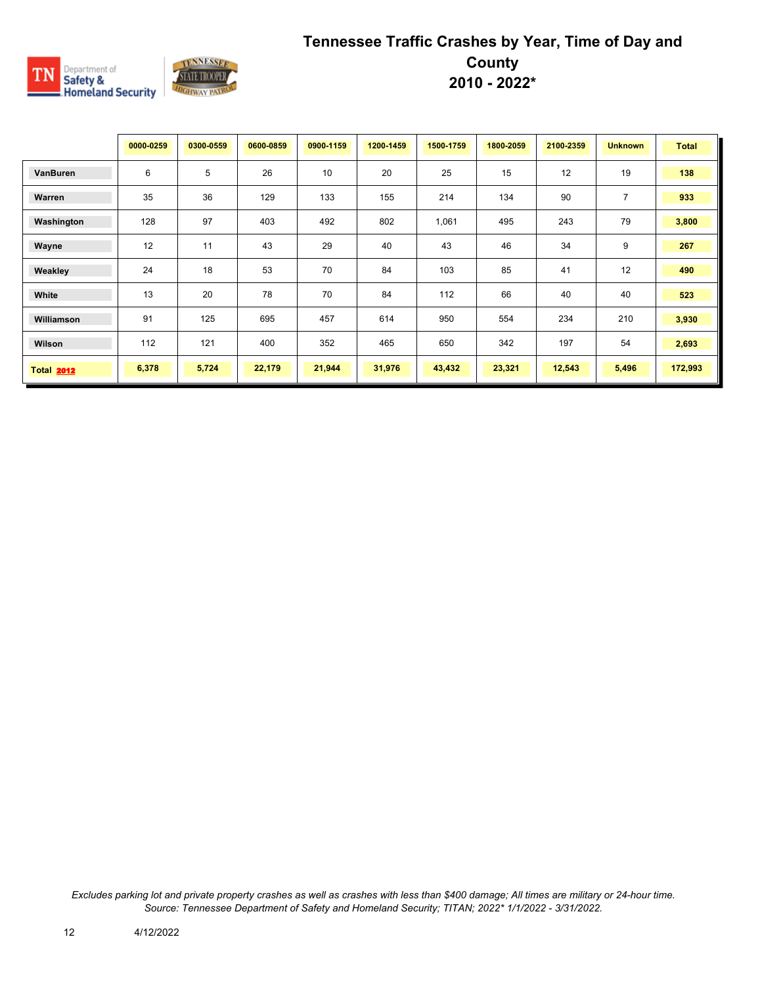

|                   | 0000-0259 | 0300-0559 | 0600-0859 | 0900-1159 | 1200-1459 | 1500-1759 | 1800-2059 | 2100-2359 | <b>Unknown</b> | <b>Total</b> |
|-------------------|-----------|-----------|-----------|-----------|-----------|-----------|-----------|-----------|----------------|--------------|
| VanBuren          | 6         | 5         | 26        | 10        | 20        | 25        | 15        | 12        | 19             | 138          |
| Warren            | 35        | 36        | 129       | 133       | 155       | 214       | 134       | 90        | $\overline{7}$ | 933          |
| Washington        | 128       | 97        | 403       | 492       | 802       | 1,061     | 495       | 243       | 79             | 3,800        |
| Wayne             | 12        | 11        | 43        | 29        | 40        | 43        | 46        | 34        | 9              | 267          |
| Weakley           | 24        | 18        | 53        | 70        | 84        | 103       | 85        | 41        | 12             | 490          |
| White             | 13        | 20        | 78        | 70        | 84        | 112       | 66        | 40        | 40             | 523          |
| Williamson        | 91        | 125       | 695       | 457       | 614       | 950       | 554       | 234       | 210            | 3,930        |
| Wilson            | 112       | 121       | 400       | 352       | 465       | 650       | 342       | 197       | 54             | 2,693        |
| <b>Total 2012</b> | 6,378     | 5,724     | 22,179    | 21,944    | 31,976    | 43,432    | 23,321    | 12,543    | 5,496          | 172,993      |

*Excludes parking lot and private property crashes as well as crashes with less than \$400 damage; All times are military or 24-hour time. Source: Tennessee Department of Safety and Homeland Security; TITAN; 2022\* 1/1/2022 - 3/31/2022.*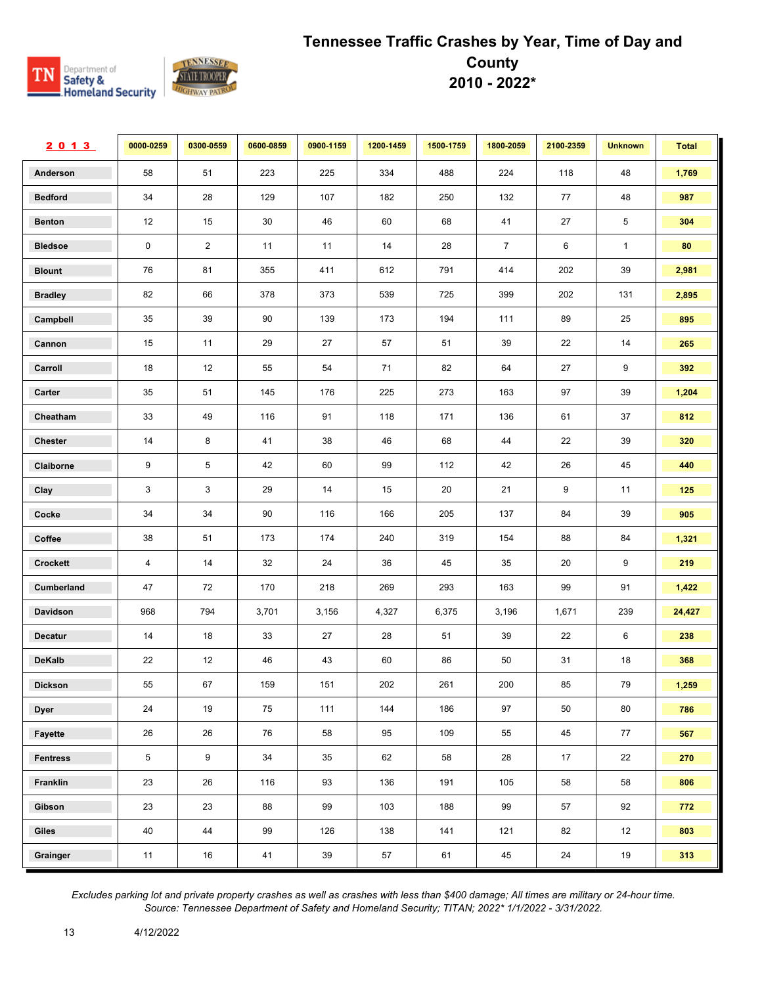

| 2013            | 0000-0259  | 0300-0559      | 0600-0859 | 0900-1159 | 1200-1459 | 1500-1759 | 1800-2059      | 2100-2359 | <b>Unknown</b> | <b>Total</b> |
|-----------------|------------|----------------|-----------|-----------|-----------|-----------|----------------|-----------|----------------|--------------|
| Anderson        | 58         | 51             | 223       | 225       | 334       | 488       | 224            | 118       | 48             | 1,769        |
| <b>Bedford</b>  | 34         | 28             | 129       | 107       | 182       | 250       | 132            | 77        | 48             | 987          |
| <b>Benton</b>   | 12         | 15             | $30\,$    | 46        | 60        | 68        | 41             | 27        | 5              | 304          |
| <b>Bledsoe</b>  | 0          | $\overline{2}$ | 11        | 11        | 14        | 28        | $\overline{7}$ | 6         | $\mathbf{1}$   | 80           |
| <b>Blount</b>   | 76         | 81             | 355       | 411       | 612       | 791       | 414            | 202       | 39             | 2,981        |
| <b>Bradley</b>  | 82         | 66             | 378       | 373       | 539       | 725       | 399            | 202       | 131            | 2,895        |
| Campbell        | 35         | 39             | 90        | 139       | 173       | 194       | 111            | 89        | 25             | 895          |
| Cannon          | 15         | 11             | 29        | 27        | 57        | 51        | 39             | 22        | 14             | 265          |
| Carroll         | 18         | 12             | 55        | 54        | 71        | 82        | 64             | 27        | 9              | 392          |
| Carter          | 35         | 51             | 145       | 176       | 225       | 273       | 163            | 97        | 39             | 1,204        |
| Cheatham        | 33         | 49             | 116       | 91        | 118       | 171       | 136            | 61        | 37             | 812          |
| <b>Chester</b>  | 14         | 8              | 41        | 38        | 46        | 68        | 44             | 22        | 39             | 320          |
| Claiborne       | 9          | 5              | 42        | 60        | 99        | 112       | 42             | 26        | 45             | 440          |
| Clay            | 3          | 3              | 29        | 14        | 15        | 20        | 21             | 9         | 11             | 125          |
| Cocke           | 34         | 34             | 90        | 116       | 166       | 205       | 137            | 84        | 39             | 905          |
| Coffee          | 38         | 51             | 173       | 174       | 240       | 319       | 154            | 88        | 84             | 1,321        |
| Crockett        | 4          | 14             | 32        | 24        | 36        | 45        | 35             | 20        | 9              | 219          |
| Cumberland      | 47         | 72             | 170       | 218       | 269       | 293       | 163            | 99        | 91             | 1,422        |
| Davidson        | 968        | 794            | 3,701     | 3,156     | 4,327     | 6,375     | 3,196          | 1,671     | 239            | 24,427       |
| <b>Decatur</b>  | 14         | 18             | 33        | 27        | 28        | 51        | 39             | 22        | 6              | 238          |
| DeKalb          | 22         | 12             | 46        | 43        | 60        | 86        | 50             | 31        | 18             | 368          |
| <b>Dickson</b>  | 55         | 67             | 159       | 151       | 202       | 261       | 200            | 85        | 79             | 1,259        |
| <b>Dyer</b>     | 24         | 19             | 75        | 111       | 144       | 186       | 97             | 50        | 80             | 786          |
| Fayette         | 26         | 26             | 76        | 58        | 95        | 109       | 55             | 45        | 77             | 567          |
| <b>Fentress</b> | $\sqrt{5}$ | 9              | 34        | 35        | 62        | 58        | 28             | 17        | 22             | 270          |
| Franklin        | 23         | 26             | 116       | 93        | 136       | 191       | 105            | 58        | 58             | 806          |
| Gibson          | 23         | 23             | 88        | 99        | 103       | 188       | 99             | 57        | 92             | 772          |
| Giles           | 40         | 44             | 99        | 126       | 138       | 141       | 121            | 82        | 12             | 803          |
| Grainger        | 11         | $16\,$         | $41$      | 39        | 57        | 61        | 45             | 24        | 19             | 313          |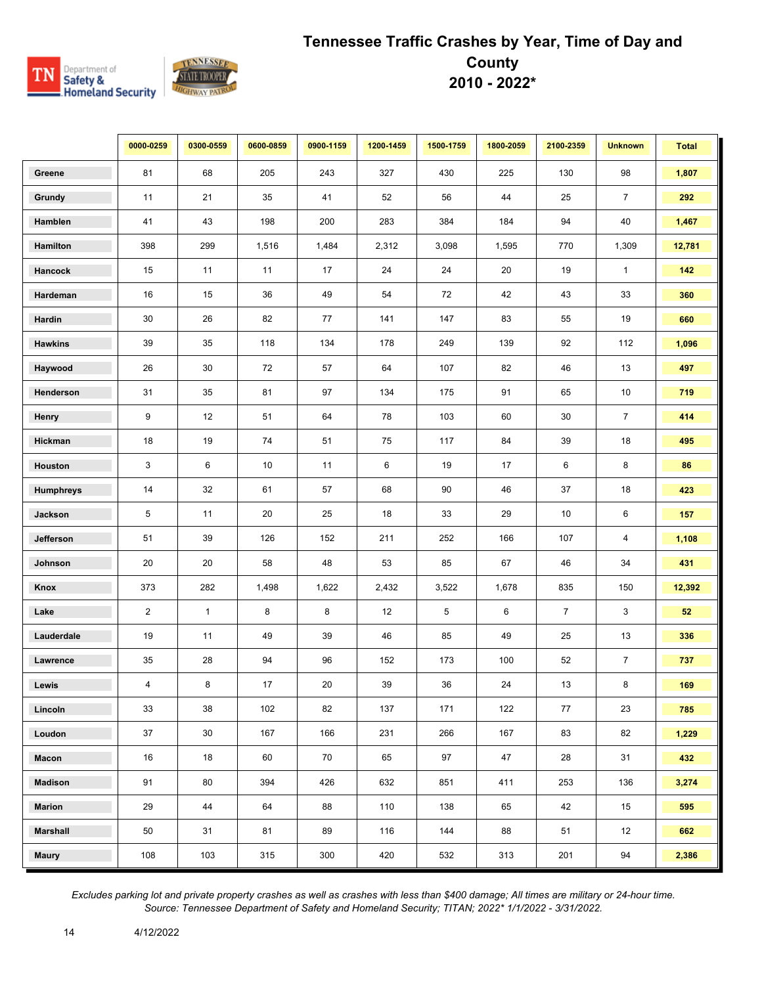

|                  | 0000-0259      | 0300-0559    | 0600-0859 | 0900-1159 | 1200-1459 | 1500-1759   | 1800-2059 | 2100-2359      | <b>Unknown</b> | <b>Total</b> |
|------------------|----------------|--------------|-----------|-----------|-----------|-------------|-----------|----------------|----------------|--------------|
| Greene           | 81             | 68           | 205       | 243       | 327       | 430         | 225       | 130            | 98             | 1,807        |
| Grundy           | 11             | 21           | 35        | 41        | 52        | 56          | 44        | 25             | $\overline{7}$ | 292          |
| Hamblen          | 41             | 43           | 198       | 200       | 283       | 384         | 184       | 94             | 40             | 1,467        |
| Hamilton         | 398            | 299          | 1,516     | 1,484     | 2,312     | 3,098       | 1,595     | 770            | 1,309          | 12,781       |
| Hancock          | 15             | 11           | 11        | 17        | 24        | 24          | 20        | 19             | $\mathbf{1}$   | 142          |
| Hardeman         | 16             | 15           | 36        | 49        | 54        | 72          | 42        | 43             | 33             | 360          |
| Hardin           | 30             | 26           | 82        | 77        | 141       | 147         | 83        | 55             | 19             | 660          |
| <b>Hawkins</b>   | 39             | 35           | 118       | 134       | 178       | 249         | 139       | 92             | 112            | 1,096        |
| Haywood          | 26             | 30           | 72        | 57        | 64        | 107         | 82        | 46             | 13             | 497          |
| Henderson        | 31             | 35           | 81        | 97        | 134       | 175         | 91        | 65             | 10             | 719          |
| Henry            | 9              | 12           | 51        | 64        | 78        | 103         | 60        | 30             | $\overline{7}$ | 414          |
| Hickman          | 18             | 19           | 74        | 51        | 75        | 117         | 84        | 39             | $18$           | 495          |
| Houston          | 3              | 6            | 10        | 11        | 6         | 19          | 17        | 6              | 8              | 86           |
| <b>Humphreys</b> | 14             | 32           | 61        | 57        | 68        | 90          | 46        | 37             | 18             | 423          |
| Jackson          | 5              | 11           | 20        | 25        | 18        | 33          | 29        | $10$           | 6              | 157          |
| Jefferson        | 51             | $39\,$       | 126       | 152       | 211       | 252         | 166       | 107            | 4              | 1,108        |
| Johnson          | 20             | 20           | 58        | 48        | 53        | 85          | 67        | 46             | 34             | 431          |
| Knox             | 373            | 282          | 1,498     | 1,622     | 2,432     | 3,522       | 1,678     | 835            | 150            | 12,392       |
| Lake             | $\overline{2}$ | $\mathbf{1}$ | 8         | 8         | 12        | $\,$ 5 $\,$ | 6         | $\overline{7}$ | 3              | 52           |
| Lauderdale       | 19             | 11           | 49        | 39        | 46        | 85          | 49        | 25             | 13             | 336          |
| Lawrence         | 35             | 28           | 94        | 96        | 152       | 173         | 100       | 52             | $\overline{7}$ | 737          |
| Lewis            | 4              | 8            | 17        | 20        | 39        | 36          | 24        | 13             | 8              | 169          |
| Lincoln          | 33             | 38           | 102       | 82        | 137       | 171         | 122       | 77             | 23             | 785          |
| Loudon           | 37             | 30           | 167       | 166       | 231       | 266         | 167       | 83             | 82             | 1,229        |
| Macon            | 16             | 18           | 60        | 70        | 65        | 97          | 47        | 28             | 31             | 432          |
| <b>Madison</b>   | 91             | 80           | 394       | 426       | 632       | 851         | 411       | 253            | 136            | 3,274        |
| <b>Marion</b>    | 29             | 44           | 64        | 88        | 110       | 138         | 65        | 42             | 15             | 595          |
| <b>Marshall</b>  | 50             | 31           | 81        | 89        | 116       | 144         | 88        | 51             | 12             | 662          |
| <b>Maury</b>     | 108            | 103          | 315       | 300       | 420       | 532         | 313       | 201            | 94             | 2,386        |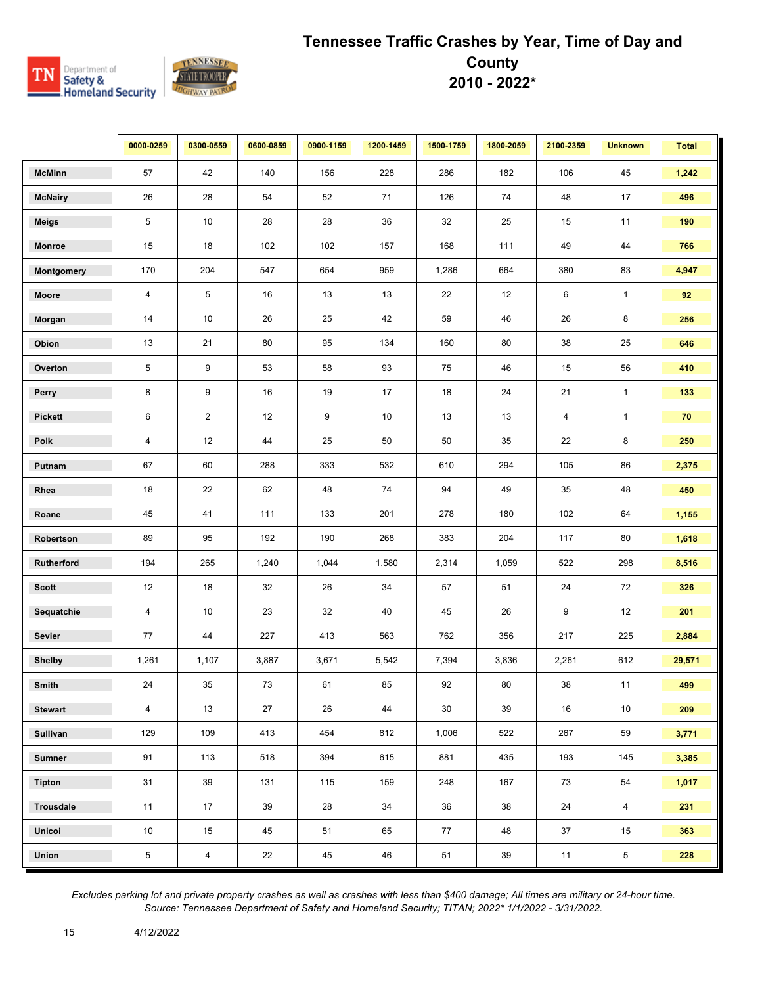

|                  | 0000-0259      | 0300-0559       | 0600-0859 | 0900-1159 | 1200-1459 | 1500-1759 | 1800-2059 | 2100-2359 | <b>Unknown</b> | <b>Total</b> |
|------------------|----------------|-----------------|-----------|-----------|-----------|-----------|-----------|-----------|----------------|--------------|
| <b>McMinn</b>    | 57             | 42              | 140       | 156       | 228       | 286       | 182       | 106       | 45             | 1,242        |
| <b>McNairy</b>   | 26             | 28              | 54        | 52        | 71        | 126       | 74        | 48        | 17             | 496          |
| <b>Meigs</b>     | 5              | 10 <sup>1</sup> | 28        | 28        | 36        | 32        | 25        | 15        | 11             | 190          |
| <b>Monroe</b>    | 15             | 18              | 102       | 102       | 157       | 168       | 111       | 49        | 44             | 766          |
| Montgomery       | 170            | 204             | 547       | 654       | 959       | 1,286     | 664       | 380       | 83             | 4,947        |
| Moore            | $\overline{4}$ | 5               | 16        | 13        | 13        | 22        | 12        | 6         | $\mathbf{1}$   | 92           |
| Morgan           | 14             | 10 <sup>1</sup> | 26        | 25        | 42        | 59        | 46        | 26        | 8              | 256          |
| Obion            | 13             | 21              | 80        | 95        | 134       | 160       | 80        | 38        | 25             | 646          |
| Overton          | 5              | 9               | 53        | 58        | 93        | 75        | 46        | 15        | 56             | 410          |
| Perry            | 8              | 9               | 16        | 19        | 17        | 18        | 24        | 21        | $\mathbf{1}$   | 133          |
| <b>Pickett</b>   | 6              | $\overline{2}$  | 12        | 9         | $10\,$    | 13        | 13        | 4         | $\mathbf{1}$   | 70           |
| Polk             | 4              | 12              | 44        | 25        | 50        | $50\,$    | 35        | 22        | 8              | 250          |
| Putnam           | 67             | 60              | 288       | 333       | 532       | 610       | 294       | 105       | 86             | 2,375        |
| Rhea             | 18             | 22              | 62        | 48        | 74        | 94        | 49        | 35        | 48             | 450          |
| Roane            | 45             | 41              | 111       | 133       | 201       | 278       | 180       | 102       | 64             | 1,155        |
| Robertson        | 89             | 95              | 192       | 190       | 268       | 383       | 204       | 117       | 80             | 1,618        |
| Rutherford       | 194            | 265             | 1,240     | 1,044     | 1,580     | 2,314     | 1,059     | 522       | 298            | 8,516        |
| <b>Scott</b>     | 12             | 18              | 32        | 26        | 34        | 57        | 51        | 24        | 72             | 326          |
| Sequatchie       | 4              | 10 <sup>°</sup> | 23        | 32        | 40        | 45        | 26        | 9         | 12             | 201          |
| Sevier           | 77             | 44              | 227       | 413       | 563       | 762       | 356       | 217       | 225            | 2,884        |
| <b>Shelby</b>    | 1,261          | 1,107           | 3,887     | 3,671     | 5,542     | 7,394     | 3,836     | 2,261     | 612            | 29,571       |
| Smith            | 24             | 35              | 73        | 61        | 85        | 92        | 80        | 38        | 11             | 499          |
| <b>Stewart</b>   | $\overline{4}$ | 13              | 27        | 26        | 44        | 30        | 39        | 16        | 10             | 209          |
| <b>Sullivan</b>  | 129            | 109             | 413       | 454       | 812       | 1,006     | 522       | 267       | 59             | 3,771        |
| <b>Sumner</b>    | 91             | 113             | 518       | 394       | 615       | 881       | 435       | 193       | 145            | 3,385        |
| <b>Tipton</b>    | 31             | 39              | 131       | 115       | 159       | 248       | 167       | 73        | 54             | 1,017        |
| <b>Trousdale</b> | 11             | 17              | 39        | 28        | 34        | 36        | 38        | 24        | $\overline{4}$ | 231          |
| Unicoi           | 10             | 15              | 45        | 51        | 65        | 77        | 48        | 37        | 15             | 363          |
| Union            | $\,$ 5 $\,$    | $\overline{4}$  | 22        | 45        | 46        | 51        | 39        | 11        | $\sqrt{5}$     | 228          |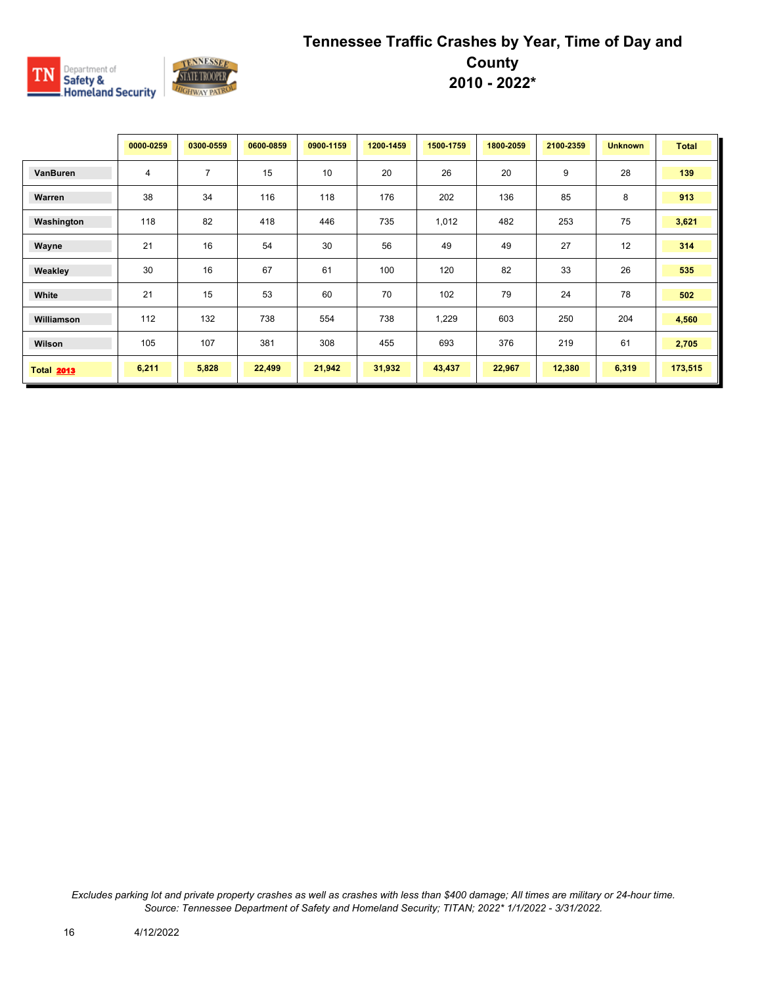

|                   | 0000-0259 | 0300-0559      | 0600-0859 | 0900-1159 | 1200-1459 | 1500-1759 | 1800-2059 | 2100-2359 | <b>Unknown</b> | <b>Total</b> |
|-------------------|-----------|----------------|-----------|-----------|-----------|-----------|-----------|-----------|----------------|--------------|
| VanBuren          | 4         | $\overline{7}$ | 15        | 10        | 20        | 26        | 20        | 9         | 28             | 139          |
| Warren            | 38        | 34             | 116       | 118       | 176       | 202       | 136       | 85        | 8              | 913          |
| Washington        | 118       | 82             | 418       | 446       | 735       | 1,012     | 482       | 253       | 75             | 3,621        |
| Wayne             | 21        | 16             | 54        | 30        | 56        | 49        | 49        | 27        | 12             | 314          |
| Weakley           | 30        | 16             | 67        | 61        | 100       | 120       | 82        | 33        | 26             | 535          |
| White             | 21        | 15             | 53        | 60        | 70        | 102       | 79        | 24        | 78             | 502          |
| Williamson        | 112       | 132            | 738       | 554       | 738       | 1,229     | 603       | 250       | 204            | 4,560        |
| Wilson            | 105       | 107            | 381       | 308       | 455       | 693       | 376       | 219       | 61             | 2,705        |
| <b>Total 2013</b> | 6,211     | 5,828          | 22,499    | 21,942    | 31,932    | 43,437    | 22,967    | 12,380    | 6,319          | 173,515      |

*Excludes parking lot and private property crashes as well as crashes with less than \$400 damage; All times are military or 24-hour time. Source: Tennessee Department of Safety and Homeland Security; TITAN; 2022\* 1/1/2022 - 3/31/2022.*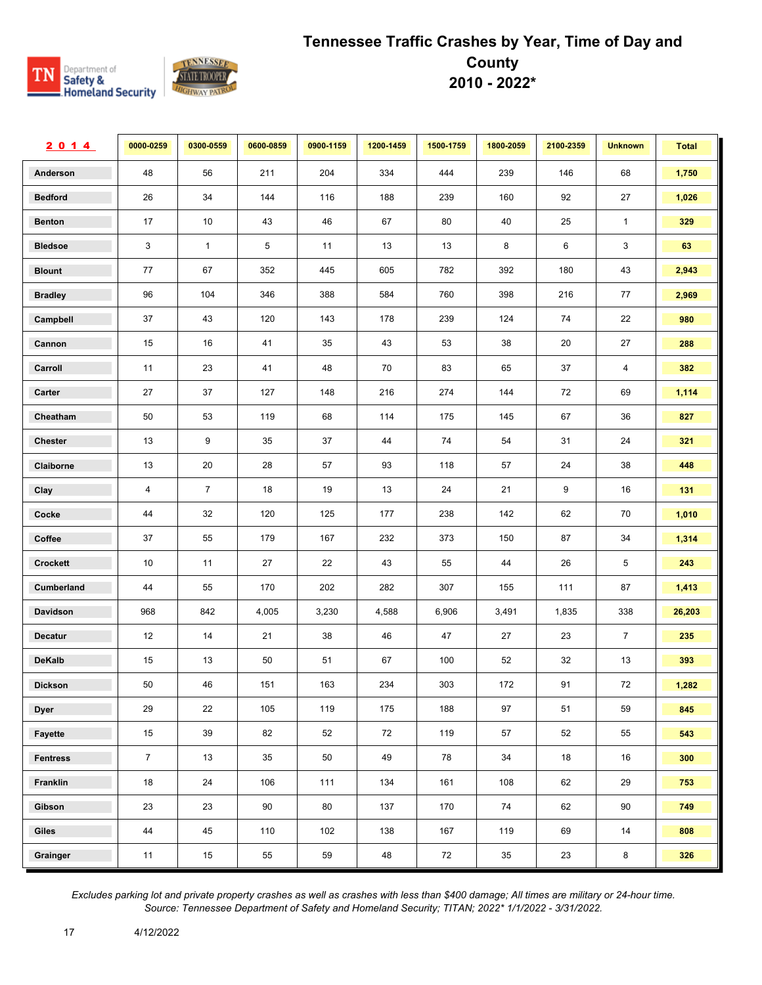

| 2014            | 0000-0259      | 0300-0559      | 0600-0859 | 0900-1159 | 1200-1459 | 1500-1759 | 1800-2059 | 2100-2359 | <b>Unknown</b> | <b>Total</b> |
|-----------------|----------------|----------------|-----------|-----------|-----------|-----------|-----------|-----------|----------------|--------------|
| Anderson        | 48             | 56             | 211       | 204       | 334       | 444       | 239       | 146       | 68             | 1,750        |
| <b>Bedford</b>  | 26             | 34             | 144       | 116       | 188       | 239       | 160       | 92        | 27             | 1,026        |
| <b>Benton</b>   | 17             | 10             | 43        | 46        | 67        | 80        | 40        | 25        | $\mathbf{1}$   | 329          |
| <b>Bledsoe</b>  | 3              | $\mathbf{1}$   | 5         | 11        | 13        | 13        | 8         | 6         | 3              | 63           |
| <b>Blount</b>   | 77             | 67             | 352       | 445       | 605       | 782       | 392       | 180       | 43             | 2,943        |
| <b>Bradley</b>  | 96             | 104            | 346       | 388       | 584       | 760       | 398       | 216       | 77             | 2,969        |
| Campbell        | 37             | 43             | 120       | 143       | 178       | 239       | 124       | 74        | 22             | 980          |
| Cannon          | 15             | 16             | 41        | 35        | 43        | 53        | 38        | 20        | 27             | 288          |
| Carroll         | 11             | 23             | 41        | 48        | 70        | 83        | 65        | 37        | 4              | 382          |
| Carter          | 27             | 37             | 127       | 148       | 216       | 274       | 144       | 72        | 69             | 1,114        |
| Cheatham        | 50             | 53             | 119       | 68        | 114       | 175       | 145       | 67        | 36             | 827          |
| <b>Chester</b>  | 13             | 9              | 35        | 37        | 44        | 74        | 54        | 31        | 24             | 321          |
| Claiborne       | 13             | 20             | 28        | 57        | 93        | 118       | 57        | 24        | 38             | 448          |
| Clay            | 4              | $\overline{7}$ | $18$      | 19        | 13        | 24        | 21        | 9         | 16             | 131          |
| Cocke           | 44             | 32             | 120       | 125       | 177       | 238       | 142       | 62        | 70             | 1,010        |
| Coffee          | 37             | 55             | 179       | 167       | 232       | 373       | 150       | 87        | 34             | 1,314        |
| Crockett        | 10             | 11             | 27        | 22        | 43        | 55        | 44        | 26        | 5              | 243          |
| Cumberland      | 44             | 55             | 170       | 202       | 282       | 307       | 155       | 111       | 87             | 1,413        |
| Davidson        | 968            | 842            | 4,005     | 3,230     | 4,588     | 6,906     | 3,491     | 1,835     | 338            | 26,203       |
| <b>Decatur</b>  | 12             | 14             | 21        | 38        | 46        | 47        | 27        | 23        | $\overline{7}$ | 235          |
| <b>DeKalb</b>   | 15             | 13             | 50        | 51        | 67        | 100       | 52        | 32        | 13             | 393          |
| <b>Dickson</b>  | 50             | 46             | 151       | 163       | 234       | 303       | 172       | 91        | 72             | 1,282        |
| <b>Dyer</b>     | 29             | 22             | 105       | 119       | 175       | 188       | 97        | 51        | 59             | 845          |
| Fayette         | 15             | 39             | 82        | 52        | 72        | 119       | 57        | 52        | 55             | 543          |
| <b>Fentress</b> | $\overline{7}$ | 13             | 35        | 50        | 49        | 78        | 34        | 18        | 16             | 300          |
| Franklin        | 18             | 24             | 106       | 111       | 134       | 161       | 108       | 62        | 29             | 753          |
| Gibson          | 23             | 23             | 90        | 80        | 137       | 170       | 74        | 62        | 90             | 749          |
| Giles           | 44             | 45             | 110       | 102       | 138       | 167       | 119       | 69        | 14             | 808          |
| Grainger        | 11             | $15\,$         | 55        | 59        | 48        | 72        | $35\,$    | 23        | $\bf 8$        | 326          |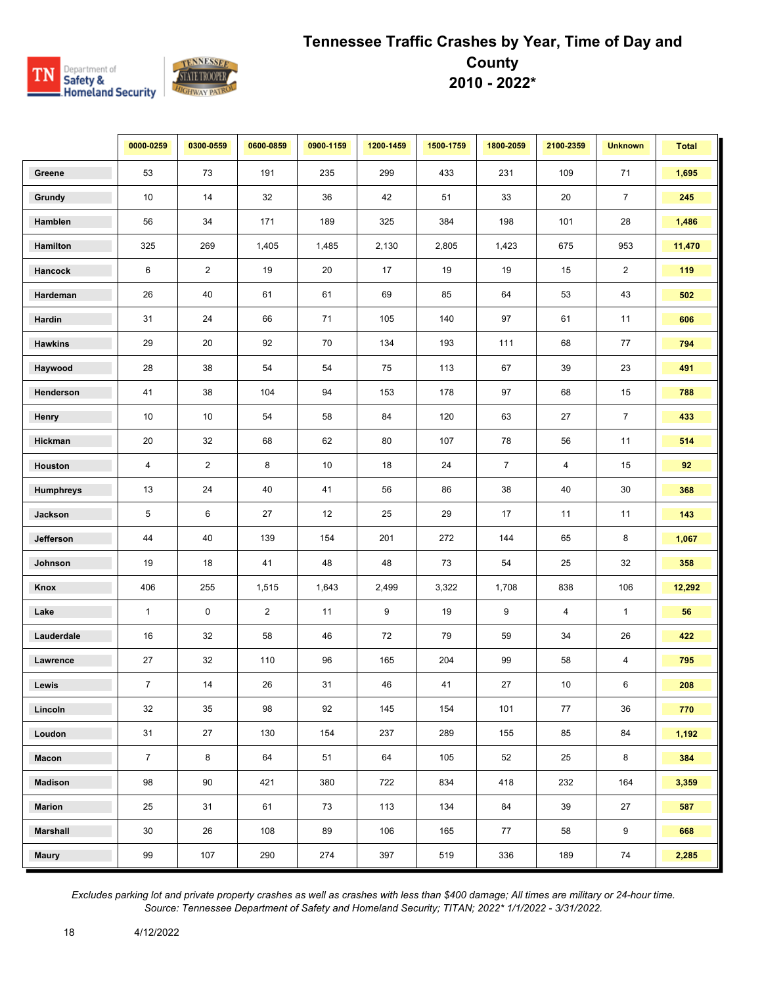

|                 | 0000-0259       | 0300-0559      | 0600-0859      | 0900-1159 | 1200-1459 | 1500-1759 | 1800-2059      | 2100-2359 | <b>Unknown</b> | <b>Total</b> |
|-----------------|-----------------|----------------|----------------|-----------|-----------|-----------|----------------|-----------|----------------|--------------|
| Greene          | 53              | 73             | 191            | 235       | 299       | 433       | 231            | 109       | 71             | 1,695        |
| Grundy          | 10 <sup>°</sup> | 14             | 32             | 36        | 42        | 51        | 33             | 20        | $\overline{7}$ | 245          |
| Hamblen         | 56              | 34             | 171            | 189       | 325       | 384       | 198            | 101       | 28             | 1,486        |
| Hamilton        | 325             | 269            | 1,405          | 1,485     | 2,130     | 2,805     | 1,423          | 675       | 953            | 11,470       |
| Hancock         | 6               | $\overline{2}$ | 19             | 20        | 17        | 19        | 19             | 15        | $\overline{2}$ | 119          |
| Hardeman        | 26              | 40             | 61             | 61        | 69        | 85        | 64             | 53        | 43             | 502          |
| Hardin          | 31              | 24             | 66             | 71        | 105       | 140       | 97             | 61        | 11             | 606          |
| <b>Hawkins</b>  | 29              | 20             | 92             | 70        | 134       | 193       | 111            | 68        | 77             | 794          |
| Haywood         | 28              | 38             | 54             | 54        | 75        | 113       | 67             | 39        | 23             | 491          |
| Henderson       | 41              | 38             | 104            | 94        | 153       | 178       | 97             | 68        | 15             | 788          |
| Henry           | 10              | 10             | 54             | 58        | 84        | 120       | 63             | 27        | $\overline{7}$ | 433          |
| Hickman         | 20              | 32             | 68             | 62        | 80        | 107       | 78             | 56        | 11             | 514          |
| Houston         | 4               | $\overline{2}$ | 8              | 10        | 18        | 24        | $\overline{7}$ | 4         | 15             | 92           |
| Humphreys       | 13              | 24             | 40             | 41        | 56        | 86        | 38             | 40        | $30\,$         | 368          |
| Jackson         | 5               | 6              | 27             | 12        | 25        | 29        | 17             | 11        | 11             | 143          |
| Jefferson       | 44              | 40             | 139            | 154       | 201       | 272       | 144            | 65        | 8              | 1,067        |
| Johnson         | 19              | 18             | 41             | 48        | 48        | 73        | 54             | 25        | 32             | 358          |
| Knox            | 406             | 255            | 1,515          | 1,643     | 2,499     | 3,322     | 1,708          | 838       | 106            | 12,292       |
| Lake            | $\mathbf{1}$    | 0              | $\overline{2}$ | 11        | 9         | 19        | 9              | 4         | $\mathbf{1}$   | 56           |
| Lauderdale      | 16              | 32             | 58             | 46        | 72        | 79        | 59             | 34        | 26             | 422          |
| Lawrence        | 27              | 32             | 110            | 96        | 165       | 204       | 99             | 58        | 4              | 795          |
| Lewis           | $\overline{7}$  | 14             | 26             | 31        | 46        | 41        | 27             | 10        | 6              | 208          |
| Lincoln         | 32              | 35             | 98             | 92        | 145       | 154       | 101            | 77        | 36             | 770          |
| Loudon          | 31              | 27             | 130            | 154       | 237       | 289       | 155            | 85        | 84             | 1,192        |
| Macon           | $\overline{7}$  | 8              | 64             | 51        | 64        | 105       | 52             | 25        | 8              | 384          |
| <b>Madison</b>  | 98              | 90             | 421            | 380       | 722       | 834       | 418            | 232       | 164            | 3,359        |
| <b>Marion</b>   | 25              | 31             | 61             | 73        | 113       | 134       | 84             | 39        | 27             | 587          |
| <b>Marshall</b> | 30              | 26             | 108            | 89        | 106       | 165       | 77             | 58        | 9              | 668          |
| <b>Maury</b>    | 99              | 107            | 290            | 274       | 397       | 519       | 336            | 189       | 74             | 2,285        |

*Excludes parking lot and private property crashes as well as crashes with less than \$400 damage; All times are military or 24-hour time. Source: Tennessee Department of Safety and Homeland Security; TITAN; 2022\* 1/1/2022 - 3/31/2022.*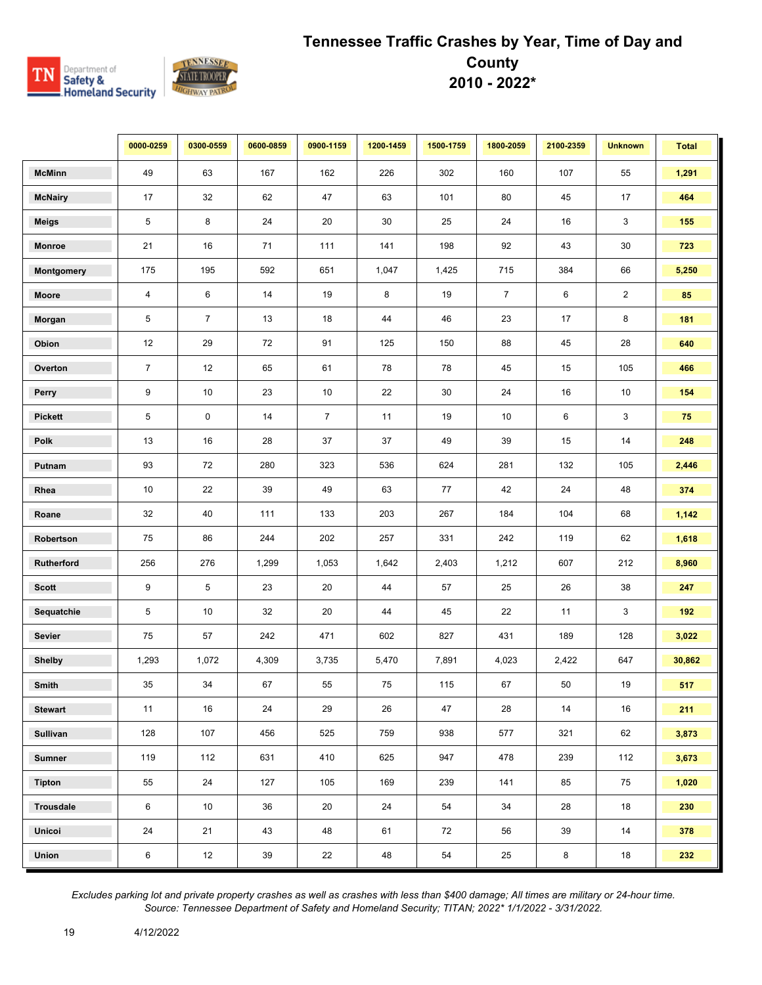

|                 | 0000-0259      | 0300-0559       | 0600-0859 | 0900-1159      | 1200-1459 | 1500-1759 | 1800-2059      | 2100-2359 | <b>Unknown</b> | <b>Total</b> |
|-----------------|----------------|-----------------|-----------|----------------|-----------|-----------|----------------|-----------|----------------|--------------|
| <b>McMinn</b>   | 49             | 63              | 167       | 162            | 226       | 302       | 160            | 107       | 55             | 1,291        |
| <b>McNairy</b>  | 17             | 32              | 62        | 47             | 63        | 101       | 80             | 45        | 17             | 464          |
| <b>Meigs</b>    | 5              | 8               | 24        | 20             | $30\,$    | 25        | 24             | 16        | 3              | 155          |
| <b>Monroe</b>   | 21             | 16              | 71        | 111            | 141       | 198       | 92             | 43        | 30             | 723          |
| Montgomery      | 175            | 195             | 592       | 651            | 1,047     | 1,425     | 715            | 384       | 66             | 5,250        |
| Moore           | $\overline{4}$ | 6               | 14        | 19             | 8         | 19        | $\overline{7}$ | 6         | $\overline{2}$ | 85           |
| Morgan          | 5              | $\overline{7}$  | 13        | 18             | 44        | 46        | 23             | 17        | 8              | 181          |
| Obion           | 12             | 29              | 72        | 91             | 125       | 150       | 88             | 45        | 28             | 640          |
| Overton         | $\overline{7}$ | 12              | 65        | 61             | 78        | 78        | 45             | 15        | 105            | 466          |
| Perry           | 9              | 10 <sup>1</sup> | 23        | 10             | 22        | $30\,$    | 24             | 16        | 10             | 154          |
| <b>Pickett</b>  | 5              | 0               | 14        | $\overline{7}$ | 11        | 19        | 10             | 6         | 3              | 75           |
| Polk            | 13             | 16              | 28        | 37             | 37        | 49        | 39             | 15        | 14             | 248          |
| Putnam          | 93             | 72              | 280       | 323            | 536       | 624       | 281            | 132       | 105            | 2,446        |
| Rhea            | 10             | 22              | 39        | 49             | 63        | 77        | 42             | 24        | 48             | 374          |
| Roane           | 32             | 40              | 111       | 133            | 203       | 267       | 184            | 104       | 68             | 1,142        |
| Robertson       | 75             | 86              | 244       | 202            | 257       | 331       | 242            | 119       | 62             | 1,618        |
| Rutherford      | 256            | 276             | 1,299     | 1,053          | 1,642     | 2,403     | 1,212          | 607       | 212            | 8,960        |
| <b>Scott</b>    | 9              | $\,$ 5 $\,$     | 23        | 20             | 44        | 57        | 25             | 26        | 38             | 247          |
| Sequatchie      | 5              | 10              | 32        | 20             | 44        | 45        | 22             | 11        | 3              | 192          |
| Sevier          | 75             | 57              | 242       | 471            | 602       | 827       | 431            | 189       | 128            | 3,022        |
| <b>Shelby</b>   | 1,293          | 1,072           | 4,309     | 3,735          | 5,470     | 7,891     | 4,023          | 2,422     | 647            | 30,862       |
| Smith           | 35             | 34              | 67        | 55             | 75        | 115       | 67             | 50        | 19             | 517          |
| <b>Stewart</b>  | 11             | 16              | 24        | 29             | 26        | 47        | 28             | 14        | 16             | 211          |
| <b>Sullivan</b> | 128            | 107             | 456       | 525            | 759       | 938       | 577            | 321       | 62             | 3,873        |
| <b>Sumner</b>   | 119            | 112             | 631       | 410            | 625       | 947       | 478            | 239       | 112            | 3,673        |
| <b>Tipton</b>   | 55             | 24              | 127       | 105            | 169       | 239       | 141            | 85        | 75             | 1,020        |
| Trousdale       | 6              | 10 <sup>°</sup> | 36        | 20             | 24        | 54        | 34             | 28        | 18             | 230          |
| Unicoi          | 24             | 21              | 43        | 48             | 61        | 72        | 56             | 39        | 14             | 378          |
| Union           | 6              | 12              | $39\,$    | 22             | 48        | 54        | 25             | 8         | 18             | 232          |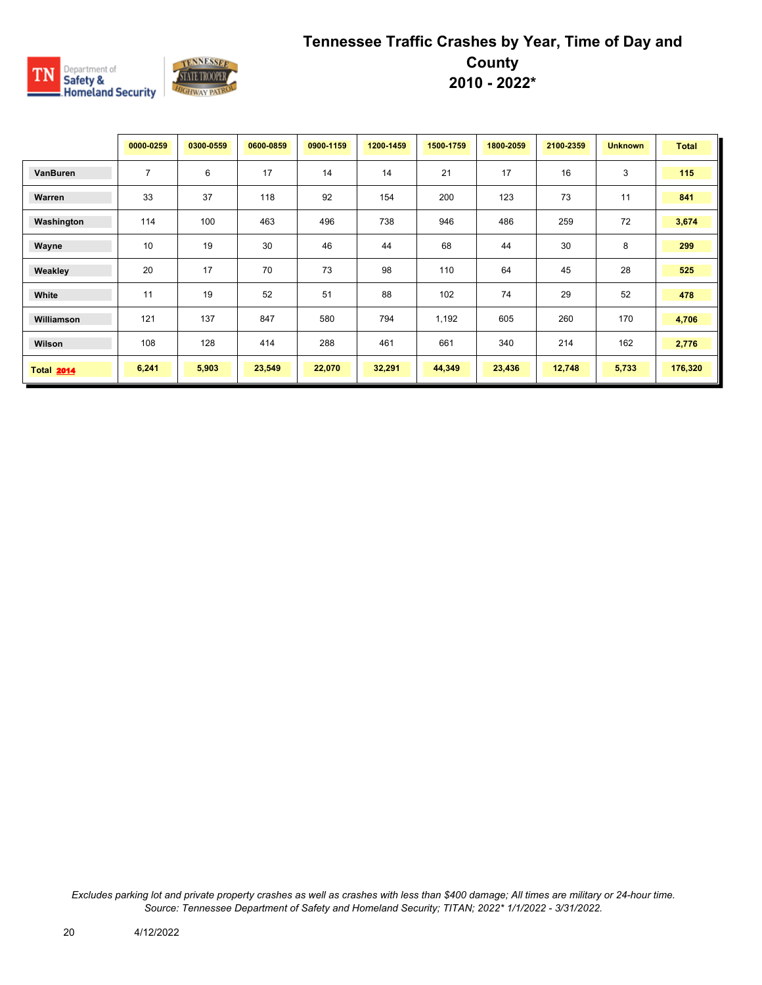

|                   | 0000-0259      | 0300-0559 | 0600-0859 | 0900-1159 | 1200-1459 | 1500-1759 | 1800-2059 | 2100-2359 | <b>Unknown</b> | <b>Total</b> |
|-------------------|----------------|-----------|-----------|-----------|-----------|-----------|-----------|-----------|----------------|--------------|
| VanBuren          | $\overline{7}$ | 6         | 17        | 14        | 14        | 21        | 17        | 16        | 3              | 115          |
| Warren            | 33             | 37        | 118       | 92        | 154       | 200       | 123       | 73        | 11             | 841          |
| Washington        | 114            | 100       | 463       | 496       | 738       | 946       | 486       | 259       | 72             | 3,674        |
| Wayne             | 10             | 19        | 30        | 46        | 44        | 68        | 44        | 30        | 8              | 299          |
| Weakley           | 20             | 17        | 70        | 73        | 98        | 110       | 64        | 45        | 28             | 525          |
| White             | 11             | 19        | 52        | 51        | 88        | 102       | 74        | 29        | 52             | 478          |
| Williamson        | 121            | 137       | 847       | 580       | 794       | 1,192     | 605       | 260       | 170            | 4,706        |
| Wilson            | 108            | 128       | 414       | 288       | 461       | 661       | 340       | 214       | 162            | 2,776        |
| <b>Total 2014</b> | 6,241          | 5,903     | 23,549    | 22,070    | 32,291    | 44,349    | 23,436    | 12,748    | 5,733          | 176,320      |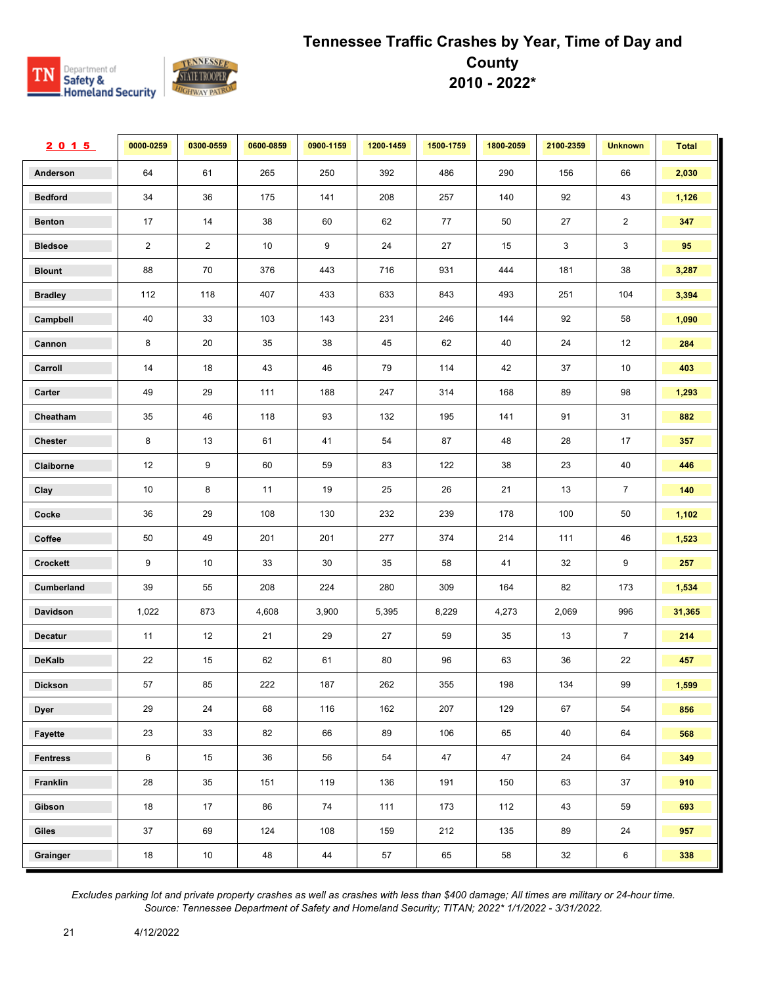

| 2015            | 0000-0259      | 0300-0559      | 0600-0859 | 0900-1159 | 1200-1459 | 1500-1759 | 1800-2059 | 2100-2359    | <b>Unknown</b> | <b>Total</b> |
|-----------------|----------------|----------------|-----------|-----------|-----------|-----------|-----------|--------------|----------------|--------------|
| Anderson        | 64             | 61             | 265       | 250       | 392       | 486       | 290       | 156          | 66             | 2,030        |
| <b>Bedford</b>  | 34             | 36             | 175       | 141       | 208       | 257       | 140       | 92           | 43             | 1,126        |
| <b>Benton</b>   | 17             | 14             | 38        | 60        | 62        | 77        | 50        | 27           | $\overline{2}$ | 347          |
| <b>Bledsoe</b>  | $\overline{2}$ | $\overline{2}$ | 10        | 9         | 24        | 27        | 15        | $\mathbf{3}$ | 3              | 95           |
| <b>Blount</b>   | 88             | 70             | 376       | 443       | 716       | 931       | 444       | 181          | 38             | 3,287        |
| <b>Bradley</b>  | 112            | 118            | 407       | 433       | 633       | 843       | 493       | 251          | 104            | 3,394        |
| Campbell        | 40             | 33             | 103       | 143       | 231       | 246       | 144       | 92           | 58             | 1,090        |
| Cannon          | 8              | 20             | 35        | 38        | 45        | 62        | 40        | 24           | 12             | 284          |
| Carroll         | 14             | 18             | 43        | 46        | 79        | 114       | 42        | 37           | 10             | 403          |
| Carter          | 49             | 29             | 111       | 188       | 247       | 314       | 168       | 89           | 98             | 1,293        |
| Cheatham        | 35             | 46             | 118       | 93        | 132       | 195       | 141       | 91           | 31             | 882          |
| <b>Chester</b>  | 8              | 13             | 61        | 41        | 54        | 87        | 48        | 28           | 17             | 357          |
| Claiborne       | 12             | 9              | 60        | 59        | 83        | 122       | 38        | 23           | 40             | 446          |
| Clay            | 10             | 8              | 11        | 19        | 25        | 26        | 21        | 13           | $\overline{7}$ | 140          |
| Cocke           | 36             | 29             | 108       | 130       | 232       | 239       | 178       | 100          | $50\,$         | 1,102        |
| Coffee          | 50             | 49             | 201       | 201       | 277       | 374       | 214       | 111          | 46             | 1,523        |
| Crockett        | 9              | 10             | 33        | 30        | 35        | 58        | 41        | 32           | 9              | 257          |
| Cumberland      | 39             | 55             | 208       | 224       | 280       | 309       | 164       | 82           | 173            | 1,534        |
| Davidson        | 1,022          | 873            | 4,608     | 3,900     | 5,395     | 8,229     | 4,273     | 2,069        | 996            | 31,365       |
| <b>Decatur</b>  | 11             | 12             | 21        | 29        | 27        | 59        | 35        | 13           | $\overline{7}$ | 214          |
| <b>DeKalb</b>   | 22             | 15             | 62        | 61        | 80        | 96        | 63        | 36           | 22             | 457          |
| <b>Dickson</b>  | 57             | 85             | 222       | 187       | 262       | 355       | 198       | 134          | 99             | 1,599        |
| <b>Dyer</b>     | 29             | 24             | 68        | 116       | 162       | 207       | 129       | 67           | 54             | 856          |
| Fayette         | 23             | 33             | 82        | 66        | 89        | 106       | 65        | 40           | 64             | 568          |
| <b>Fentress</b> | $\,6\,$        | 15             | 36        | 56        | 54        | 47        | 47        | 24           | 64             | 349          |
| Franklin        | 28             | 35             | 151       | 119       | 136       | 191       | 150       | 63           | 37             | 910          |
| Gibson          | 18             | 17             | 86        | 74        | 111       | 173       | 112       | 43           | 59             | 693          |
| Giles           | 37             | 69             | 124       | 108       | 159       | 212       | 135       | 89           | 24             | 957          |
| Grainger        | 18             | 10             | 48        | $44\,$    | 57        | 65        | 58        | 32           | $\,6\,$        | 338          |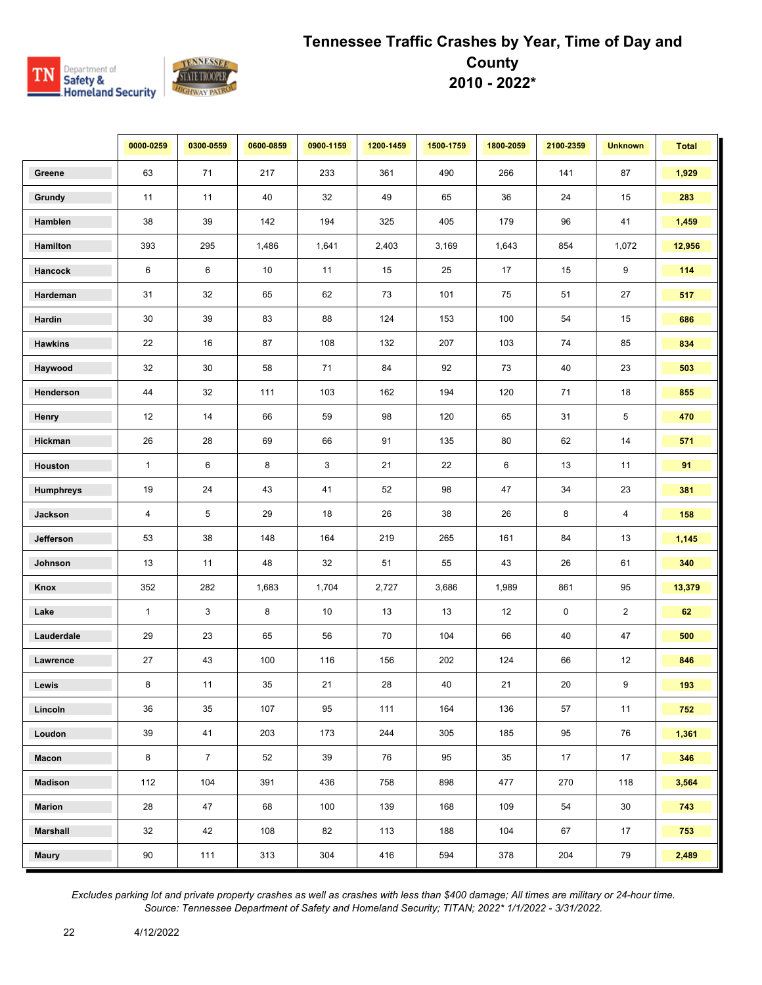

|                 | 0000-0259      | 0300-0559      | 0600-0859 | 0900-1159 | 1200-1459 | 1500-1759 | 1800-2059 | 2100-2359 | <b>Unknown</b> | <b>Total</b> |
|-----------------|----------------|----------------|-----------|-----------|-----------|-----------|-----------|-----------|----------------|--------------|
| Greene          | 63             | 71             | 217       | 233       | 361       | 490       | 266       | 141       | 87             | 1,929        |
| Grundy          | 11             | 11             | 40        | 32        | 49        | 65        | 36        | 24        | 15             | 283          |
| Hamblen         | 38             | 39             | 142       | 194       | 325       | 405       | 179       | 96        | 41             | 1,459        |
| Hamilton        | 393            | 295            | 1,486     | 1,641     | 2,403     | 3,169     | 1,643     | 854       | 1,072          | 12,956       |
| Hancock         | 6              | 6              | 10        | 11        | 15        | 25        | 17        | 15        | 9              | 114          |
| Hardeman        | 31             | 32             | 65        | 62        | 73        | 101       | 75        | 51        | 27             | 517          |
| Hardin          | 30             | 39             | 83        | 88        | 124       | 153       | 100       | 54        | 15             | 686          |
| <b>Hawkins</b>  | 22             | 16             | 87        | 108       | 132       | 207       | 103       | 74        | 85             | 834          |
| Haywood         | 32             | 30             | 58        | 71        | 84        | 92        | 73        | 40        | 23             | 503          |
| Henderson       | 44             | 32             | 111       | 103       | 162       | 194       | 120       | 71        | 18             | 855          |
| Henry           | 12             | 14             | 66        | 59        | 98        | 120       | 65        | 31        | 5              | 470          |
| Hickman         | 26             | 28             | 69        | 66        | 91        | 135       | $80\,$    | 62        | 14             | 571          |
| Houston         | $\mathbf{1}$   | 6              | 8         | 3         | 21        | 22        | 6         | 13        | 11             | 91           |
| Humphreys       | 19             | 24             | 43        | 41        | 52        | 98        | 47        | 34        | 23             | 381          |
| Jackson         | $\overline{4}$ | 5              | 29        | 18        | 26        | 38        | 26        | 8         | 4              | 158          |
| Jefferson       | 53             | 38             | 148       | 164       | 219       | 265       | 161       | 84        | 13             | 1,145        |
| Johnson         | 13             | 11             | 48        | 32        | 51        | 55        | 43        | 26        | 61             | 340          |
| Knox            | 352            | 282            | 1,683     | 1,704     | 2,727     | 3,686     | 1,989     | 861       | 95             | 13,379       |
| Lake            | $\mathbf{1}$   | 3              | 8         | 10        | 13        | 13        | 12        | 0         | $\overline{2}$ | 62           |
| Lauderdale      | 29             | 23             | 65        | 56        | 70        | 104       | 66        | 40        | 47             | 500          |
| Lawrence        | 27             | 43             | 100       | 116       | 156       | 202       | 124       | 66        | 12             | 846          |
| Lewis           | 8              | 11             | $35\,$    | 21        | 28        | 40        | 21        | 20        | 9              | 193          |
| Lincoln         | 36             | 35             | 107       | 95        | 111       | 164       | 136       | 57        | 11             | 752          |
| Loudon          | 39             | 41             | 203       | 173       | 244       | 305       | 185       | 95        | 76             | 1,361        |
| Macon           | 8              | $\overline{7}$ | 52        | 39        | 76        | 95        | 35        | 17        | 17             | 346          |
| <b>Madison</b>  | 112            | 104            | 391       | 436       | 758       | 898       | 477       | 270       | 118            | 3,564        |
| <b>Marion</b>   | 28             | 47             | 68        | 100       | 139       | 168       | 109       | 54        | 30             | 743          |
| <b>Marshall</b> | 32             | 42             | 108       | 82        | 113       | 188       | 104       | 67        | 17             | 753          |
| <b>Maury</b>    | 90             | $111$          | 313       | 304       | 416       | 594       | 378       | 204       | 79             | 2,489        |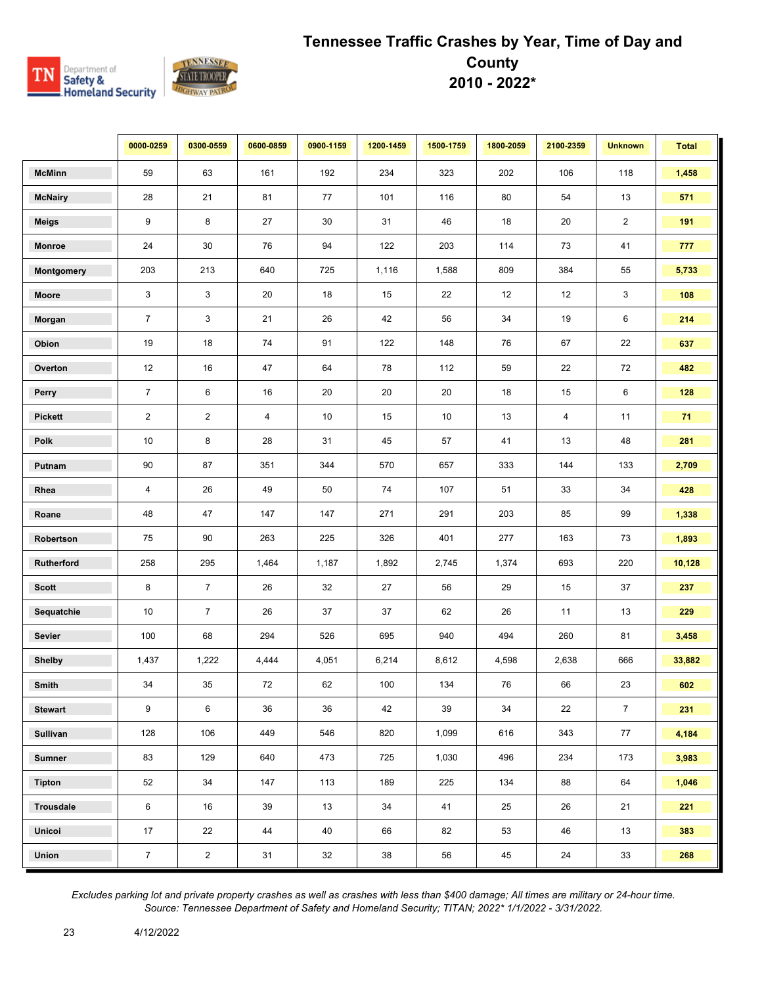

|                   | 0000-0259       | 0300-0559      | 0600-0859               | 0900-1159 | 1200-1459 | 1500-1759 | 1800-2059 | 2100-2359 | <b>Unknown</b> | <b>Total</b> |
|-------------------|-----------------|----------------|-------------------------|-----------|-----------|-----------|-----------|-----------|----------------|--------------|
| <b>McMinn</b>     | 59              | 63             | 161                     | 192       | 234       | 323       | 202       | 106       | 118            | 1,458        |
| <b>McNairy</b>    | 28              | 21             | 81                      | 77        | 101       | 116       | 80        | 54        | 13             | 571          |
| <b>Meigs</b>      | 9               | 8              | 27                      | 30        | 31        | 46        | 18        | 20        | $\overline{2}$ | 191          |
| <b>Monroe</b>     | 24              | 30             | 76                      | 94        | 122       | 203       | 114       | 73        | 41             | 777          |
| <b>Montgomery</b> | 203             | 213            | 640                     | 725       | 1,116     | 1,588     | 809       | 384       | 55             | 5,733        |
| Moore             | 3               | 3              | 20                      | 18        | 15        | 22        | 12        | 12        | 3              | 108          |
| Morgan            | $\overline{7}$  | 3              | 21                      | 26        | 42        | 56        | 34        | 19        | 6              | 214          |
| Obion             | 19              | 18             | 74                      | 91        | 122       | 148       | 76        | 67        | 22             | 637          |
| Overton           | 12              | 16             | 47                      | 64        | 78        | 112       | 59        | 22        | 72             | 482          |
| Perry             | $\overline{7}$  | 6              | 16                      | 20        | 20        | 20        | 18        | 15        | 6              | 128          |
| <b>Pickett</b>    | $\overline{2}$  | $\overline{2}$ | $\overline{\mathbf{4}}$ | $10\,$    | 15        | $10$      | 13        | 4         | 11             | 71           |
| Polk              | 10              | 8              | 28                      | 31        | 45        | 57        | 41        | 13        | 48             | 281          |
| Putnam            | 90              | 87             | 351                     | 344       | 570       | 657       | 333       | 144       | 133            | 2,709        |
| Rhea              | $\overline{4}$  | 26             | 49                      | 50        | 74        | 107       | 51        | 33        | 34             | 428          |
| Roane             | 48              | 47             | 147                     | 147       | 271       | 291       | 203       | 85        | 99             | 1,338        |
| Robertson         | 75              | 90             | 263                     | 225       | 326       | 401       | 277       | 163       | 73             | 1,893        |
| Rutherford        | 258             | 295            | 1,464                   | 1,187     | 1,892     | 2,745     | 1,374     | 693       | 220            | 10,128       |
| <b>Scott</b>      | 8               | $\overline{7}$ | 26                      | 32        | 27        | 56        | 29        | 15        | 37             | 237          |
| Sequatchie        | 10              | $\overline{7}$ | 26                      | 37        | 37        | 62        | 26        | 11        | 13             | 229          |
| Sevier            | 100             | 68             | 294                     | 526       | 695       | 940       | 494       | 260       | 81             | 3,458        |
| <b>Shelby</b>     | 1,437           | 1,222          | 4,444                   | 4,051     | 6,214     | 8,612     | 4,598     | 2,638     | 666            | 33,882       |
| Smith             | 34              | 35             | 72                      | 62        | 100       | 134       | 76        | 66        | 23             | 602          |
| <b>Stewart</b>    | 9               | 6              | 36                      | 36        | 42        | 39        | 34        | 22        | $\overline{7}$ | 231          |
| <b>Sullivan</b>   | 128             | 106            | 449                     | 546       | 820       | 1,099     | 616       | 343       | 77             | 4,184        |
| <b>Sumner</b>     | 83              | 129            | 640                     | 473       | 725       | 1,030     | 496       | 234       | 173            | 3,983        |
| Tipton            | 52              | 34             | 147                     | 113       | 189       | 225       | 134       | 88        | 64             | 1,046        |
| <b>Trousdale</b>  | 6               | 16             | 39                      | 13        | 34        | 41        | 25        | 26        | 21             | 221          |
| Unicoi            | 17              | 22             | 44                      | 40        | 66        | 82        | 53        | 46        | 13             | 383          |
| Union             | $7\overline{ }$ | $\overline{2}$ | 31                      | 32        | 38        | 56        | 45        | 24        | 33             | 268          |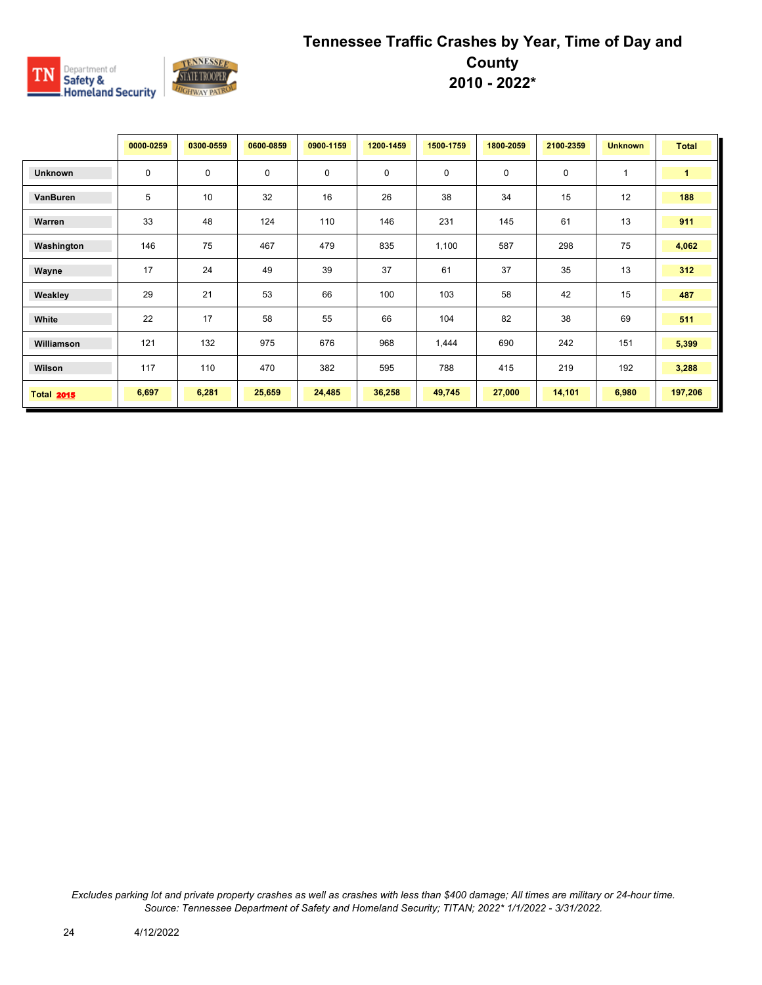

|                   | 0000-0259   | 0300-0559 | 0600-0859   | 0900-1159   | 1200-1459 | 1500-1759   | 1800-2059   | 2100-2359 | <b>Unknown</b> | <b>Total</b> |
|-------------------|-------------|-----------|-------------|-------------|-----------|-------------|-------------|-----------|----------------|--------------|
| <b>Unknown</b>    | $\mathbf 0$ | 0         | $\mathbf 0$ | $\mathbf 0$ | 0         | $\mathbf 0$ | $\mathbf 0$ | $\pmb{0}$ | $\mathbf{1}$   | $\mathbf{1}$ |
| VanBuren          | 5           | 10        | 32          | 16          | 26        | 38          | 34          | 15        | 12             | 188          |
| Warren            | 33          | 48        | 124         | 110         | 146       | 231         | 145         | 61        | 13             | 911          |
| Washington        | 146         | 75        | 467         | 479         | 835       | 1,100       | 587         | 298       | 75             | 4,062        |
| Wayne             | 17          | 24        | 49          | 39          | 37        | 61          | 37          | 35        | 13             | 312          |
| Weakley           | 29          | 21        | 53          | 66          | 100       | 103         | 58          | 42        | 15             | 487          |
| White             | 22          | 17        | 58          | 55          | 66        | 104         | 82          | 38        | 69             | 511          |
| Williamson        | 121         | 132       | 975         | 676         | 968       | 1,444       | 690         | 242       | 151            | 5,399        |
| Wilson            | 117         | 110       | 470         | 382         | 595       | 788         | 415         | 219       | 192            | 3,288        |
| <b>Total 2015</b> | 6,697       | 6,281     | 25,659      | 24,485      | 36,258    | 49,745      | 27,000      | 14,101    | 6,980          | 197,206      |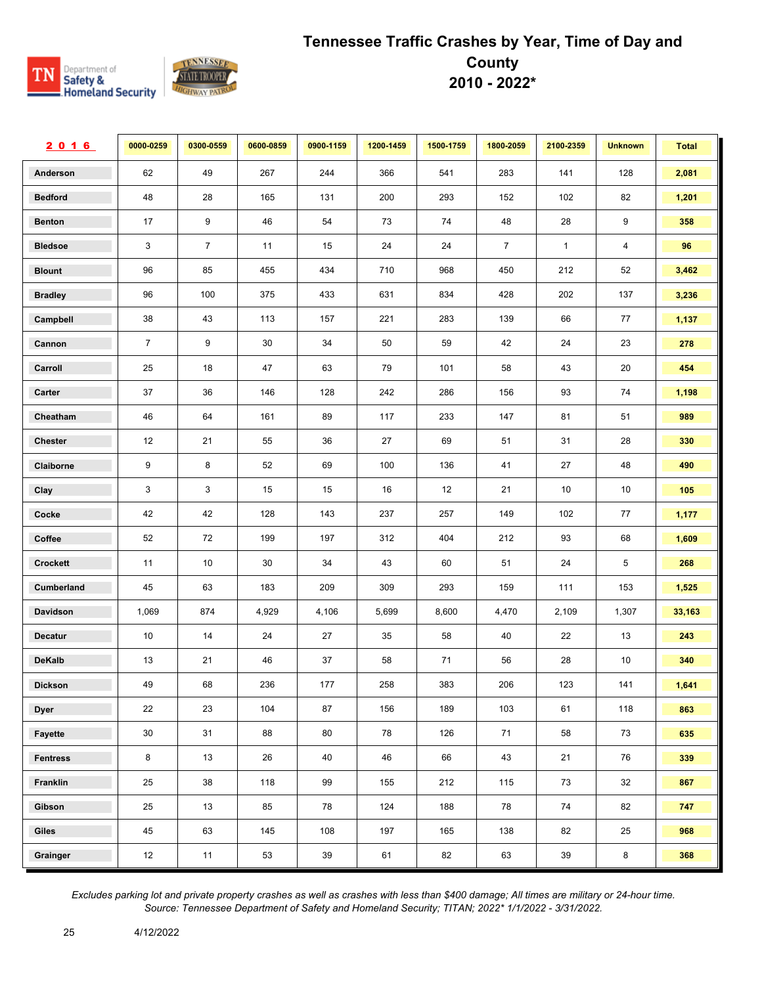

| 2016            | 0000-0259      | 0300-0559      | 0600-0859 | 0900-1159 | 1200-1459 | 1500-1759 | 1800-2059      | 2100-2359    | <b>Unknown</b> | <b>Total</b> |
|-----------------|----------------|----------------|-----------|-----------|-----------|-----------|----------------|--------------|----------------|--------------|
| Anderson        | 62             | 49             | 267       | 244       | 366       | 541       | 283            | 141          | 128            | 2,081        |
| <b>Bedford</b>  | 48             | 28             | 165       | 131       | 200       | 293       | 152            | 102          | 82             | 1,201        |
| <b>Benton</b>   | 17             | 9              | 46        | 54        | 73        | 74        | 48             | 28           | 9              | 358          |
| <b>Bledsoe</b>  | $\mathbf{3}$   | $\overline{7}$ | 11        | 15        | 24        | 24        | $\overline{7}$ | $\mathbf{1}$ | 4              | 96           |
| <b>Blount</b>   | 96             | 85             | 455       | 434       | 710       | 968       | 450            | 212          | 52             | 3,462        |
| <b>Bradley</b>  | 96             | 100            | 375       | 433       | 631       | 834       | 428            | 202          | 137            | 3,236        |
| Campbell        | 38             | 43             | 113       | 157       | 221       | 283       | 139            | 66           | 77             | 1,137        |
| Cannon          | $\overline{7}$ | 9              | 30        | 34        | 50        | 59        | 42             | 24           | 23             | 278          |
| Carroll         | 25             | 18             | 47        | 63        | 79        | 101       | 58             | 43           | 20             | 454          |
| Carter          | 37             | 36             | 146       | 128       | 242       | 286       | 156            | 93           | 74             | 1,198        |
| Cheatham        | 46             | 64             | 161       | 89        | 117       | 233       | 147            | 81           | 51             | 989          |
| <b>Chester</b>  | 12             | 21             | 55        | 36        | 27        | 69        | 51             | 31           | 28             | 330          |
| Claiborne       | 9              | 8              | 52        | 69        | 100       | 136       | 41             | 27           | 48             | 490          |
| Clay            | 3              | 3              | 15        | 15        | 16        | 12        | 21             | 10           | $10$           | 105          |
| Cocke           | 42             | 42             | 128       | 143       | 237       | 257       | 149            | 102          | 77             | 1,177        |
| Coffee          | 52             | 72             | 199       | 197       | 312       | 404       | 212            | 93           | 68             | 1,609        |
| Crockett        | 11             | 10             | 30        | 34        | 43        | 60        | 51             | 24           | 5              | 268          |
| Cumberland      | 45             | 63             | 183       | 209       | 309       | 293       | 159            | 111          | 153            | 1,525        |
| Davidson        | 1,069          | 874            | 4,929     | 4,106     | 5,699     | 8,600     | 4,470          | 2,109        | 1,307          | 33,163       |
| <b>Decatur</b>  | 10             | 14             | 24        | 27        | 35        | 58        | 40             | 22           | 13             | 243          |
| DeKalb          | 13             | 21             | 46        | 37        | 58        | 71        | 56             | 28           | 10             | 340          |
| <b>Dickson</b>  | 49             | 68             | 236       | 177       | 258       | 383       | 206            | 123          | 141            | 1,641        |
| <b>Dyer</b>     | 22             | 23             | 104       | 87        | 156       | 189       | 103            | 61           | 118            | 863          |
| Fayette         | $30\,$         | 31             | 88        | 80        | 78        | 126       | 71             | 58           | 73             | 635          |
| <b>Fentress</b> | 8              | 13             | 26        | 40        | 46        | 66        | 43             | 21           | 76             | 339          |
| Franklin        | 25             | 38             | 118       | 99        | 155       | 212       | 115            | 73           | 32             | 867          |
| Gibson          | 25             | 13             | 85        | 78        | 124       | 188       | 78             | 74           | 82             | 747          |
| Giles           | 45             | 63             | 145       | 108       | 197       | 165       | 138            | 82           | 25             | 968          |
| Grainger        | 12             | 11             | 53        | 39        | 61        | 82        | 63             | 39           | 8              | 368          |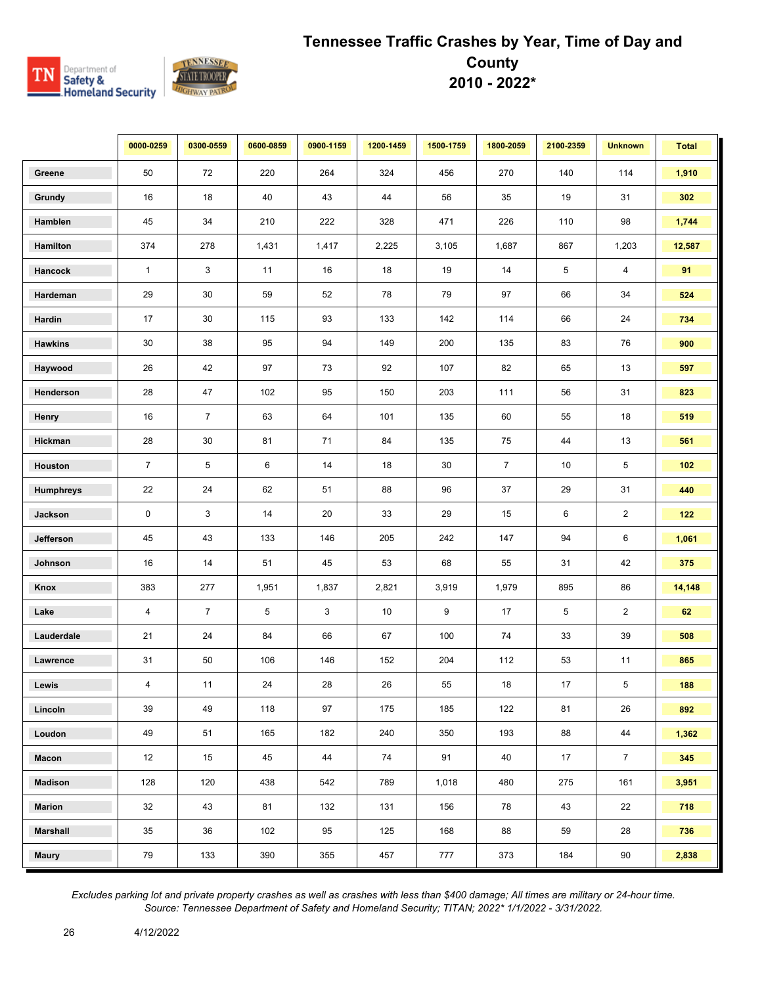

|                  | 0000-0259      | 0300-0559      | 0600-0859 | 0900-1159 | 1200-1459 | 1500-1759 | 1800-2059      | 2100-2359 | <b>Unknown</b> | <b>Total</b> |
|------------------|----------------|----------------|-----------|-----------|-----------|-----------|----------------|-----------|----------------|--------------|
| Greene           | 50             | 72             | 220       | 264       | 324       | 456       | 270            | 140       | 114            | 1,910        |
| Grundy           | 16             | 18             | 40        | 43        | 44        | 56        | 35             | 19        | 31             | 302          |
| Hamblen          | 45             | 34             | 210       | 222       | 328       | 471       | 226            | 110       | 98             | 1,744        |
| Hamilton         | 374            | 278            | 1,431     | 1,417     | 2,225     | 3,105     | 1,687          | 867       | 1,203          | 12,587       |
| Hancock          | $\mathbf{1}$   | 3              | 11        | 16        | 18        | 19        | 14             | 5         | 4              | 91           |
| Hardeman         | 29             | 30             | 59        | 52        | 78        | 79        | 97             | 66        | 34             | 524          |
| Hardin           | 17             | 30             | 115       | 93        | 133       | 142       | 114            | 66        | 24             | 734          |
| <b>Hawkins</b>   | 30             | 38             | 95        | 94        | 149       | 200       | 135            | 83        | 76             | 900          |
| Haywood          | 26             | 42             | 97        | 73        | 92        | 107       | 82             | 65        | 13             | 597          |
| Henderson        | 28             | 47             | 102       | 95        | 150       | 203       | 111            | 56        | 31             | 823          |
| Henry            | 16             | $\overline{7}$ | 63        | 64        | 101       | 135       | 60             | 55        | 18             | 519          |
| Hickman          | 28             | 30             | 81        | 71        | 84        | 135       | 75             | 44        | 13             | 561          |
| Houston          | $\overline{7}$ | 5              | 6         | 14        | 18        | 30        | $\overline{7}$ | 10        | 5              | 102          |
| <b>Humphreys</b> | 22             | 24             | 62        | 51        | 88        | 96        | 37             | 29        | 31             | 440          |
| Jackson          | 0              | 3              | 14        | 20        | 33        | 29        | 15             | 6         | $\overline{2}$ | 122          |
| Jefferson        | 45             | 43             | 133       | 146       | 205       | 242       | 147            | 94        | 6              | 1,061        |
| Johnson          | 16             | 14             | 51        | 45        | 53        | 68        | 55             | 31        | 42             | 375          |
| Knox             | 383            | 277            | 1,951     | 1,837     | 2,821     | 3,919     | 1,979          | 895       | 86             | 14,148       |
| Lake             | 4              | $\overline{7}$ | 5         | 3         | 10        | 9         | 17             | 5         | $\overline{2}$ | 62           |
| Lauderdale       | 21             | 24             | 84        | 66        | 67        | 100       | 74             | 33        | 39             | 508          |
| Lawrence         | 31             | 50             | 106       | 146       | 152       | 204       | 112            | 53        | 11             | 865          |
| Lewis            | 4              | 11             | 24        | 28        | 26        | 55        | 18             | 17        | 5              | 188          |
| Lincoln          | 39             | 49             | 118       | 97        | 175       | 185       | 122            | 81        | 26             | 892          |
| Loudon           | 49             | 51             | 165       | 182       | 240       | 350       | 193            | 88        | 44             | 1,362        |
| Macon            | 12             | 15             | 45        | 44        | 74        | 91        | 40             | 17        | $\overline{7}$ | 345          |
| <b>Madison</b>   | 128            | 120            | 438       | 542       | 789       | 1,018     | 480            | 275       | 161            | 3,951        |
| <b>Marion</b>    | 32             | 43             | 81        | 132       | 131       | 156       | 78             | 43        | 22             | 718          |
| <b>Marshall</b>  | 35             | 36             | 102       | 95        | 125       | 168       | 88             | 59        | 28             | 736          |
| <b>Maury</b>     | 79             | 133            | 390       | 355       | 457       | 777       | 373            | 184       | 90             | 2,838        |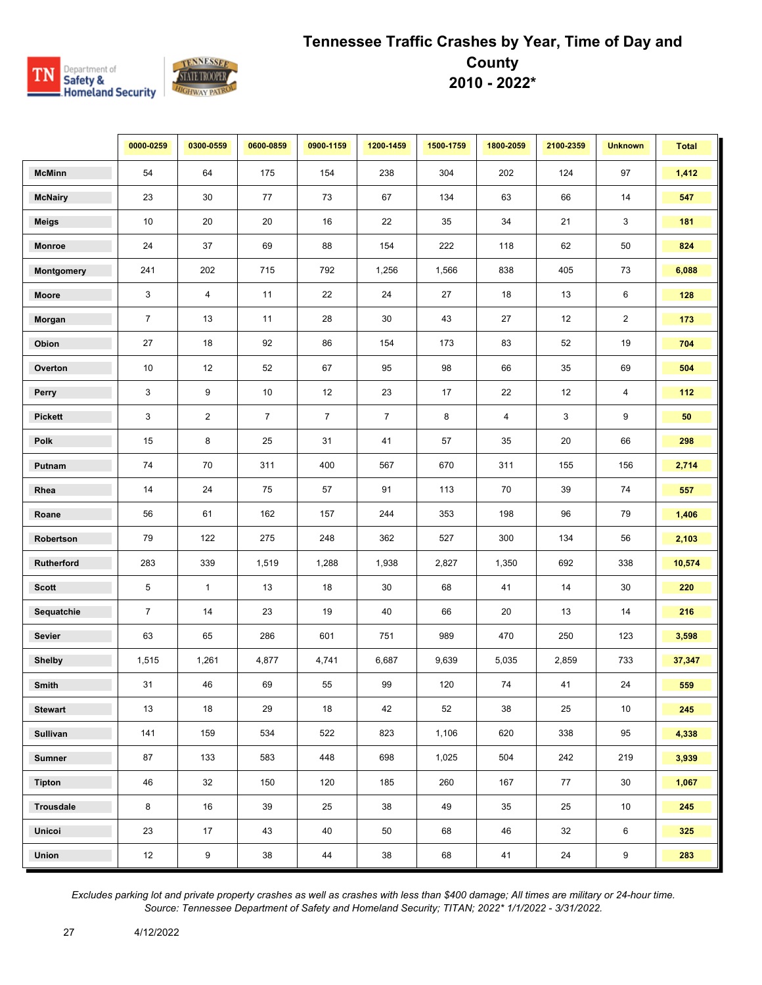

|                 | 0000-0259      | 0300-0559        | 0600-0859      | 0900-1159      | 1200-1459      | 1500-1759 | 1800-2059      | 2100-2359 | <b>Unknown</b> | <b>Total</b> |
|-----------------|----------------|------------------|----------------|----------------|----------------|-----------|----------------|-----------|----------------|--------------|
| <b>McMinn</b>   | 54             | 64               | 175            | 154            | 238            | 304       | 202            | 124       | 97             | 1,412        |
| <b>McNairy</b>  | 23             | 30               | 77             | 73             | 67             | 134       | 63             | 66        | 14             | 547          |
| <b>Meigs</b>    | 10             | 20               | 20             | 16             | 22             | 35        | 34             | 21        | 3              | 181          |
| <b>Monroe</b>   | 24             | 37               | 69             | 88             | 154            | 222       | 118            | 62        | 50             | 824          |
| Montgomery      | 241            | 202              | 715            | 792            | 1,256          | 1,566     | 838            | 405       | 73             | 6,088        |
| Moore           | 3              | $\overline{4}$   | 11             | 22             | 24             | 27        | 18             | 13        | 6              | 128          |
| Morgan          | $\overline{7}$ | 13               | 11             | 28             | 30             | 43        | 27             | 12        | $\overline{2}$ | 173          |
| Obion           | 27             | 18               | 92             | 86             | 154            | 173       | 83             | 52        | 19             | 704          |
| Overton         | 10             | 12               | 52             | 67             | 95             | 98        | 66             | 35        | 69             | 504          |
| Perry           | 3              | 9                | 10             | 12             | 23             | 17        | 22             | 12        | $\overline{4}$ | 112          |
| <b>Pickett</b>  | 3              | $\overline{2}$   | $\overline{7}$ | $\overline{7}$ | $\overline{7}$ | 8         | $\overline{4}$ | 3         | 9              | 50           |
| Polk            | 15             | 8                | 25             | 31             | 41             | 57        | 35             | 20        | 66             | 298          |
| Putnam          | 74             | 70               | 311            | 400            | 567            | 670       | 311            | 155       | 156            | 2,714        |
| Rhea            | 14             | 24               | 75             | 57             | 91             | 113       | 70             | 39        | 74             | 557          |
| Roane           | 56             | 61               | 162            | 157            | 244            | 353       | 198            | 96        | 79             | 1,406        |
| Robertson       | 79             | 122              | 275            | 248            | 362            | 527       | 300            | 134       | 56             | 2,103        |
| Rutherford      | 283            | 339              | 1,519          | 1,288          | 1,938          | 2,827     | 1,350          | 692       | 338            | 10,574       |
| <b>Scott</b>    | 5              | $\mathbf{1}$     | 13             | 18             | $30\,$         | 68        | 41             | 14        | 30             | 220          |
| Sequatchie      | $\overline{7}$ | 14               | 23             | 19             | 40             | 66        | 20             | 13        | 14             | 216          |
| Sevier          | 63             | 65               | 286            | 601            | 751            | 989       | 470            | 250       | 123            | 3,598        |
| <b>Shelby</b>   | 1,515          | 1,261            | 4,877          | 4,741          | 6,687          | 9,639     | 5,035          | 2,859     | 733            | 37,347       |
| Smith           | 31             | 46               | 69             | 55             | 99             | 120       | 74             | 41        | 24             | 559          |
| <b>Stewart</b>  | 13             | 18               | 29             | 18             | 42             | 52        | 38             | 25        | 10             | 245          |
| <b>Sullivan</b> | 141            | 159              | 534            | 522            | 823            | 1,106     | 620            | 338       | 95             | 4,338        |
| <b>Sumner</b>   | 87             | 133              | 583            | 448            | 698            | 1,025     | 504            | 242       | 219            | 3,939        |
| Tipton          | 46             | 32               | 150            | 120            | 185            | 260       | 167            | 77        | 30             | 1,067        |
| Trousdale       | 8              | 16               | 39             | 25             | 38             | 49        | 35             | 25        | 10             | 245          |
| Unicoi          | 23             | 17               | 43             | 40             | 50             | 68        | 46             | 32        | 6              | 325          |
| Union           | 12             | $\boldsymbol{9}$ | 38             | 44             | 38             | 68        | 41             | 24        | 9              | 283          |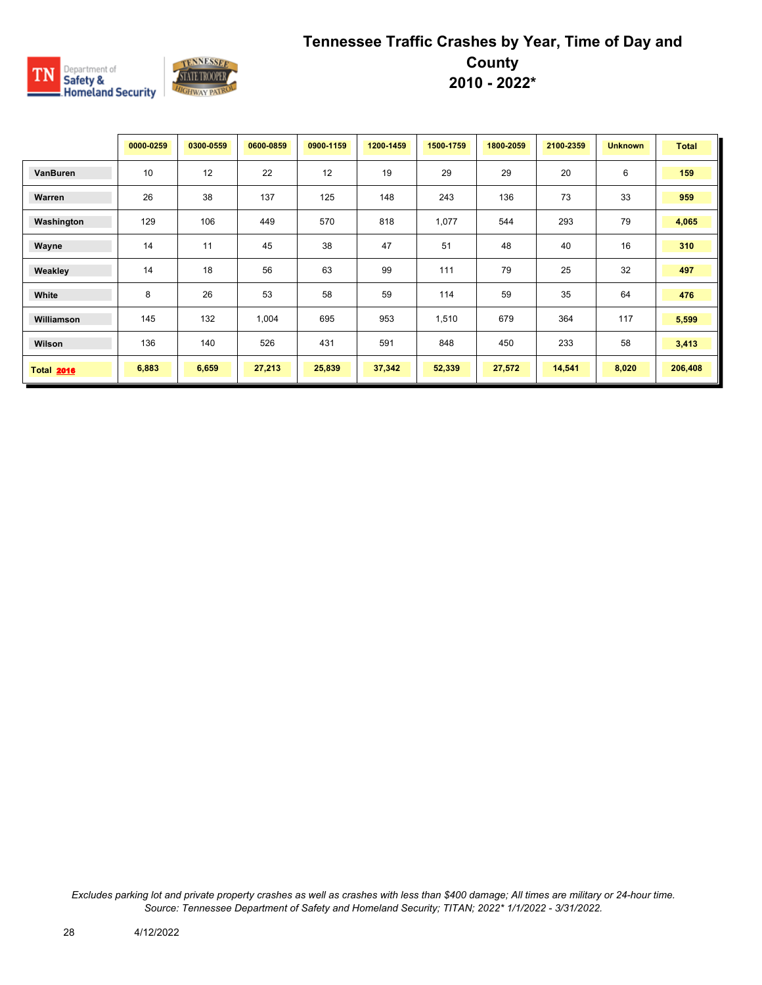

|                   | 0000-0259 | 0300-0559 | 0600-0859 | 0900-1159 | 1200-1459 | 1500-1759 | 1800-2059 | 2100-2359 | <b>Unknown</b> | <b>Total</b> |
|-------------------|-----------|-----------|-----------|-----------|-----------|-----------|-----------|-----------|----------------|--------------|
| VanBuren          | 10        | 12        | 22        | 12        | 19        | 29        | 29        | 20        | 6              | 159          |
| Warren            | 26        | 38        | 137       | 125       | 148       | 243       | 136       | 73        | 33             | 959          |
| Washington        | 129       | 106       | 449       | 570       | 818       | 1,077     | 544       | 293       | 79             | 4,065        |
| Wayne             | 14        | 11        | 45        | 38        | 47        | 51        | 48        | 40        | 16             | 310          |
| Weakley           | 14        | 18        | 56        | 63        | 99        | 111       | 79        | 25        | 32             | 497          |
| White             | 8         | 26        | 53        | 58        | 59        | 114       | 59        | 35        | 64             | 476          |
| Williamson        | 145       | 132       | 1,004     | 695       | 953       | 1,510     | 679       | 364       | 117            | 5,599        |
| Wilson            | 136       | 140       | 526       | 431       | 591       | 848       | 450       | 233       | 58             | 3,413        |
| <b>Total 2016</b> | 6,883     | 6,659     | 27,213    | 25,839    | 37,342    | 52,339    | 27,572    | 14,541    | 8,020          | 206,408      |

*Excludes parking lot and private property crashes as well as crashes with less than \$400 damage; All times are military or 24-hour time. Source: Tennessee Department of Safety and Homeland Security; TITAN; 2022\* 1/1/2022 - 3/31/2022.*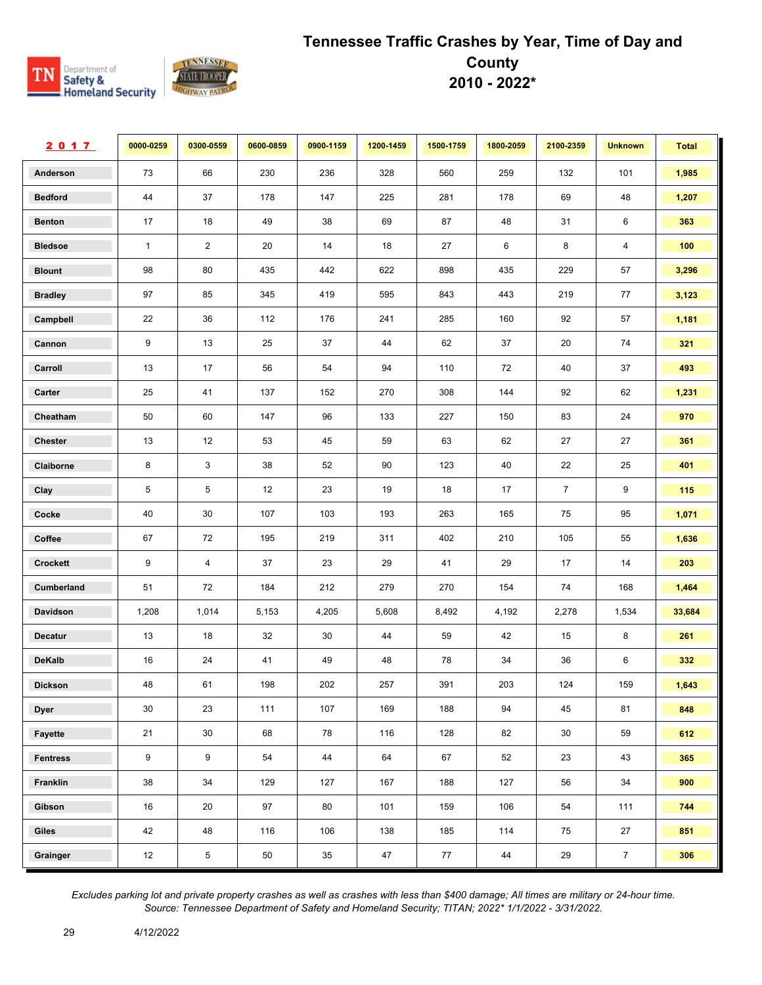

| 2017            | 0000-0259    | 0300-0559      | 0600-0859 | 0900-1159 | 1200-1459 | 1500-1759 | 1800-2059 | 2100-2359      | <b>Unknown</b> | <b>Total</b> |
|-----------------|--------------|----------------|-----------|-----------|-----------|-----------|-----------|----------------|----------------|--------------|
| Anderson        | 73           | 66             | 230       | 236       | 328       | 560       | 259       | 132            | 101            | 1,985        |
| <b>Bedford</b>  | 44           | 37             | 178       | 147       | 225       | 281       | 178       | 69             | 48             | 1,207        |
| <b>Benton</b>   | 17           | 18             | 49        | 38        | 69        | 87        | 48        | 31             | 6              | 363          |
| <b>Bledsoe</b>  | $\mathbf{1}$ | $\overline{2}$ | 20        | 14        | 18        | 27        | 6         | 8              | 4              | 100          |
| <b>Blount</b>   | 98           | 80             | 435       | 442       | 622       | 898       | 435       | 229            | 57             | 3,296        |
| <b>Bradley</b>  | 97           | 85             | 345       | 419       | 595       | 843       | 443       | 219            | 77             | 3,123        |
| Campbell        | 22           | 36             | 112       | 176       | 241       | 285       | 160       | 92             | 57             | 1,181        |
| Cannon          | 9            | 13             | 25        | 37        | 44        | 62        | 37        | 20             | 74             | 321          |
| Carroll         | 13           | 17             | 56        | 54        | 94        | 110       | 72        | 40             | 37             | 493          |
| Carter          | 25           | 41             | 137       | 152       | 270       | 308       | 144       | 92             | 62             | 1,231        |
| Cheatham        | 50           | 60             | 147       | 96        | 133       | 227       | 150       | 83             | 24             | 970          |
| <b>Chester</b>  | 13           | 12             | 53        | 45        | 59        | 63        | 62        | 27             | 27             | 361          |
| Claiborne       | 8            | 3              | 38        | 52        | 90        | 123       | 40        | 22             | 25             | 401          |
| Clay            | 5            | 5              | 12        | 23        | 19        | 18        | 17        | $\overline{7}$ | 9              | 115          |
| Cocke           | 40           | 30             | 107       | 103       | 193       | 263       | 165       | 75             | 95             | 1,071        |
| Coffee          | 67           | 72             | 195       | 219       | 311       | 402       | 210       | 105            | 55             | 1,636        |
| Crockett        | 9            | 4              | 37        | 23        | 29        | 41        | 29        | 17             | 14             | 203          |
| Cumberland      | 51           | 72             | 184       | 212       | 279       | 270       | 154       | 74             | 168            | 1,464        |
| Davidson        | 1,208        | 1,014          | 5,153     | 4,205     | 5,608     | 8,492     | 4,192     | 2,278          | 1,534          | 33,684       |
| <b>Decatur</b>  | 13           | 18             | 32        | 30        | 44        | 59        | 42        | 15             | 8              | 261          |
| <b>DeKalb</b>   | 16           | 24             | 41        | 49        | 48        | 78        | 34        | 36             | 6              | 332          |
| <b>Dickson</b>  | 48           | 61             | 198       | 202       | 257       | 391       | 203       | 124            | 159            | 1,643        |
| <b>Dyer</b>     | 30           | 23             | 111       | 107       | 169       | 188       | 94        | 45             | 81             | 848          |
| Fayette         | 21           | 30             | 68        | 78        | 116       | 128       | 82        | 30             | 59             | 612          |
| <b>Fentress</b> | 9            | 9              | 54        | 44        | 64        | 67        | 52        | 23             | 43             | 365          |
| Franklin        | 38           | 34             | 129       | 127       | 167       | 188       | 127       | 56             | 34             | 900          |
| Gibson          | 16           | 20             | 97        | 80        | 101       | 159       | 106       | 54             | 111            | 744          |
| Giles           | 42           | 48             | 116       | 106       | 138       | 185       | 114       | 75             | 27             | 851          |
| Grainger        | 12           | $\overline{5}$ | $50\,$    | 35        | 47        | 77        | 44        | $29\,$         | $\overline{7}$ | 306          |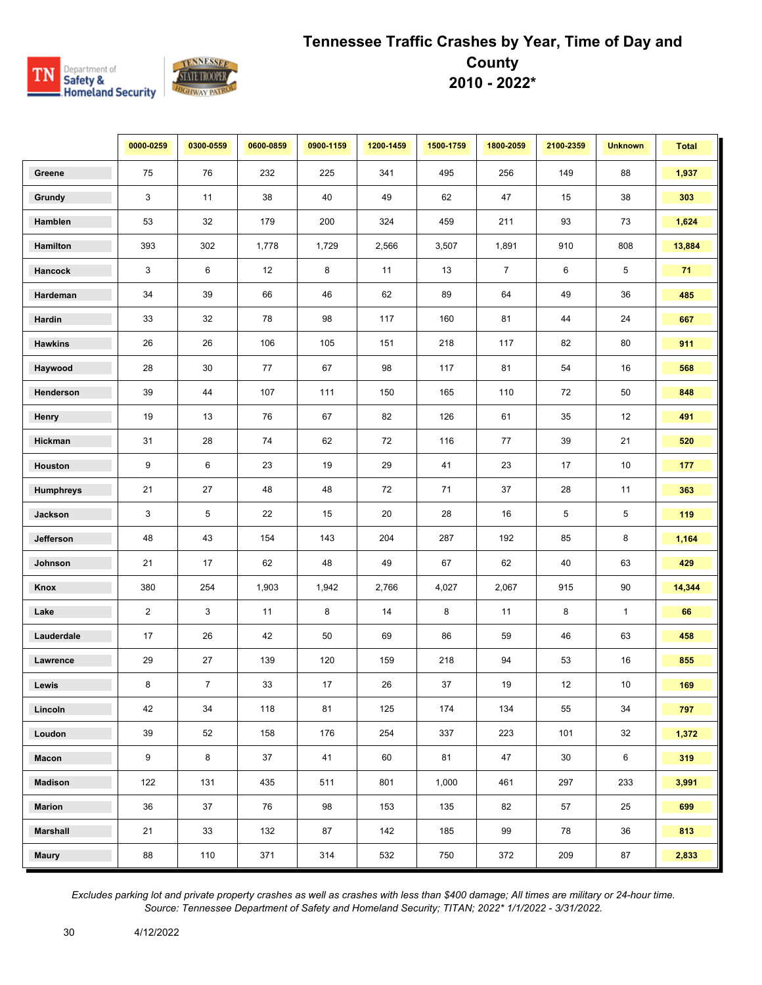

|                  | 0000-0259      | 0300-0559      | 0600-0859 | 0900-1159 | 1200-1459 | 1500-1759 | 1800-2059      | 2100-2359 | <b>Unknown</b>  | <b>Total</b> |
|------------------|----------------|----------------|-----------|-----------|-----------|-----------|----------------|-----------|-----------------|--------------|
| Greene           | 75             | 76             | 232       | 225       | 341       | 495       | 256            | 149       | 88              | 1,937        |
| Grundy           | 3              | 11             | 38        | 40        | 49        | 62        | 47             | 15        | 38              | 303          |
| Hamblen          | 53             | 32             | 179       | 200       | 324       | 459       | 211            | 93        | 73              | 1,624        |
| Hamilton         | 393            | 302            | 1,778     | 1,729     | 2,566     | 3,507     | 1,891          | 910       | 808             | 13,884       |
| Hancock          | 3              | 6              | 12        | 8         | 11        | 13        | $\overline{7}$ | 6         | 5               | 71           |
| Hardeman         | 34             | $39\,$         | 66        | 46        | 62        | 89        | 64             | 49        | 36              | 485          |
| Hardin           | 33             | 32             | 78        | 98        | 117       | 160       | 81             | 44        | 24              | 667          |
| <b>Hawkins</b>   | 26             | 26             | 106       | 105       | 151       | 218       | 117            | 82        | 80              | 911          |
| Haywood          | 28             | 30             | 77        | 67        | 98        | 117       | 81             | 54        | 16              | 568          |
| Henderson        | 39             | 44             | 107       | 111       | 150       | 165       | 110            | 72        | 50              | 848          |
| Henry            | 19             | 13             | 76        | 67        | 82        | 126       | 61             | 35        | 12              | 491          |
| Hickman          | 31             | 28             | 74        | 62        | 72        | 116       | 77             | 39        | 21              | 520          |
| Houston          | 9              | 6              | 23        | 19        | 29        | 41        | 23             | 17        | 10              | 177          |
| <b>Humphreys</b> | 21             | 27             | 48        | 48        | 72        | 71        | 37             | 28        | 11              | 363          |
| Jackson          | 3              | 5              | 22        | 15        | 20        | 28        | 16             | 5         | 5               | 119          |
| Jefferson        | 48             | 43             | 154       | 143       | 204       | 287       | 192            | 85        | 8               | 1,164        |
| Johnson          | 21             | 17             | 62        | 48        | 49        | 67        | 62             | 40        | 63              | 429          |
| Knox             | 380            | 254            | 1,903     | 1,942     | 2,766     | 4,027     | 2,067          | 915       | 90              | 14,344       |
| Lake             | $\overline{2}$ | 3              | 11        | 8         | 14        | 8         | 11             | 8         | $\mathbf{1}$    | 66           |
| Lauderdale       | 17             | 26             | 42        | 50        | 69        | 86        | 59             | 46        | 63              | 458          |
| Lawrence         | 29             | 27             | 139       | 120       | 159       | 218       | 94             | 53        | 16              | 855          |
| Lewis            | 8              | $\overline{7}$ | 33        | 17        | 26        | 37        | 19             | 12        | 10              | 169          |
| Lincoln          | 42             | 34             | 118       | 81        | 125       | 174       | 134            | 55        | 34              | 797          |
| Loudon           | 39             | 52             | 158       | 176       | 254       | 337       | 223            | 101       | 32              | 1,372        |
| Macon            | 9              | 8              | 37        | 41        | 60        | 81        | 47             | 30        | $6\phantom{.0}$ | 319          |
| <b>Madison</b>   | 122            | 131            | 435       | 511       | 801       | 1,000     | 461            | 297       | 233             | 3,991        |
| <b>Marion</b>    | 36             | 37             | 76        | 98        | 153       | 135       | 82             | 57        | 25              | 699          |
| <b>Marshall</b>  | 21             | 33             | 132       | 87        | 142       | 185       | 99             | 78        | 36              | 813          |
| <b>Maury</b>     | 88             | 110            | 371       | 314       | 532       | 750       | 372            | 209       | 87              | 2,833        |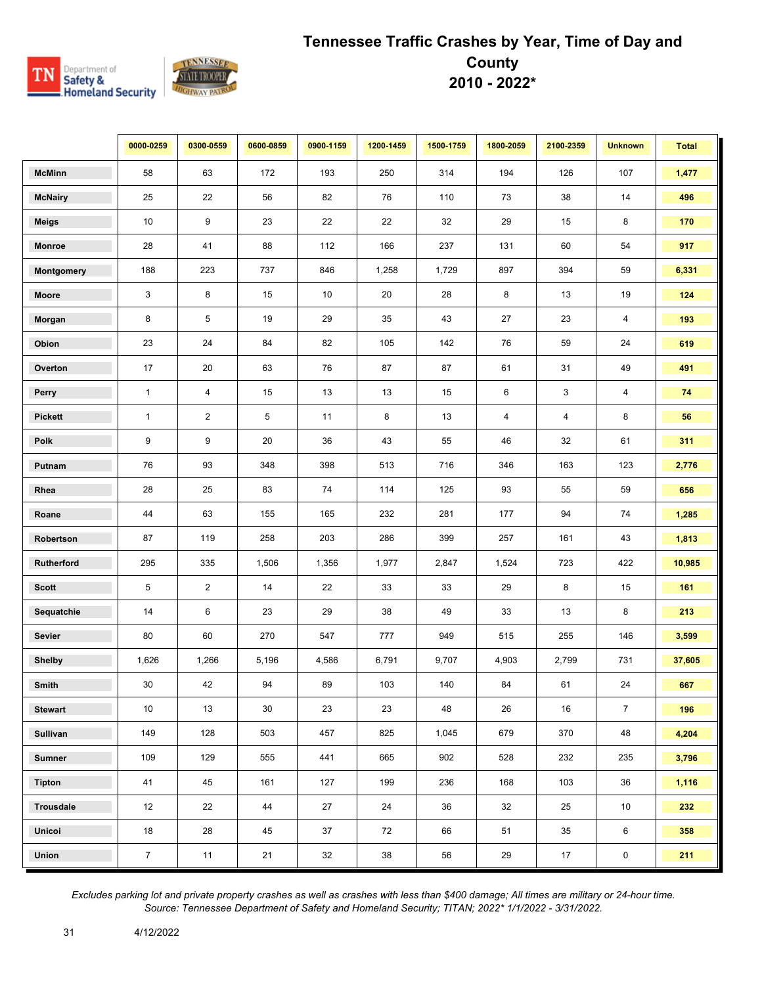

|                  | 0000-0259      | 0300-0559      | 0600-0859 | 0900-1159 | 1200-1459 | 1500-1759 | 1800-2059      | 2100-2359               | <b>Unknown</b>          | <b>Total</b> |
|------------------|----------------|----------------|-----------|-----------|-----------|-----------|----------------|-------------------------|-------------------------|--------------|
| <b>McMinn</b>    | 58             | 63             | 172       | 193       | 250       | 314       | 194            | 126                     | 107                     | 1,477        |
| <b>McNairy</b>   | 25             | 22             | 56        | 82        | 76        | 110       | 73             | 38                      | 14                      | 496          |
| Meigs            | 10             | 9              | 23        | 22        | 22        | $32\,$    | 29             | 15                      | 8                       | 170          |
| <b>Monroe</b>    | 28             | 41             | 88        | 112       | 166       | 237       | 131            | 60                      | 54                      | 917          |
| Montgomery       | 188            | 223            | 737       | 846       | 1,258     | 1,729     | 897            | 394                     | 59                      | 6,331        |
| Moore            | 3              | 8              | 15        | 10        | 20        | 28        | 8              | 13                      | 19                      | 124          |
| Morgan           | 8              | 5              | 19        | 29        | 35        | 43        | 27             | 23                      | $\overline{\mathbf{4}}$ | 193          |
| Obion            | 23             | 24             | 84        | 82        | 105       | 142       | 76             | 59                      | 24                      | 619          |
| Overton          | 17             | 20             | 63        | 76        | 87        | 87        | 61             | 31                      | 49                      | 491          |
| Perry            | $\mathbf{1}$   | 4              | 15        | 13        | 13        | 15        | 6              | 3                       | $\overline{\mathbf{4}}$ | 74           |
| <b>Pickett</b>   | $\mathbf{1}$   | $\overline{2}$ | 5         | 11        | 8         | 13        | $\overline{4}$ | $\overline{\mathbf{4}}$ | 8                       | 56           |
| Polk             | 9              | 9              | 20        | 36        | 43        | 55        | 46             | 32                      | 61                      | 311          |
| Putnam           | 76             | 93             | 348       | 398       | 513       | 716       | 346            | 163                     | 123                     | 2,776        |
| Rhea             | 28             | 25             | 83        | 74        | 114       | 125       | 93             | 55                      | 59                      | 656          |
| Roane            | 44             | 63             | 155       | 165       | 232       | 281       | 177            | 94                      | 74                      | 1,285        |
| Robertson        | 87             | 119            | 258       | 203       | 286       | 399       | 257            | 161                     | 43                      | 1,813        |
| Rutherford       | 295            | 335            | 1,506     | 1,356     | 1,977     | 2,847     | 1,524          | 723                     | 422                     | 10,985       |
| <b>Scott</b>     | 5              | $\overline{2}$ | 14        | 22        | 33        | 33        | 29             | 8                       | 15                      | 161          |
| Sequatchie       | 14             | 6              | 23        | 29        | 38        | 49        | 33             | 13                      | 8                       | 213          |
| Sevier           | 80             | 60             | 270       | 547       | 777       | 949       | 515            | 255                     | 146                     | 3,599        |
| <b>Shelby</b>    | 1,626          | 1,266          | 5,196     | 4,586     | 6,791     | 9,707     | 4,903          | 2,799                   | 731                     | 37,605       |
| Smith            | 30             | 42             | 94        | 89        | 103       | 140       | 84             | 61                      | 24                      | 667          |
| <b>Stewart</b>   | 10             | 13             | 30        | 23        | 23        | 48        | 26             | 16                      | $\overline{7}$          | 196          |
| Sullivan         | 149            | 128            | 503       | 457       | 825       | 1,045     | 679            | 370                     | 48                      | 4,204        |
| <b>Sumner</b>    | 109            | 129            | 555       | 441       | 665       | 902       | 528            | 232                     | 235                     | 3,796        |
| <b>Tipton</b>    | 41             | 45             | 161       | 127       | 199       | 236       | 168            | 103                     | 36                      | 1,116        |
| <b>Trousdale</b> | 12             | 22             | 44        | 27        | 24        | 36        | 32             | 25                      | 10                      | 232          |
| Unicoi           | 18             | 28             | 45        | 37        | 72        | 66        | 51             | 35                      | 6                       | 358          |
| Union            | $\overline{7}$ | 11             | 21        | 32        | 38        | 56        | 29             | $17$                    | $\pmb{0}$               | 211          |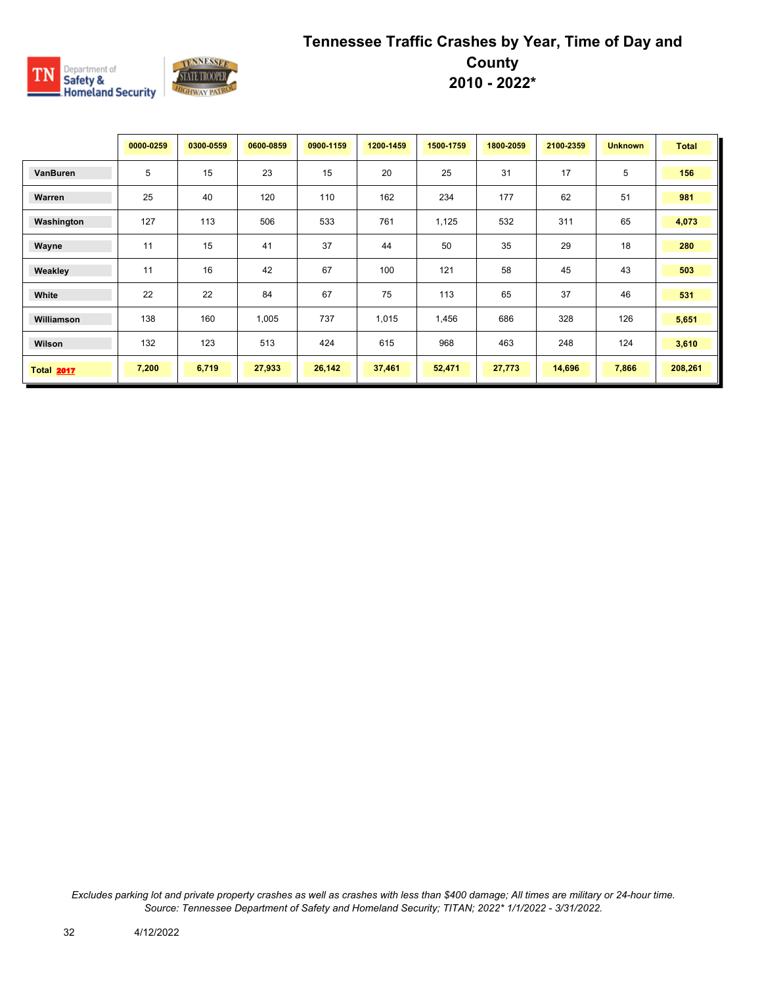

|                   | 0000-0259 | 0300-0559 | 0600-0859 | 0900-1159 | 1200-1459 | 1500-1759 | 1800-2059 | 2100-2359 | <b>Unknown</b> | <b>Total</b> |
|-------------------|-----------|-----------|-----------|-----------|-----------|-----------|-----------|-----------|----------------|--------------|
| VanBuren          | 5         | 15        | 23        | 15        | 20        | 25        | 31        | 17        | 5              | 156          |
| Warren            | 25        | 40        | 120       | 110       | 162       | 234       | 177       | 62        | 51             | 981          |
| Washington        | 127       | 113       | 506       | 533       | 761       | 1,125     | 532       | 311       | 65             | 4,073        |
| Wayne             | 11        | 15        | 41        | 37        | 44        | 50        | 35        | 29        | 18             | 280          |
| Weakley           | 11        | 16        | 42        | 67        | 100       | 121       | 58        | 45        | 43             | 503          |
| White             | 22        | 22        | 84        | 67        | 75        | 113       | 65        | 37        | 46             | 531          |
| Williamson        | 138       | 160       | 1,005     | 737       | 1,015     | 1,456     | 686       | 328       | 126            | 5,651        |
| Wilson            | 132       | 123       | 513       | 424       | 615       | 968       | 463       | 248       | 124            | 3,610        |
| <b>Total 2017</b> | 7,200     | 6,719     | 27,933    | 26,142    | 37,461    | 52,471    | 27,773    | 14,696    | 7,866          | 208,261      |

*Excludes parking lot and private property crashes as well as crashes with less than \$400 damage; All times are military or 24-hour time. Source: Tennessee Department of Safety and Homeland Security; TITAN; 2022\* 1/1/2022 - 3/31/2022.*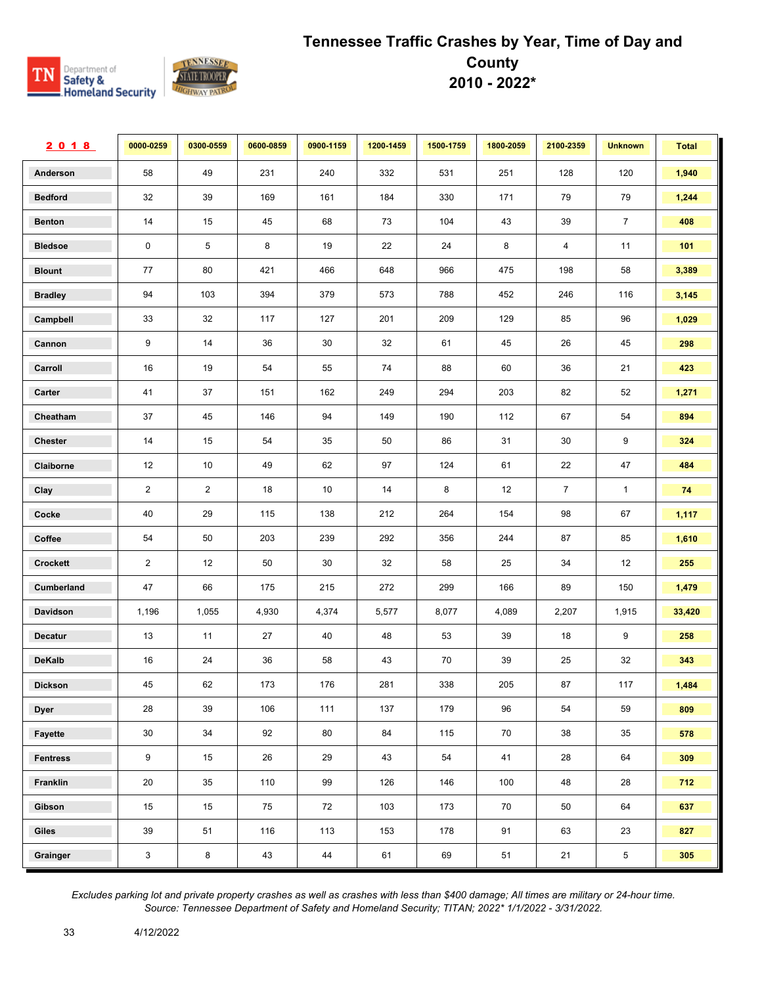

| 2018            | 0000-0259      | 0300-0559       | 0600-0859 | 0900-1159 | 1200-1459 | 1500-1759 | 1800-2059 | 2100-2359      | <b>Unknown</b> | <b>Total</b> |
|-----------------|----------------|-----------------|-----------|-----------|-----------|-----------|-----------|----------------|----------------|--------------|
| Anderson        | 58             | 49              | 231       | 240       | 332       | 531       | 251       | 128            | 120            | 1,940        |
| <b>Bedford</b>  | 32             | 39              | 169       | 161       | 184       | 330       | 171       | 79             | 79             | 1,244        |
| <b>Benton</b>   | 14             | 15              | 45        | 68        | 73        | 104       | 43        | 39             | $\overline{7}$ | 408          |
| <b>Bledsoe</b>  | $\mathbf 0$    | 5               | 8         | 19        | 22        | 24        | 8         | 4              | 11             | 101          |
| <b>Blount</b>   | 77             | 80              | 421       | 466       | 648       | 966       | 475       | 198            | 58             | 3,389        |
| <b>Bradley</b>  | 94             | 103             | 394       | 379       | 573       | 788       | 452       | 246            | 116            | 3,145        |
| Campbell        | 33             | 32              | 117       | 127       | 201       | 209       | 129       | 85             | 96             | 1,029        |
| Cannon          | 9              | 14              | 36        | $30\,$    | 32        | 61        | 45        | 26             | 45             | 298          |
| Carroll         | 16             | 19              | 54        | 55        | 74        | 88        | 60        | 36             | 21             | 423          |
| Carter          | 41             | 37              | 151       | 162       | 249       | 294       | 203       | 82             | 52             | 1,271        |
| Cheatham        | 37             | 45              | 146       | 94        | 149       | 190       | 112       | 67             | 54             | 894          |
| Chester         | 14             | 15              | 54        | 35        | 50        | 86        | 31        | 30             | 9              | 324          |
| Claiborne       | 12             | 10 <sup>°</sup> | 49        | 62        | 97        | 124       | 61        | 22             | 47             | 484          |
| Clay            | $\overline{2}$ | $\overline{2}$  | 18        | 10        | 14        | 8         | 12        | $\overline{7}$ | $\mathbf{1}$   | 74           |
| Cocke           | 40             | 29              | 115       | 138       | 212       | 264       | 154       | 98             | 67             | 1,117        |
| Coffee          | 54             | 50              | 203       | 239       | 292       | 356       | 244       | 87             | 85             | 1,610        |
| Crockett        | $\overline{2}$ | 12              | 50        | 30        | 32        | 58        | 25        | 34             | 12             | 255          |
| Cumberland      | 47             | 66              | 175       | 215       | 272       | 299       | 166       | 89             | 150            | 1,479        |
| Davidson        | 1,196          | 1,055           | 4,930     | 4,374     | 5,577     | 8,077     | 4,089     | 2,207          | 1,915          | 33,420       |
| <b>Decatur</b>  | 13             | 11              | 27        | 40        | 48        | 53        | 39        | 18             | 9              | 258          |
| <b>DeKalb</b>   | 16             | 24              | 36        | 58        | 43        | 70        | 39        | 25             | 32             | 343          |
| <b>Dickson</b>  | 45             | 62              | 173       | 176       | 281       | 338       | 205       | 87             | 117            | 1,484        |
| <b>Dyer</b>     | 28             | 39              | 106       | 111       | 137       | 179       | 96        | 54             | 59             | 809          |
| Fayette         | $30\,$         | 34              | 92        | 80        | 84        | 115       | 70        | 38             | 35             | 578          |
| <b>Fentress</b> | 9              | 15              | 26        | 29        | 43        | 54        | 41        | 28             | 64             | 309          |
| Franklin        | 20             | 35              | 110       | 99        | 126       | 146       | 100       | 48             | 28             | 712          |
| Gibson          | 15             | 15              | 75        | 72        | 103       | 173       | 70        | 50             | 64             | 637          |
| Giles           | 39             | 51              | 116       | 113       | 153       | 178       | 91        | 63             | 23             | 827          |
| Grainger        | $\mathbf{3}$   | 8               | 43        | 44        | 61        | 69        | 51        | 21             | 5              | 305          |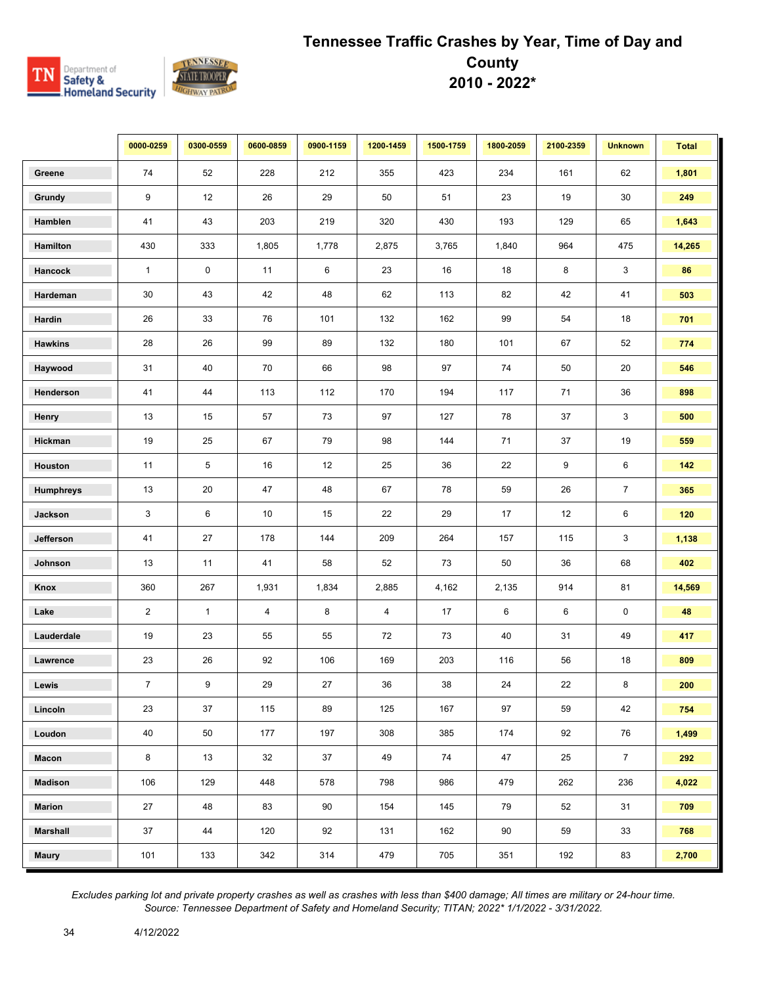

|                  | 0000-0259      | 0300-0559    | 0600-0859      | 0900-1159 | 1200-1459      | 1500-1759 | 1800-2059 | 2100-2359 | <b>Unknown</b> | <b>Total</b> |
|------------------|----------------|--------------|----------------|-----------|----------------|-----------|-----------|-----------|----------------|--------------|
| Greene           | 74             | 52           | 228            | 212       | 355            | 423       | 234       | 161       | 62             | 1,801        |
| Grundy           | 9              | 12           | 26             | 29        | 50             | 51        | 23        | 19        | 30             | 249          |
| Hamblen          | 41             | 43           | 203            | 219       | 320            | 430       | 193       | 129       | 65             | 1,643        |
| Hamilton         | 430            | 333          | 1,805          | 1,778     | 2,875          | 3,765     | 1,840     | 964       | 475            | 14,265       |
| Hancock          | $\mathbf{1}$   | 0            | 11             | 6         | 23             | 16        | 18        | 8         | 3              | 86           |
| Hardeman         | 30             | 43           | 42             | 48        | 62             | 113       | 82        | 42        | 41             | 503          |
| Hardin           | 26             | 33           | 76             | 101       | 132            | 162       | 99        | 54        | 18             | 701          |
| <b>Hawkins</b>   | 28             | 26           | 99             | 89        | 132            | 180       | 101       | 67        | 52             | 774          |
| Haywood          | 31             | 40           | 70             | 66        | 98             | 97        | 74        | 50        | 20             | 546          |
| Henderson        | 41             | 44           | 113            | 112       | 170            | 194       | 117       | 71        | 36             | 898          |
| Henry            | 13             | 15           | 57             | 73        | 97             | 127       | 78        | 37        | 3              | 500          |
| Hickman          | 19             | 25           | 67             | 79        | 98             | 144       | 71        | 37        | 19             | 559          |
| Houston          | 11             | 5            | 16             | 12        | 25             | 36        | 22        | 9         | 6              | $142$        |
| <b>Humphreys</b> | 13             | 20           | 47             | 48        | 67             | 78        | 59        | 26        | $\overline{7}$ | 365          |
| Jackson          | 3              | 6            | $10$           | 15        | 22             | 29        | 17        | 12        | 6              | 120          |
| Jefferson        | 41             | 27           | 178            | 144       | 209            | 264       | 157       | 115       | 3              | 1,138        |
| Johnson          | 13             | 11           | 41             | 58        | 52             | 73        | 50        | 36        | 68             | 402          |
| Knox             | 360            | 267          | 1,931          | 1,834     | 2,885          | 4,162     | 2,135     | 914       | 81             | 14,569       |
| Lake             | $\overline{2}$ | $\mathbf{1}$ | $\overline{4}$ | 8         | $\overline{4}$ | 17        | 6         | 6         | $\mathbf 0$    | 48           |
| Lauderdale       | 19             | 23           | 55             | 55        | 72             | 73        | 40        | 31        | 49             | 417          |
| Lawrence         | 23             | 26           | 92             | 106       | 169            | 203       | 116       | 56        | 18             | 809          |
| Lewis            | $\overline{7}$ | 9            | 29             | 27        | 36             | 38        | 24        | 22        | 8              | 200          |
| Lincoln          | 23             | 37           | 115            | 89        | 125            | 167       | 97        | 59        | 42             | 754          |
| Loudon           | 40             | 50           | 177            | 197       | 308            | 385       | 174       | 92        | 76             | 1,499        |
| Macon            | 8              | 13           | 32             | 37        | 49             | 74        | 47        | 25        | $\overline{7}$ | 292          |
| <b>Madison</b>   | 106            | 129          | 448            | 578       | 798            | 986       | 479       | 262       | 236            | 4,022        |
| <b>Marion</b>    | 27             | 48           | 83             | 90        | 154            | 145       | 79        | 52        | 31             | 709          |
| <b>Marshall</b>  | 37             | 44           | 120            | 92        | 131            | 162       | 90        | 59        | 33             | 768          |
| <b>Maury</b>     | 101            | 133          | 342            | 314       | 479            | 705       | 351       | 192       | 83             | 2,700        |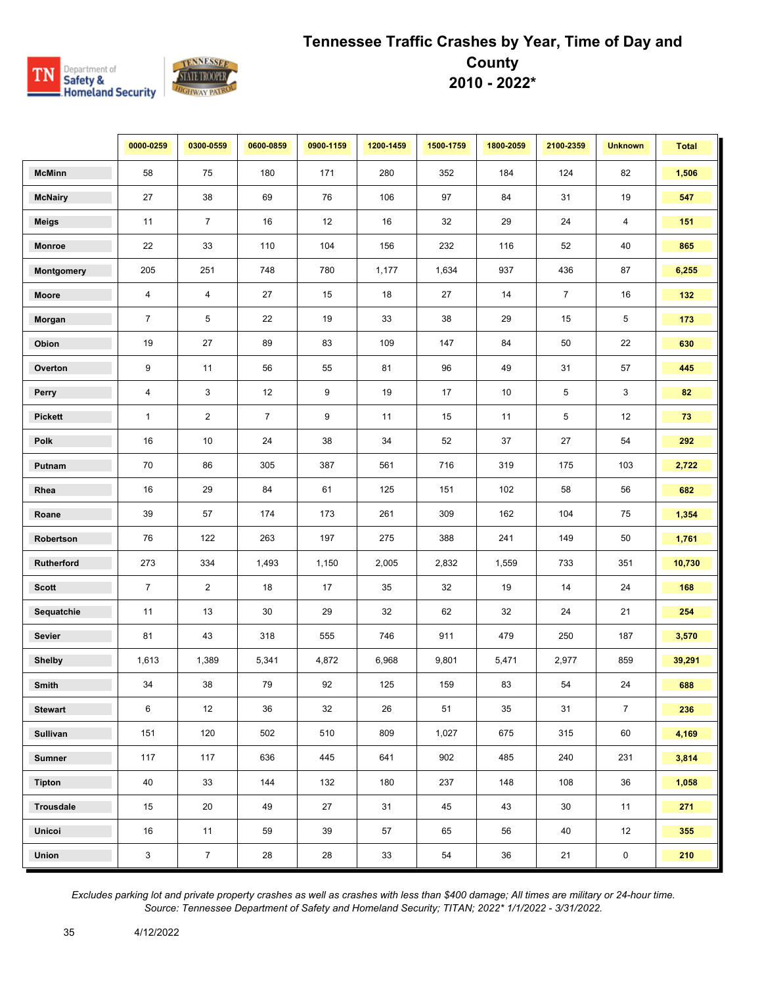

|                   | 0000-0259               | 0300-0559      | 0600-0859      | 0900-1159 | 1200-1459 | 1500-1759 | 1800-2059 | 2100-2359      | <b>Unknown</b> | <b>Total</b> |
|-------------------|-------------------------|----------------|----------------|-----------|-----------|-----------|-----------|----------------|----------------|--------------|
| <b>McMinn</b>     | 58                      | 75             | 180            | 171       | 280       | 352       | 184       | 124            | 82             | 1,506        |
| <b>McNairy</b>    | 27                      | 38             | 69             | 76        | 106       | 97        | 84        | 31             | 19             | 547          |
| <b>Meigs</b>      | 11                      | $\overline{7}$ | 16             | 12        | 16        | 32        | 29        | 24             | 4              | 151          |
| <b>Monroe</b>     | 22                      | 33             | 110            | 104       | 156       | 232       | 116       | 52             | 40             | 865          |
| <b>Montgomery</b> | 205                     | 251            | 748            | 780       | 1,177     | 1,634     | 937       | 436            | 87             | 6,255        |
| Moore             | $\overline{4}$          | $\overline{4}$ | 27             | 15        | 18        | 27        | 14        | $\overline{7}$ | 16             | 132          |
| Morgan            | $\overline{7}$          | 5              | 22             | 19        | 33        | 38        | 29        | 15             | 5              | 173          |
| Obion             | 19                      | 27             | 89             | 83        | 109       | 147       | 84        | 50             | 22             | 630          |
| Overton           | 9                       | 11             | 56             | 55        | 81        | 96        | 49        | 31             | 57             | 445          |
| Perry             | $\overline{\mathbf{4}}$ | 3              | $12\,$         | 9         | 19        | 17        | $10\,$    | 5              | 3              | 82           |
| <b>Pickett</b>    | $\mathbf{1}$            | $\overline{2}$ | $\overline{7}$ | 9         | 11        | 15        | 11        | 5              | 12             | 73           |
| Polk              | 16                      | 10             | 24             | 38        | 34        | 52        | 37        | 27             | 54             | 292          |
| Putnam            | 70                      | 86             | 305            | 387       | 561       | 716       | 319       | 175            | 103            | 2,722        |
| Rhea              | 16                      | 29             | 84             | 61        | 125       | 151       | 102       | 58             | 56             | 682          |
| Roane             | 39                      | 57             | 174            | 173       | 261       | 309       | 162       | 104            | 75             | 1,354        |
| Robertson         | 76                      | 122            | 263            | 197       | 275       | 388       | 241       | 149            | 50             | 1,761        |
| Rutherford        | 273                     | 334            | 1,493          | 1,150     | 2,005     | 2,832     | 1,559     | 733            | 351            | 10,730       |
| <b>Scott</b>      | $\overline{7}$          | $\overline{2}$ | 18             | 17        | 35        | 32        | 19        | 14             | 24             | 168          |
| Sequatchie        | 11                      | 13             | 30             | 29        | 32        | 62        | 32        | 24             | 21             | 254          |
| Sevier            | 81                      | 43             | 318            | 555       | 746       | 911       | 479       | 250            | 187            | 3,570        |
| <b>Shelby</b>     | 1,613                   | 1,389          | 5,341          | 4,872     | 6,968     | 9,801     | 5,471     | 2,977          | 859            | 39,291       |
| Smith             | 34                      | 38             | 79             | 92        | 125       | 159       | 83        | 54             | 24             | 688          |
| <b>Stewart</b>    | 6                       | 12             | 36             | 32        | 26        | 51        | 35        | 31             | $\overline{7}$ | 236          |
| <b>Sullivan</b>   | 151                     | 120            | 502            | 510       | 809       | 1,027     | 675       | 315            | 60             | 4,169        |
| <b>Sumner</b>     | 117                     | 117            | 636            | 445       | 641       | 902       | 485       | 240            | 231            | 3,814        |
| <b>Tipton</b>     | 40                      | 33             | 144            | 132       | 180       | 237       | 148       | 108            | 36             | 1,058        |
| <b>Trousdale</b>  | 15                      | 20             | 49             | 27        | 31        | 45        | 43        | 30             | 11             | 271          |
| Unicoi            | 16                      | 11             | 59             | 39        | 57        | 65        | 56        | 40             | 12             | 355          |
| Union             | $\mathbf{3}$            | $\overline{7}$ | 28             | 28        | 33        | 54        | 36        | 21             | $\pmb{0}$      | 210          |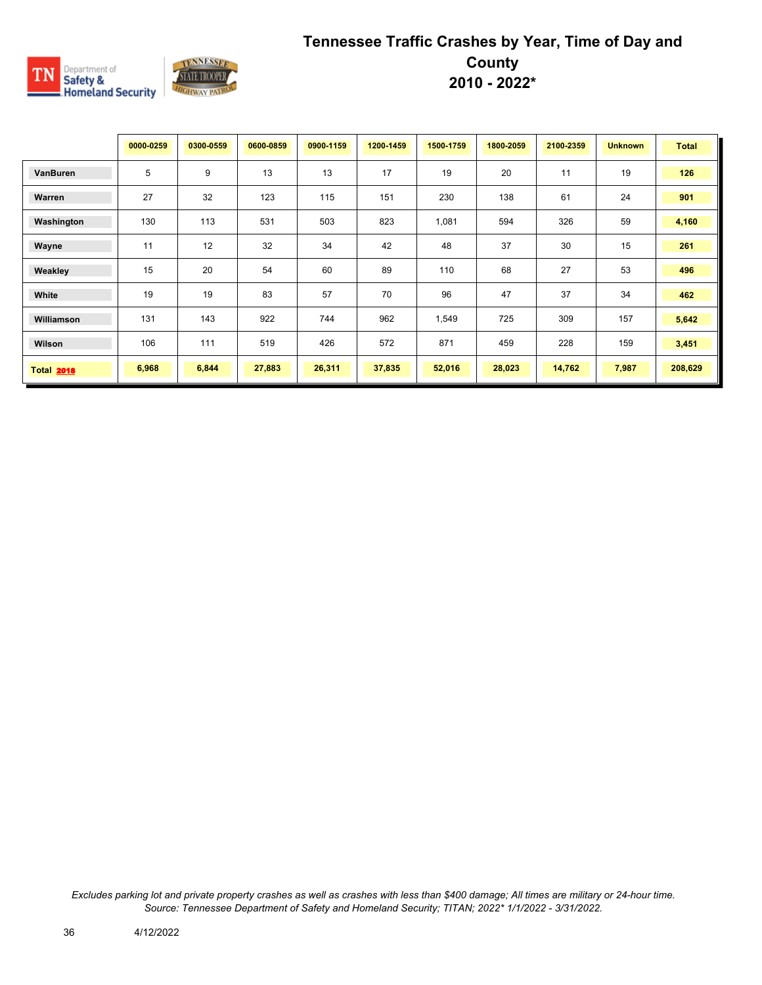

|                   | 0000-0259 | 0300-0559 | 0600-0859 | 0900-1159 | 1200-1459 | 1500-1759 | 1800-2059 | 2100-2359 | <b>Unknown</b> | <b>Total</b> |
|-------------------|-----------|-----------|-----------|-----------|-----------|-----------|-----------|-----------|----------------|--------------|
| VanBuren          | 5         | 9         | 13        | 13        | 17        | 19        | 20        | 11        | 19             | 126          |
| Warren            | 27        | 32        | 123       | 115       | 151       | 230       | 138       | 61        | 24             | 901          |
| Washington        | 130       | 113       | 531       | 503       | 823       | 1,081     | 594       | 326       | 59             | 4,160        |
| Wayne             | 11        | 12        | 32        | 34        | 42        | 48        | 37        | 30        | 15             | 261          |
| Weakley           | 15        | 20        | 54        | 60        | 89        | 110       | 68        | 27        | 53             | 496          |
| White             | 19        | 19        | 83        | 57        | 70        | 96        | 47        | 37        | 34             | 462          |
| Williamson        | 131       | 143       | 922       | 744       | 962       | 1,549     | 725       | 309       | 157            | 5,642        |
| Wilson            | 106       | 111       | 519       | 426       | 572       | 871       | 459       | 228       | 159            | 3,451        |
| <b>Total 2018</b> | 6,968     | 6,844     | 27,883    | 26,311    | 37,835    | 52,016    | 28,023    | 14,762    | 7,987          | 208,629      |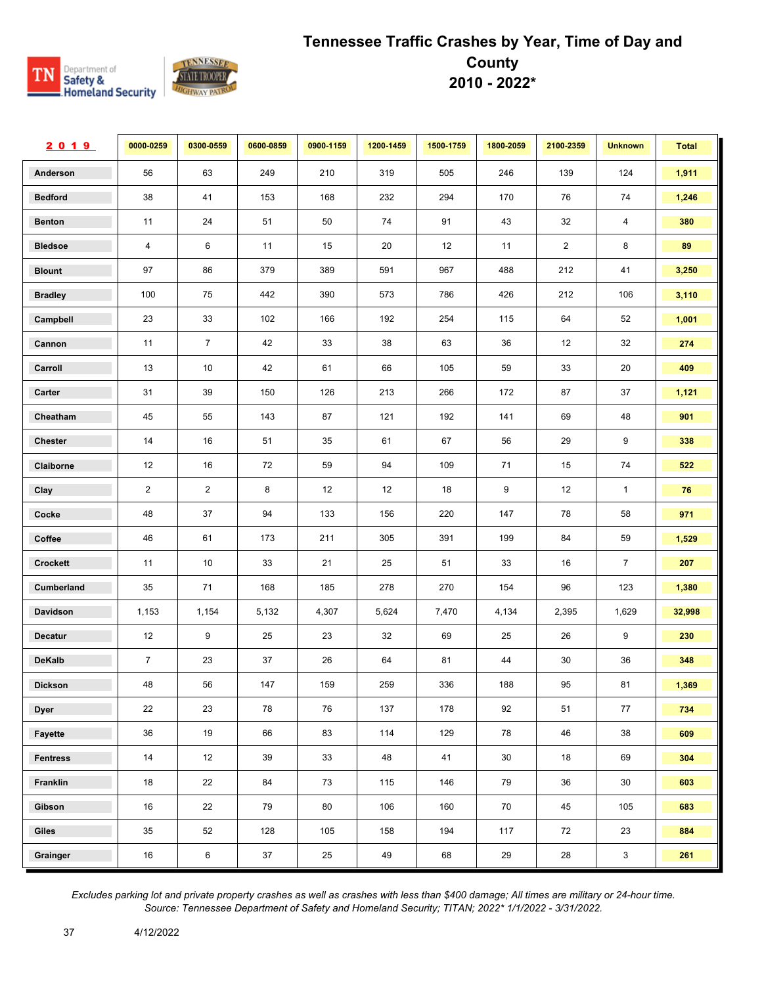

| 2019            | 0000-0259      | 0300-0559      | 0600-0859 | 0900-1159 | 1200-1459 | 1500-1759 | 1800-2059 | 2100-2359      | <b>Unknown</b> | <b>Total</b> |
|-----------------|----------------|----------------|-----------|-----------|-----------|-----------|-----------|----------------|----------------|--------------|
| Anderson        | 56             | 63             | 249       | 210       | 319       | 505       | 246       | 139            | 124            | 1,911        |
| <b>Bedford</b>  | 38             | 41             | 153       | 168       | 232       | 294       | 170       | 76             | 74             | 1,246        |
| <b>Benton</b>   | 11             | 24             | 51        | 50        | 74        | 91        | 43        | 32             | $\overline{4}$ | 380          |
| <b>Bledsoe</b>  | $\overline{4}$ | 6              | 11        | 15        | 20        | 12        | 11        | $\overline{2}$ | 8              | 89           |
| <b>Blount</b>   | 97             | 86             | 379       | 389       | 591       | 967       | 488       | 212            | 41             | 3,250        |
| <b>Bradley</b>  | 100            | 75             | 442       | 390       | 573       | 786       | 426       | 212            | 106            | 3,110        |
| Campbell        | 23             | 33             | 102       | 166       | 192       | 254       | 115       | 64             | 52             | 1,001        |
| Cannon          | 11             | $\overline{7}$ | 42        | 33        | 38        | 63        | 36        | 12             | 32             | 274          |
| Carroll         | 13             | 10             | 42        | 61        | 66        | 105       | 59        | 33             | 20             | 409          |
| Carter          | 31             | 39             | 150       | 126       | 213       | 266       | 172       | 87             | 37             | 1,121        |
| Cheatham        | 45             | 55             | 143       | 87        | 121       | 192       | 141       | 69             | 48             | 901          |
| <b>Chester</b>  | 14             | 16             | 51        | 35        | 61        | 67        | 56        | 29             | 9              | 338          |
| Claiborne       | 12             | 16             | 72        | 59        | 94        | 109       | 71        | 15             | 74             | 522          |
| Clay            | $\overline{2}$ | $\overline{2}$ | 8         | 12        | 12        | 18        | 9         | 12             | $\mathbf{1}$   | 76           |
| Cocke           | 48             | 37             | 94        | 133       | 156       | 220       | 147       | 78             | 58             | 971          |
| Coffee          | 46             | 61             | 173       | 211       | 305       | 391       | 199       | 84             | 59             | 1,529        |
| Crockett        | 11             | 10             | 33        | 21        | 25        | 51        | 33        | 16             | $\overline{7}$ | 207          |
| Cumberland      | 35             | 71             | 168       | 185       | 278       | 270       | 154       | 96             | 123            | 1,380        |
| Davidson        | 1,153          | 1,154          | 5,132     | 4,307     | 5,624     | 7,470     | 4,134     | 2,395          | 1,629          | 32,998       |
| <b>Decatur</b>  | 12             | 9              | 25        | 23        | 32        | 69        | 25        | 26             | 9              | 230          |
| <b>DeKalb</b>   | $\overline{7}$ | 23             | 37        | 26        | 64        | 81        | 44        | 30             | 36             | 348          |
| <b>Dickson</b>  | 48             | 56             | 147       | 159       | 259       | 336       | 188       | 95             | 81             | 1,369        |
| <b>Dyer</b>     | 22             | 23             | 78        | 76        | 137       | 178       | 92        | 51             | 77             | 734          |
| Fayette         | 36             | 19             | 66        | 83        | 114       | 129       | 78        | 46             | 38             | 609          |
| <b>Fentress</b> | $14\,$         | 12             | 39        | 33        | 48        | 41        | 30        | 18             | 69             | 304          |
| Franklin        | 18             | 22             | 84        | 73        | 115       | 146       | 79        | 36             | 30             | 603          |
| Gibson          | 16             | 22             | 79        | 80        | 106       | 160       | 70        | 45             | 105            | 683          |
| Giles           | 35             | 52             | 128       | 105       | 158       | 194       | 117       | 72             | 23             | 884          |
| Grainger        | 16             | $\,6\,$        | 37        | 25        | 49        | 68        | 29        | 28             | $\mathbf{3}$   | 261          |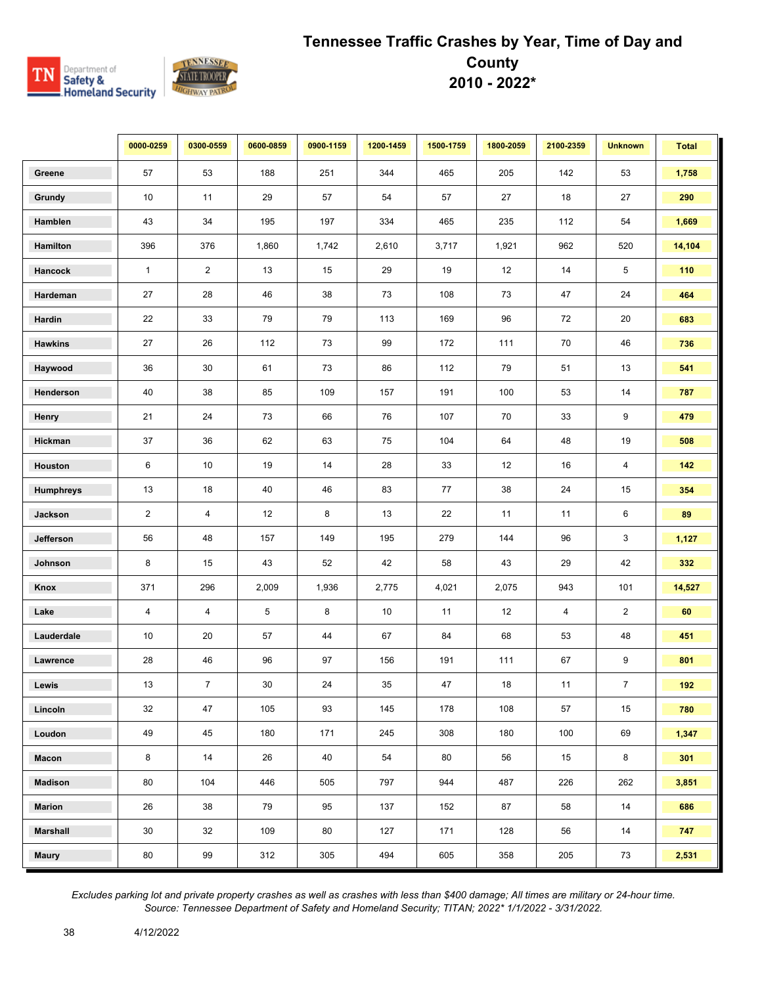

|                  | 0000-0259      | 0300-0559      | 0600-0859 | 0900-1159 | 1200-1459 | 1500-1759 | 1800-2059 | 2100-2359 | <b>Unknown</b> | <b>Total</b> |
|------------------|----------------|----------------|-----------|-----------|-----------|-----------|-----------|-----------|----------------|--------------|
| Greene           | 57             | 53             | 188       | 251       | 344       | 465       | 205       | 142       | 53             | 1,758        |
| Grundy           | 10             | 11             | 29        | 57        | 54        | 57        | 27        | 18        | 27             | 290          |
| Hamblen          | 43             | 34             | 195       | 197       | 334       | 465       | 235       | 112       | 54             | 1,669        |
| Hamilton         | 396            | 376            | 1,860     | 1,742     | 2,610     | 3,717     | 1,921     | 962       | 520            | 14,104       |
| Hancock          | $\mathbf{1}$   | $\overline{2}$ | 13        | 15        | 29        | 19        | 12        | 14        | 5              | 110          |
| Hardeman         | 27             | 28             | 46        | 38        | 73        | 108       | 73        | 47        | 24             | 464          |
| Hardin           | 22             | 33             | 79        | 79        | 113       | 169       | 96        | 72        | 20             | 683          |
| <b>Hawkins</b>   | 27             | 26             | 112       | 73        | 99        | 172       | 111       | 70        | 46             | 736          |
| Haywood          | 36             | 30             | 61        | 73        | 86        | 112       | 79        | 51        | 13             | 541          |
| Henderson        | 40             | 38             | 85        | 109       | 157       | 191       | 100       | 53        | 14             | 787          |
| Henry            | 21             | 24             | 73        | 66        | 76        | 107       | 70        | 33        | 9              | 479          |
| Hickman          | 37             | $36\,$         | 62        | 63        | 75        | 104       | 64        | 48        | 19             | 508          |
| Houston          | 6              | 10             | 19        | 14        | 28        | 33        | 12        | 16        | 4              | $142$        |
| <b>Humphreys</b> | 13             | 18             | 40        | 46        | 83        | 77        | 38        | 24        | 15             | 354          |
| Jackson          | $\overline{2}$ | $\overline{4}$ | 12        | 8         | 13        | 22        | 11        | 11        | 6              | 89           |
| Jefferson        | 56             | 48             | 157       | 149       | 195       | 279       | 144       | 96        | 3              | 1,127        |
| Johnson          | 8              | 15             | 43        | 52        | 42        | 58        | 43        | 29        | 42             | 332          |
| Knox             | 371            | 296            | 2,009     | 1,936     | 2,775     | 4,021     | 2,075     | 943       | 101            | 14,527       |
| Lake             | 4              | 4              | 5         | 8         | 10        | 11        | 12        | 4         | $\overline{2}$ | 60           |
| Lauderdale       | 10             | 20             | 57        | 44        | 67        | 84        | 68        | 53        | 48             | 451          |
| Lawrence         | 28             | 46             | 96        | 97        | 156       | 191       | 111       | 67        | 9              | 801          |
| Lewis            | 13             | $\overline{7}$ | $30\,$    | 24        | 35        | 47        | 18        | 11        | $\overline{7}$ | 192          |
| Lincoln          | 32             | 47             | 105       | 93        | 145       | 178       | 108       | 57        | 15             | 780          |
| Loudon           | 49             | 45             | 180       | 171       | 245       | 308       | 180       | 100       | 69             | 1,347        |
| Macon            | $\bf8$         | 14             | 26        | 40        | 54        | 80        | 56        | 15        | 8              | 301          |
| <b>Madison</b>   | 80             | 104            | 446       | 505       | 797       | 944       | 487       | 226       | 262            | 3,851        |
| <b>Marion</b>    | 26             | 38             | 79        | 95        | 137       | 152       | 87        | 58        | 14             | 686          |
| <b>Marshall</b>  | 30             | 32             | 109       | 80        | 127       | 171       | 128       | 56        | 14             | 747          |
| <b>Maury</b>     | 80             | 99             | 312       | 305       | 494       | 605       | 358       | 205       | 73             | 2,531        |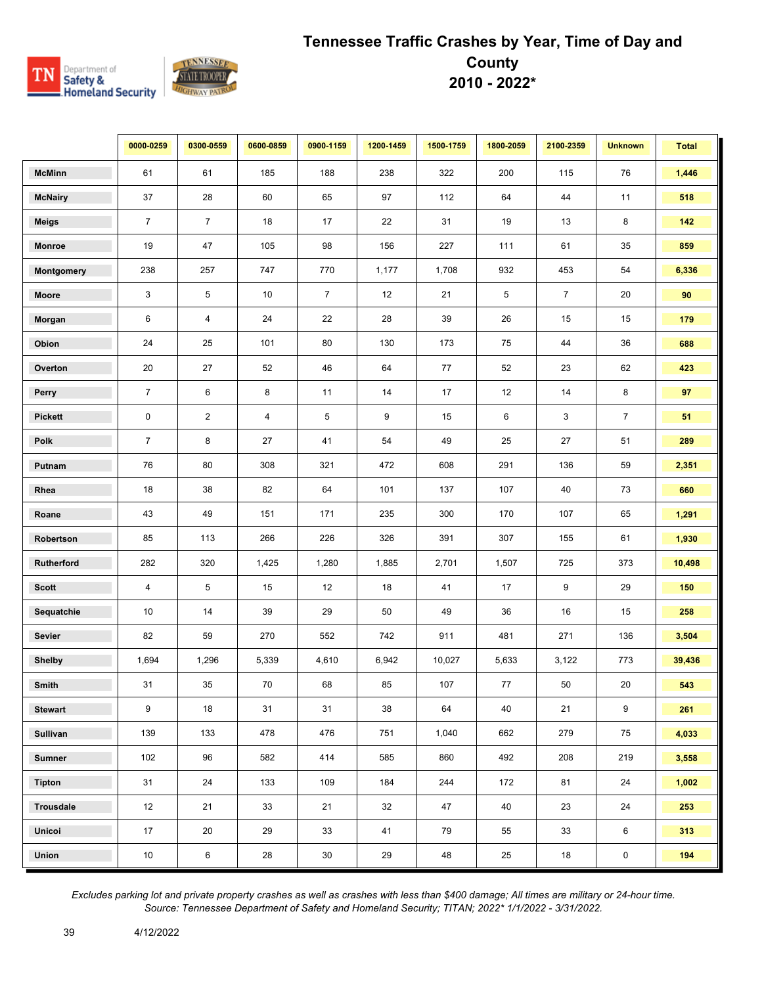

|                 | 0000-0259      | 0300-0559      | 0600-0859               | 0900-1159      | 1200-1459 | 1500-1759 | 1800-2059 | 2100-2359      | <b>Unknown</b> | <b>Total</b> |
|-----------------|----------------|----------------|-------------------------|----------------|-----------|-----------|-----------|----------------|----------------|--------------|
| <b>McMinn</b>   | 61             | 61             | 185                     | 188            | 238       | 322       | 200       | 115            | 76             | 1,446        |
| <b>McNairy</b>  | 37             | 28             | 60                      | 65             | 97        | 112       | 64        | 44             | 11             | 518          |
| <b>Meigs</b>    | $\overline{7}$ | $\overline{7}$ | 18                      | 17             | 22        | 31        | 19        | 13             | 8              | 142          |
| <b>Monroe</b>   | 19             | 47             | 105                     | 98             | 156       | 227       | 111       | 61             | 35             | 859          |
| Montgomery      | 238            | 257            | 747                     | 770            | 1,177     | 1,708     | 932       | 453            | 54             | 6,336        |
| Moore           | 3              | 5              | 10                      | $\overline{7}$ | 12        | 21        | 5         | $\overline{7}$ | 20             | 90           |
| Morgan          | 6              | 4              | 24                      | 22             | 28        | 39        | 26        | 15             | 15             | 179          |
| Obion           | 24             | 25             | 101                     | 80             | 130       | 173       | 75        | 44             | 36             | 688          |
| Overton         | 20             | 27             | 52                      | 46             | 64        | 77        | 52        | 23             | 62             | 423          |
| Perry           | $\overline{7}$ | 6              | 8                       | 11             | 14        | 17        | 12        | 14             | 8              | 97           |
| <b>Pickett</b>  | $\mathbf 0$    | $\overline{2}$ | $\overline{\mathbf{4}}$ | 5              | 9         | 15        | 6         | 3              | $\overline{7}$ | 51           |
| Polk            | $\overline{7}$ | 8              | 27                      | 41             | 54        | 49        | 25        | 27             | 51             | 289          |
| Putnam          | 76             | 80             | 308                     | 321            | 472       | 608       | 291       | 136            | 59             | 2,351        |
| Rhea            | 18             | 38             | 82                      | 64             | 101       | 137       | 107       | 40             | 73             | 660          |
| Roane           | 43             | 49             | 151                     | 171            | 235       | 300       | 170       | 107            | 65             | 1,291        |
| Robertson       | 85             | 113            | 266                     | 226            | 326       | 391       | 307       | 155            | 61             | 1,930        |
| Rutherford      | 282            | 320            | 1,425                   | 1,280          | 1,885     | 2,701     | 1,507     | 725            | 373            | 10,498       |
| <b>Scott</b>    | 4              | $\,$ 5 $\,$    | 15                      | 12             | 18        | 41        | 17        | 9              | 29             | 150          |
| Sequatchie      | 10             | 14             | 39                      | 29             | 50        | 49        | 36        | 16             | 15             | 258          |
| <b>Sevier</b>   | 82             | 59             | 270                     | 552            | 742       | 911       | 481       | 271            | 136            | 3,504        |
| <b>Shelby</b>   | 1,694          | 1,296          | 5,339                   | 4,610          | 6,942     | 10,027    | 5,633     | 3,122          | 773            | 39,436       |
| Smith           | 31             | 35             | 70                      | 68             | 85        | 107       | 77        | 50             | 20             | 543          |
| <b>Stewart</b>  | 9              | 18             | 31                      | 31             | 38        | 64        | 40        | 21             | 9              | 261          |
| <b>Sullivan</b> | 139            | 133            | 478                     | 476            | 751       | 1,040     | 662       | 279            | 75             | 4,033        |
| <b>Sumner</b>   | 102            | 96             | 582                     | 414            | 585       | 860       | 492       | 208            | 219            | 3,558        |
| <b>Tipton</b>   | 31             | 24             | 133                     | 109            | 184       | 244       | 172       | 81             | 24             | 1,002        |
| Trousdale       | 12             | 21             | 33                      | 21             | 32        | 47        | 40        | 23             | 24             | 253          |
| Unicoi          | 17             | 20             | 29                      | 33             | 41        | 79        | 55        | 33             | 6              | 313          |
| Union           | 10             | 6              | $28\,$                  | $30\,$         | 29        | 48        | 25        | 18             | $\pmb{0}$      | 194          |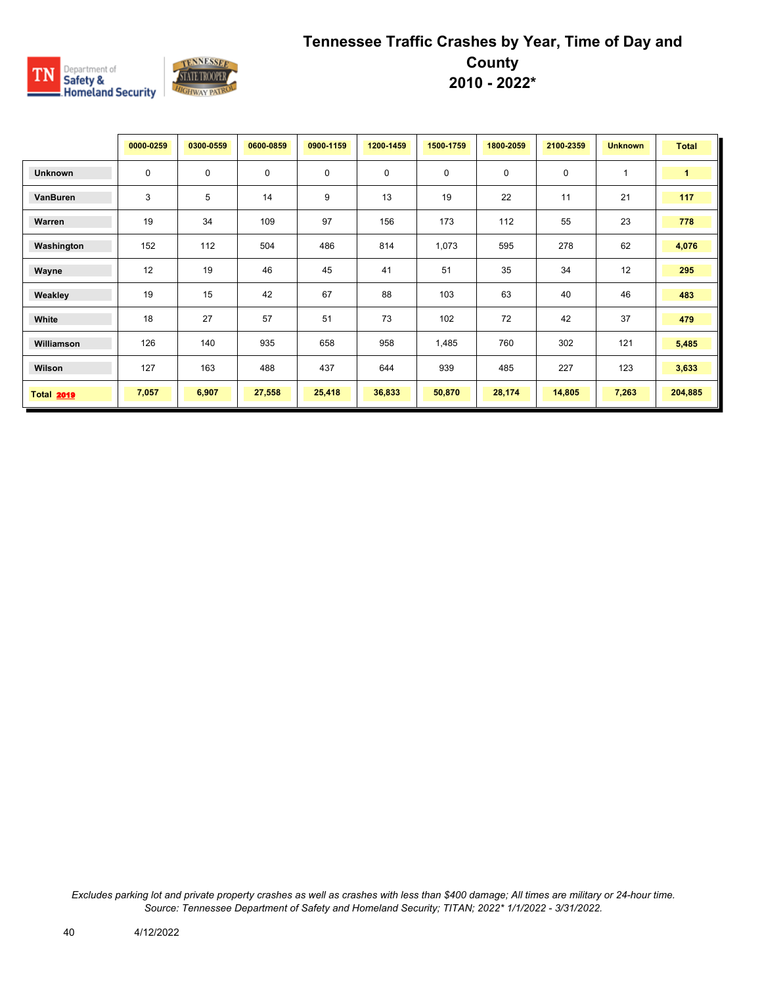

|                   | 0000-0259   | 0300-0559 | 0600-0859   | 0900-1159   | 1200-1459 | 1500-1759 | 1800-2059   | 2100-2359   | <b>Unknown</b> | <b>Total</b> |
|-------------------|-------------|-----------|-------------|-------------|-----------|-----------|-------------|-------------|----------------|--------------|
| <b>Unknown</b>    | $\mathbf 0$ | 0         | $\mathbf 0$ | $\mathbf 0$ | 0         | 0         | $\mathbf 0$ | $\mathbf 0$ | $\mathbf{1}$   | $\mathbf{1}$ |
| VanBuren          | 3           | 5         | 14          | 9           | 13        | 19        | 22          | 11          | 21             | 117          |
| Warren            | 19          | 34        | 109         | 97          | 156       | 173       | 112         | 55          | 23             | 778          |
| Washington        | 152         | 112       | 504         | 486         | 814       | 1,073     | 595         | 278         | 62             | 4,076        |
| Wayne             | 12          | 19        | 46          | 45          | 41        | 51        | 35          | 34          | 12             | 295          |
| Weakley           | 19          | 15        | 42          | 67          | 88        | 103       | 63          | 40          | 46             | 483          |
| White             | 18          | 27        | 57          | 51          | 73        | 102       | 72          | 42          | 37             | 479          |
| Williamson        | 126         | 140       | 935         | 658         | 958       | 1,485     | 760         | 302         | 121            | 5,485        |
| Wilson            | 127         | 163       | 488         | 437         | 644       | 939       | 485         | 227         | 123            | 3,633        |
| <b>Total 2019</b> | 7,057       | 6,907     | 27,558      | 25,418      | 36,833    | 50,870    | 28,174      | 14,805      | 7,263          | 204,885      |

*Excludes parking lot and private property crashes as well as crashes with less than \$400 damage; All times are military or 24-hour time. Source: Tennessee Department of Safety and Homeland Security; TITAN; 2022\* 1/1/2022 - 3/31/2022.*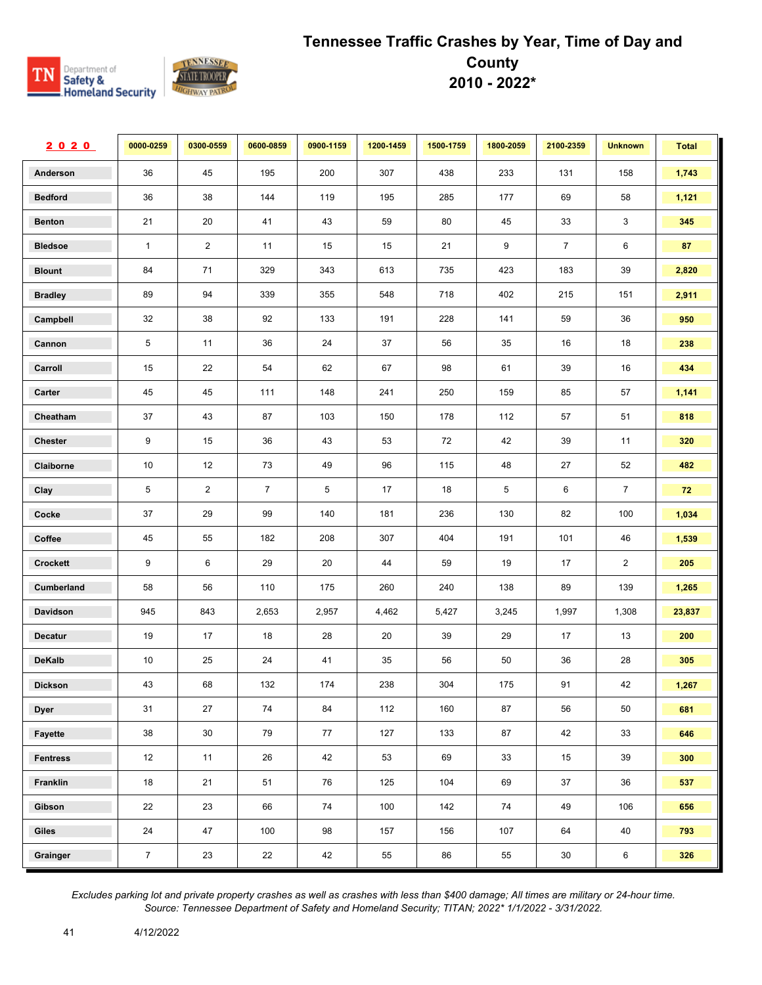

| 2020            | 0000-0259      | 0300-0559      | 0600-0859      | 0900-1159 | 1200-1459 | 1500-1759 | 1800-2059 | 2100-2359      | <b>Unknown</b> | <b>Total</b> |
|-----------------|----------------|----------------|----------------|-----------|-----------|-----------|-----------|----------------|----------------|--------------|
| Anderson        | 36             | 45             | 195            | 200       | 307       | 438       | 233       | 131            | 158            | 1,743        |
| <b>Bedford</b>  | 36             | 38             | 144            | 119       | 195       | 285       | 177       | 69             | 58             | 1,121        |
| <b>Benton</b>   | 21             | 20             | 41             | 43        | 59        | 80        | 45        | 33             | 3              | 345          |
| <b>Bledsoe</b>  | $\mathbf{1}$   | $\overline{2}$ | 11             | 15        | 15        | 21        | 9         | $\overline{7}$ | 6              | 87           |
| <b>Blount</b>   | 84             | 71             | 329            | 343       | 613       | 735       | 423       | 183            | 39             | 2,820        |
| <b>Bradley</b>  | 89             | 94             | 339            | 355       | 548       | 718       | 402       | 215            | 151            | 2,911        |
| Campbell        | 32             | 38             | 92             | 133       | 191       | 228       | 141       | 59             | $36\,$         | 950          |
| Cannon          | 5              | 11             | 36             | 24        | 37        | 56        | 35        | 16             | 18             | 238          |
| Carroll         | 15             | 22             | 54             | 62        | 67        | 98        | 61        | 39             | 16             | 434          |
| Carter          | 45             | 45             | 111            | 148       | 241       | 250       | 159       | 85             | 57             | 1,141        |
| Cheatham        | 37             | 43             | 87             | 103       | 150       | 178       | 112       | 57             | 51             | 818          |
| Chester         | 9              | 15             | 36             | 43        | 53        | 72        | 42        | 39             | 11             | 320          |
| Claiborne       | 10             | 12             | 73             | 49        | 96        | 115       | 48        | 27             | 52             | 482          |
| Clay            | 5              | $\overline{2}$ | $\overline{7}$ | 5         | 17        | 18        | 5         | 6              | $\overline{7}$ | 72           |
| Cocke           | 37             | 29             | 99             | 140       | 181       | 236       | 130       | 82             | 100            | 1,034        |
| Coffee          | 45             | 55             | 182            | 208       | 307       | 404       | 191       | 101            | 46             | 1,539        |
| Crockett        | 9              | 6              | 29             | 20        | 44        | 59        | 19        | 17             | $\overline{2}$ | 205          |
| Cumberland      | 58             | 56             | 110            | 175       | 260       | 240       | 138       | 89             | 139            | 1,265        |
| Davidson        | 945            | 843            | 2,653          | 2,957     | 4,462     | 5,427     | 3,245     | 1,997          | 1,308          | 23,837       |
| <b>Decatur</b>  | 19             | 17             | 18             | 28        | 20        | 39        | 29        | 17             | 13             | 200          |
| <b>DeKalb</b>   | 10             | 25             | 24             | 41        | 35        | 56        | 50        | 36             | 28             | 305          |
| <b>Dickson</b>  | 43             | 68             | 132            | 174       | 238       | 304       | 175       | 91             | 42             | 1,267        |
| <b>Dyer</b>     | 31             | 27             | 74             | 84        | 112       | 160       | 87        | 56             | 50             | 681          |
| Fayette         | 38             | 30             | 79             | 77        | 127       | 133       | 87        | 42             | 33             | 646          |
| <b>Fentress</b> | 12             | 11             | 26             | 42        | 53        | 69        | 33        | 15             | 39             | 300          |
| Franklin        | 18             | 21             | 51             | 76        | 125       | 104       | 69        | 37             | 36             | 537          |
| Gibson          | 22             | 23             | 66             | 74        | 100       | 142       | 74        | 49             | 106            | 656          |
| Giles           | 24             | 47             | 100            | 98        | 157       | 156       | 107       | 64             | 40             | 793          |
| Grainger        | $\overline{7}$ | 23             | 22             | 42        | 55        | 86        | 55        | 30             | 6              | 326          |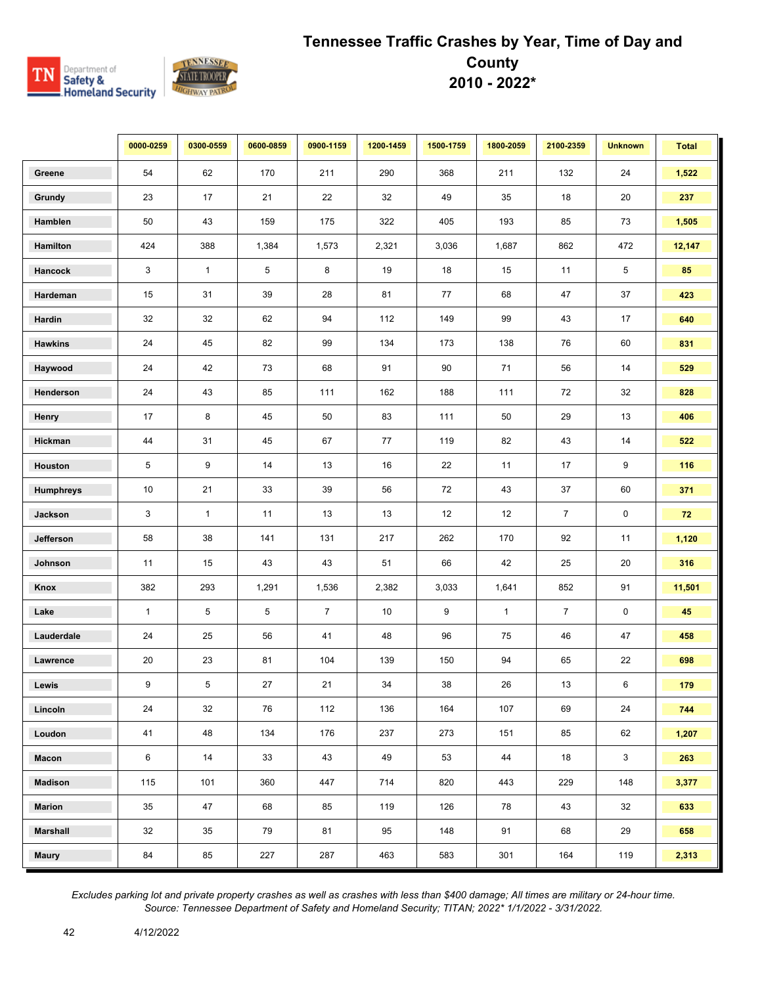

|                 | 0000-0259    | 0300-0559    | 0600-0859 | 0900-1159      | 1200-1459 | 1500-1759 | 1800-2059    | 2100-2359      | <b>Unknown</b> | <b>Total</b> |
|-----------------|--------------|--------------|-----------|----------------|-----------|-----------|--------------|----------------|----------------|--------------|
| Greene          | 54           | 62           | 170       | 211            | 290       | 368       | 211          | 132            | 24             | 1,522        |
| Grundy          | 23           | 17           | 21        | 22             | 32        | 49        | 35           | 18             | 20             | 237          |
| Hamblen         | 50           | 43           | 159       | 175            | 322       | 405       | 193          | 85             | 73             | 1,505        |
| Hamilton        | 424          | 388          | 1,384     | 1,573          | 2,321     | 3,036     | 1,687        | 862            | 472            | 12,147       |
| Hancock         | 3            | $\mathbf{1}$ | 5         | 8              | 19        | 18        | 15           | 11             | 5              | 85           |
| Hardeman        | 15           | 31           | 39        | 28             | 81        | 77        | 68           | 47             | 37             | 423          |
| Hardin          | 32           | 32           | 62        | 94             | 112       | 149       | 99           | 43             | 17             | 640          |
| <b>Hawkins</b>  | 24           | 45           | 82        | 99             | 134       | 173       | 138          | 76             | 60             | 831          |
| Haywood         | 24           | 42           | 73        | 68             | 91        | 90        | 71           | 56             | 14             | 529          |
| Henderson       | 24           | 43           | 85        | 111            | 162       | 188       | 111          | 72             | 32             | 828          |
| Henry           | 17           | 8            | 45        | 50             | 83        | $111$     | 50           | 29             | 13             | 406          |
| Hickman         | 44           | 31           | 45        | 67             | 77        | 119       | 82           | 43             | 14             | 522          |
| Houston         | 5            | 9            | 14        | 13             | 16        | 22        | 11           | 17             | 9              | 116          |
| Humphreys       | 10           | 21           | 33        | 39             | 56        | 72        | 43           | 37             | 60             | 371          |
| Jackson         | 3            | $\mathbf{1}$ | 11        | 13             | 13        | 12        | 12           | $\overline{7}$ | $\mathsf 0$    | 72           |
| Jefferson       | 58           | 38           | 141       | 131            | 217       | 262       | 170          | 92             | 11             | 1,120        |
| Johnson         | 11           | 15           | 43        | 43             | 51        | 66        | 42           | 25             | 20             | 316          |
| Knox            | 382          | 293          | 1,291     | 1,536          | 2,382     | 3,033     | 1,641        | 852            | 91             | 11,501       |
| Lake            | $\mathbf{1}$ | 5            | 5         | $\overline{7}$ | 10        | 9         | $\mathbf{1}$ | $\overline{7}$ | 0              | 45           |
| Lauderdale      | 24           | 25           | 56        | 41             | 48        | 96        | 75           | 46             | 47             | 458          |
| Lawrence        | 20           | 23           | 81        | 104            | 139       | 150       | 94           | 65             | 22             | 698          |
| Lewis           | 9            | 5            | 27        | 21             | 34        | 38        | 26           | 13             | 6              | 179          |
| Lincoln         | 24           | 32           | 76        | 112            | 136       | 164       | 107          | 69             | 24             | 744          |
| Loudon          | 41           | 48           | 134       | 176            | 237       | 273       | 151          | 85             | 62             | 1,207        |
| Macon           | 6            | 14           | 33        | 43             | 49        | 53        | 44           | 18             | $\mathbf{3}$   | 263          |
| <b>Madison</b>  | 115          | 101          | 360       | 447            | 714       | 820       | 443          | 229            | 148            | 3,377        |
| <b>Marion</b>   | 35           | 47           | 68        | 85             | 119       | 126       | 78           | 43             | 32             | 633          |
| <b>Marshall</b> | 32           | 35           | 79        | 81             | 95        | 148       | 91           | 68             | 29             | 658          |
| <b>Maury</b>    | 84           | 85           | 227       | 287            | 463       | 583       | 301          | 164            | 119            | 2,313        |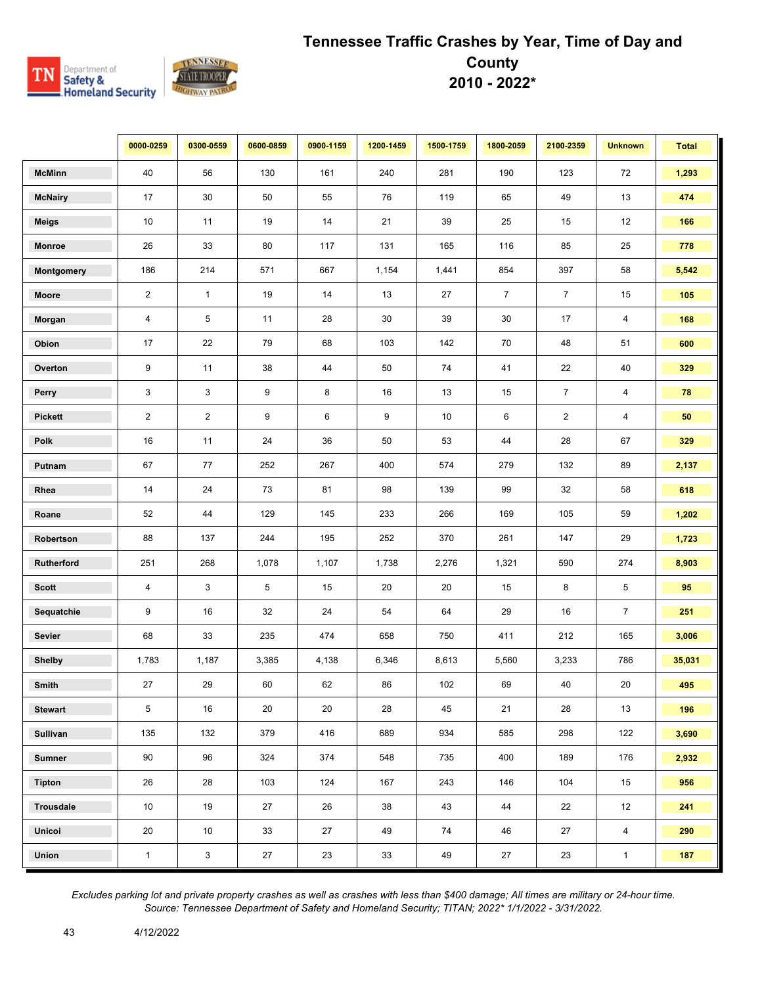

|                  | 0000-0259      | 0300-0559       | 0600-0859 | 0900-1159 | 1200-1459 | 1500-1759 | 1800-2059      | 2100-2359      | <b>Unknown</b>          | <b>Total</b> |
|------------------|----------------|-----------------|-----------|-----------|-----------|-----------|----------------|----------------|-------------------------|--------------|
| <b>McMinn</b>    | 40             | 56              | 130       | 161       | 240       | 281       | 190            | 123            | 72                      | 1,293        |
| <b>McNairy</b>   | 17             | 30              | 50        | 55        | 76        | 119       | 65             | 49             | 13                      | 474          |
| <b>Meigs</b>     | 10             | 11              | 19        | 14        | 21        | 39        | 25             | 15             | 12                      | 166          |
| <b>Monroe</b>    | 26             | 33              | 80        | 117       | 131       | 165       | 116            | 85             | 25                      | 778          |
| Montgomery       | 186            | 214             | 571       | 667       | 1,154     | 1,441     | 854            | 397            | 58                      | 5,542        |
| Moore            | $\overline{2}$ | $\mathbf{1}$    | 19        | 14        | 13        | 27        | $\overline{7}$ | $\overline{7}$ | 15                      | 105          |
| Morgan           | $\overline{4}$ | 5               | 11        | 28        | $30\,$    | 39        | $30\,$         | 17             | $\overline{\mathbf{4}}$ | 168          |
| Obion            | 17             | 22              | 79        | 68        | 103       | 142       | 70             | 48             | 51                      | 600          |
| Overton          | 9              | 11              | 38        | 44        | 50        | 74        | 41             | 22             | $40\,$                  | 329          |
| Perry            | $\mathbf{3}$   | 3               | 9         | 8         | 16        | 13        | 15             | $\overline{7}$ | $\overline{\mathbf{4}}$ | 78           |
| <b>Pickett</b>   | $\overline{2}$ | $\overline{2}$  | 9         | 6         | 9         | $10\,$    | 6              | $\sqrt{2}$     | 4                       | 50           |
| Polk             | 16             | 11              | 24        | $36\,$    | 50        | 53        | 44             | 28             | 67                      | 329          |
| Putnam           | 67             | 77              | 252       | 267       | 400       | 574       | 279            | 132            | 89                      | 2,137        |
| Rhea             | 14             | 24              | 73        | 81        | 98        | 139       | 99             | 32             | 58                      | 618          |
| Roane            | 52             | 44              | 129       | 145       | 233       | 266       | 169            | 105            | 59                      | 1,202        |
| Robertson        | 88             | 137             | 244       | 195       | 252       | 370       | 261            | 147            | 29                      | 1,723        |
| Rutherford       | 251            | 268             | 1,078     | 1,107     | 1,738     | 2,276     | 1,321          | 590            | 274                     | 8,903        |
| <b>Scott</b>     | 4              | 3               | 5         | 15        | 20        | 20        | 15             | 8              | 5                       | 95           |
| Sequatchie       | 9              | 16              | 32        | 24        | 54        | 64        | 29             | 16             | $\overline{7}$          | 251          |
| <b>Sevier</b>    | 68             | 33              | 235       | 474       | 658       | 750       | 411            | 212            | 165                     | 3,006        |
| <b>Shelby</b>    | 1,783          | 1,187           | 3,385     | 4,138     | 6,346     | 8,613     | 5,560          | 3,233          | 786                     | 35,031       |
| Smith            | 27             | 29              | 60        | 62        | 86        | 102       | 69             | 40             | 20                      | 495          |
| <b>Stewart</b>   | 5              | 16              | 20        | 20        | 28        | 45        | 21             | 28             | 13                      | 196          |
| Sullivan         | 135            | 132             | 379       | 416       | 689       | 934       | 585            | 298            | 122                     | 3,690        |
| <b>Sumner</b>    | 90             | 96              | 324       | 374       | 548       | 735       | 400            | 189            | 176                     | 2,932        |
| <b>Tipton</b>    | 26             | 28              | 103       | 124       | 167       | 243       | 146            | 104            | 15                      | 956          |
| <b>Trousdale</b> | 10             | 19              | 27        | 26        | 38        | 43        | 44             | 22             | 12                      | 241          |
| Unicoi           | 20             | 10 <sup>1</sup> | 33        | 27        | 49        | 74        | 46             | 27             | $\overline{4}$          | 290          |
| Union            | $\mathbf{1}$   | $\mathbf{3}$    | $27\,$    | 23        | 33        | 49        | 27             | 23             | $\mathbf{1}$            | 187          |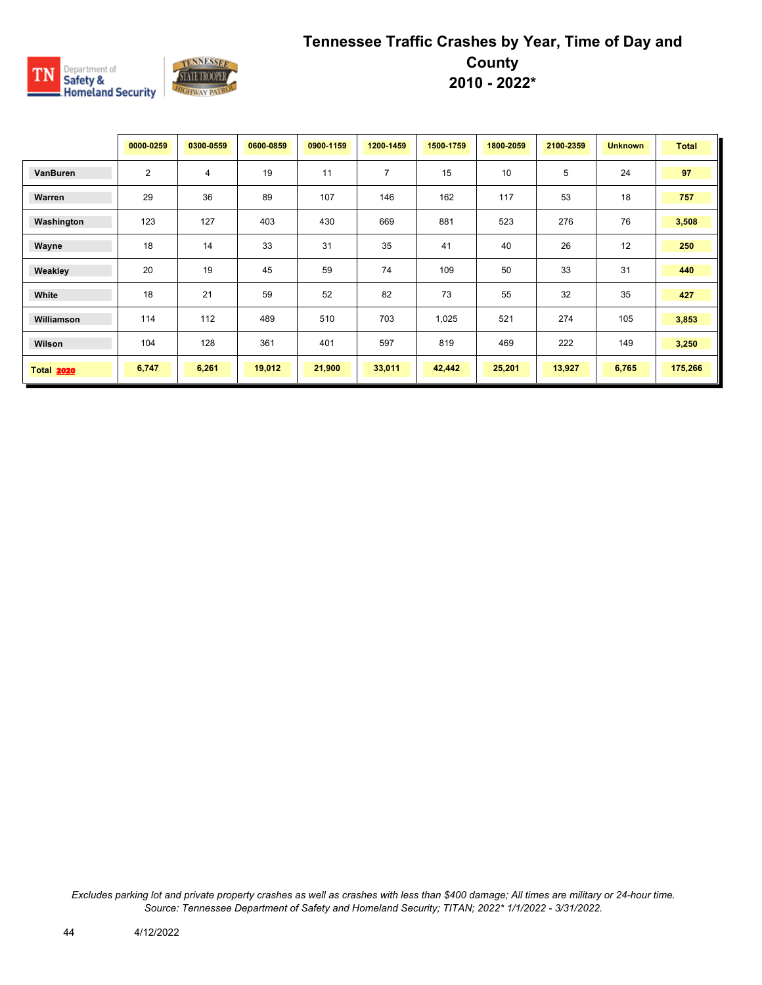

|                   | 0000-0259      | 0300-0559 | 0600-0859 | 0900-1159 | 1200-1459      | 1500-1759 | 1800-2059 | 2100-2359 | <b>Unknown</b> | <b>Total</b> |
|-------------------|----------------|-----------|-----------|-----------|----------------|-----------|-----------|-----------|----------------|--------------|
| VanBuren          | $\overline{2}$ | 4         | 19        | 11        | $\overline{7}$ | 15        | 10        | 5         | 24             | 97           |
| Warren            | 29             | 36        | 89        | 107       | 146            | 162       | 117       | 53        | 18             | 757          |
| Washington        | 123            | 127       | 403       | 430       | 669            | 881       | 523       | 276       | 76             | 3,508        |
| Wayne             | 18             | 14        | 33        | 31        | 35             | 41        | 40        | 26        | 12             | 250          |
| Weakley           | 20             | 19        | 45        | 59        | 74             | 109       | 50        | 33        | 31             | 440          |
| White             | 18             | 21        | 59        | 52        | 82             | 73        | 55        | 32        | 35             | 427          |
| Williamson        | 114            | 112       | 489       | 510       | 703            | 1,025     | 521       | 274       | 105            | 3,853        |
| Wilson            | 104            | 128       | 361       | 401       | 597            | 819       | 469       | 222       | 149            | 3,250        |
| <b>Total 2020</b> | 6,747          | 6,261     | 19,012    | 21,900    | 33,011         | 42,442    | 25,201    | 13,927    | 6,765          | 175,266      |

*Excludes parking lot and private property crashes as well as crashes with less than \$400 damage; All times are military or 24-hour time. Source: Tennessee Department of Safety and Homeland Security; TITAN; 2022\* 1/1/2022 - 3/31/2022.*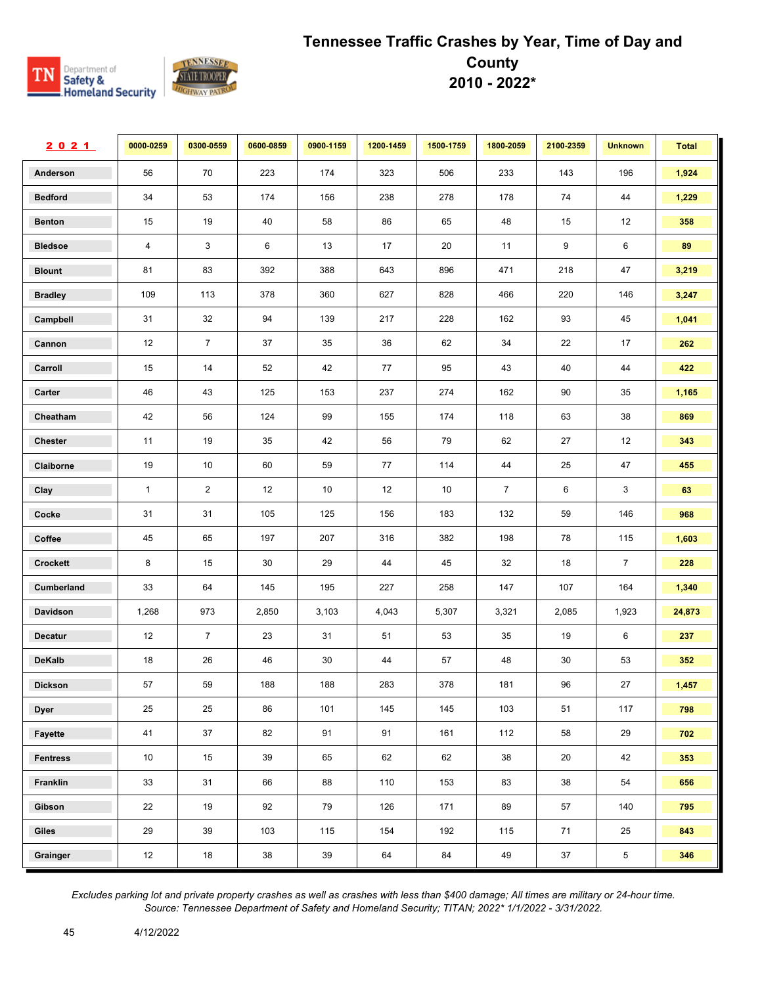

| 2021            | 0000-0259      | 0300-0559      | 0600-0859 | 0900-1159 | 1200-1459 | 1500-1759 | 1800-2059      | 2100-2359 | <b>Unknown</b> | <b>Total</b> |
|-----------------|----------------|----------------|-----------|-----------|-----------|-----------|----------------|-----------|----------------|--------------|
| Anderson        | 56             | 70             | 223       | 174       | 323       | 506       | 233            | 143       | 196            | 1,924        |
| <b>Bedford</b>  | 34             | 53             | 174       | 156       | 238       | 278       | 178            | 74        | 44             | 1,229        |
| <b>Benton</b>   | 15             | 19             | 40        | 58        | 86        | 65        | 48             | 15        | 12             | 358          |
| <b>Bledsoe</b>  | $\overline{4}$ | 3              | 6         | 13        | 17        | 20        | 11             | 9         | 6              | 89           |
| <b>Blount</b>   | 81             | 83             | 392       | 388       | 643       | 896       | 471            | 218       | 47             | 3,219        |
| <b>Bradley</b>  | 109            | 113            | 378       | 360       | 627       | 828       | 466            | 220       | 146            | 3,247        |
| Campbell        | 31             | 32             | 94        | 139       | 217       | 228       | 162            | 93        | 45             | 1,041        |
| Cannon          | 12             | $\overline{7}$ | 37        | 35        | 36        | 62        | 34             | 22        | 17             | 262          |
| Carroll         | 15             | 14             | 52        | 42        | 77        | 95        | 43             | 40        | 44             | 422          |
| Carter          | 46             | 43             | 125       | 153       | 237       | 274       | 162            | 90        | 35             | 1,165        |
| Cheatham        | 42             | 56             | 124       | 99        | 155       | 174       | 118            | 63        | 38             | 869          |
| <b>Chester</b>  | 11             | 19             | 35        | 42        | 56        | 79        | 62             | 27        | 12             | 343          |
| Claiborne       | 19             | 10             | 60        | 59        | 77        | 114       | 44             | 25        | 47             | 455          |
| Clay            | $\mathbf{1}$   | $\overline{2}$ | 12        | 10        | 12        | 10        | $\overline{7}$ | 6         | 3              | 63           |
| Cocke           | 31             | 31             | 105       | 125       | 156       | 183       | 132            | 59        | 146            | 968          |
| Coffee          | 45             | 65             | 197       | 207       | 316       | 382       | 198            | 78        | 115            | 1,603        |
| Crockett        | 8              | 15             | 30        | 29        | 44        | 45        | 32             | 18        | $\overline{7}$ | 228          |
| Cumberland      | 33             | 64             | 145       | 195       | 227       | 258       | 147            | 107       | 164            | 1,340        |
| Davidson        | 1,268          | 973            | 2,850     | 3,103     | 4,043     | 5,307     | 3,321          | 2,085     | 1,923          | 24,873       |
| <b>Decatur</b>  | 12             | $\overline{7}$ | 23        | 31        | 51        | 53        | 35             | 19        | 6              | 237          |
| <b>DeKalb</b>   | 18             | 26             | 46        | 30        | 44        | 57        | 48             | 30        | 53             | 352          |
| <b>Dickson</b>  | 57             | 59             | 188       | 188       | 283       | 378       | 181            | 96        | 27             | 1,457        |
| <b>Dyer</b>     | 25             | 25             | 86        | 101       | 145       | 145       | 103            | 51        | 117            | 798          |
| Fayette         | 41             | 37             | 82        | 91        | 91        | 161       | 112            | 58        | 29             | 702          |
| <b>Fentress</b> | 10             | 15             | 39        | 65        | 62        | 62        | 38             | 20        | 42             | 353          |
| Franklin        | 33             | 31             | 66        | 88        | 110       | 153       | 83             | 38        | 54             | 656          |
| Gibson          | 22             | 19             | 92        | 79        | 126       | 171       | 89             | 57        | 140            | 795          |
| Giles           | 29             | 39             | 103       | 115       | 154       | 192       | 115            | 71        | 25             | 843          |
| Grainger        | 12             | 18             | $38\,$    | $39\,$    | 64        | 84        | 49             | 37        | $\overline{5}$ | 346          |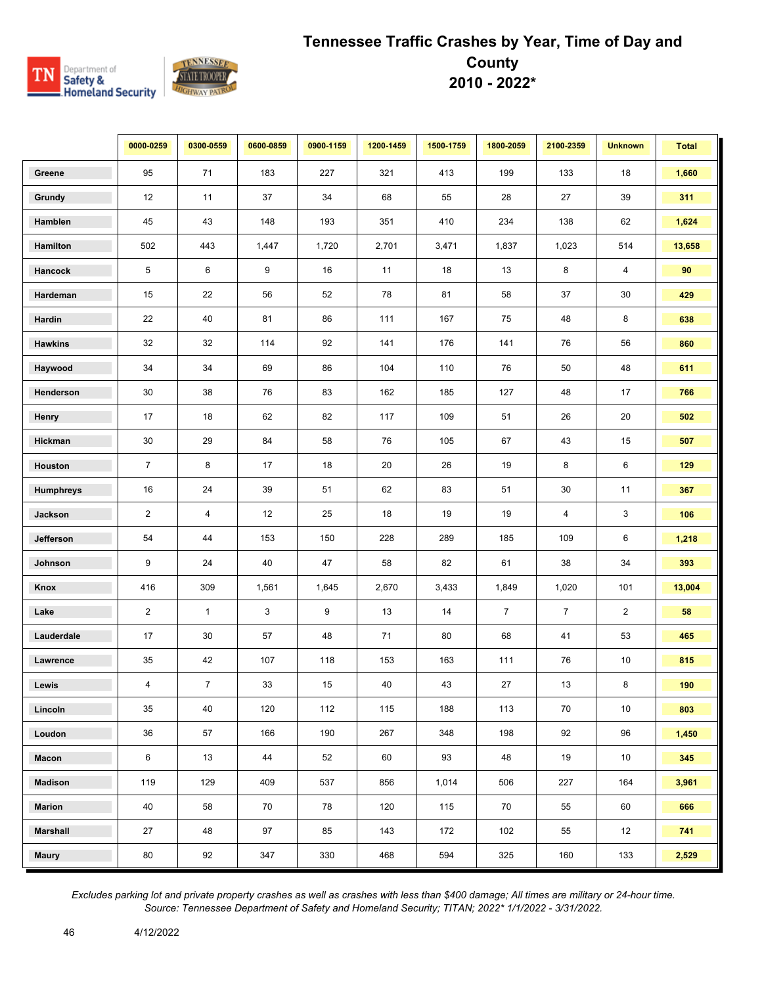

|                  | 0000-0259      | 0300-0559      | 0600-0859 | 0900-1159 | 1200-1459 | 1500-1759 | 1800-2059      | 2100-2359      | <b>Unknown</b> | <b>Total</b> |
|------------------|----------------|----------------|-----------|-----------|-----------|-----------|----------------|----------------|----------------|--------------|
| Greene           | 95             | 71             | 183       | 227       | 321       | 413       | 199            | 133            | 18             | 1,660        |
| Grundy           | 12             | 11             | 37        | 34        | 68        | 55        | 28             | 27             | 39             | 311          |
| Hamblen          | 45             | 43             | 148       | 193       | 351       | 410       | 234            | 138            | 62             | 1,624        |
| Hamilton         | 502            | 443            | 1,447     | 1,720     | 2,701     | 3,471     | 1,837          | 1,023          | 514            | 13,658       |
| Hancock          | 5              | 6              | 9         | 16        | 11        | 18        | 13             | 8              | 4              | 90           |
| Hardeman         | 15             | 22             | 56        | 52        | 78        | 81        | 58             | 37             | 30             | 429          |
| Hardin           | 22             | 40             | 81        | 86        | 111       | 167       | 75             | 48             | 8              | 638          |
| <b>Hawkins</b>   | 32             | 32             | 114       | 92        | 141       | 176       | 141            | 76             | 56             | 860          |
| Haywood          | 34             | 34             | 69        | 86        | 104       | 110       | 76             | 50             | 48             | 611          |
| Henderson        | 30             | 38             | 76        | 83        | 162       | 185       | 127            | 48             | 17             | 766          |
| Henry            | 17             | 18             | 62        | 82        | 117       | 109       | 51             | 26             | 20             | 502          |
| Hickman          | 30             | 29             | 84        | 58        | 76        | 105       | 67             | 43             | 15             | 507          |
| Houston          | $\overline{7}$ | 8              | 17        | 18        | 20        | 26        | 19             | 8              | 6              | 129          |
| <b>Humphreys</b> | 16             | 24             | 39        | 51        | 62        | 83        | 51             | 30             | 11             | 367          |
| Jackson          | $\overline{2}$ | $\overline{4}$ | 12        | 25        | 18        | 19        | 19             | 4              | 3              | 106          |
| Jefferson        | 54             | 44             | 153       | 150       | 228       | 289       | 185            | 109            | 6              | 1,218        |
| Johnson          | 9              | 24             | 40        | 47        | 58        | 82        | 61             | 38             | 34             | 393          |
| Knox             | 416            | 309            | 1,561     | 1,645     | 2,670     | 3,433     | 1,849          | 1,020          | 101            | 13,004       |
| Lake             | $\overline{2}$ | $\mathbf{1}$   | 3         | 9         | 13        | 14        | $\overline{7}$ | $\overline{7}$ | $\overline{2}$ | 58           |
| Lauderdale       | 17             | 30             | 57        | 48        | 71        | 80        | 68             | 41             | 53             | 465          |
| Lawrence         | 35             | 42             | 107       | 118       | 153       | 163       | 111            | 76             | 10             | 815          |
| Lewis            | 4              | $\overline{7}$ | 33        | 15        | 40        | 43        | 27             | 13             | 8              | 190          |
| Lincoln          | 35             | 40             | 120       | 112       | 115       | 188       | 113            | 70             | 10             | 803          |
| Loudon           | 36             | 57             | 166       | 190       | 267       | 348       | 198            | 92             | 96             | 1,450        |
| Macon            | 6              | 13             | 44        | 52        | 60        | 93        | 48             | 19             | 10             | 345          |
| <b>Madison</b>   | 119            | 129            | 409       | 537       | 856       | 1,014     | 506            | 227            | 164            | 3,961        |
| <b>Marion</b>    | 40             | 58             | 70        | 78        | 120       | 115       | 70             | 55             | 60             | 666          |
| <b>Marshall</b>  | 27             | 48             | 97        | 85        | 143       | 172       | 102            | 55             | 12             | 741          |
| <b>Maury</b>     | 80             | 92             | 347       | 330       | 468       | 594       | 325            | 160            | 133            | 2,529        |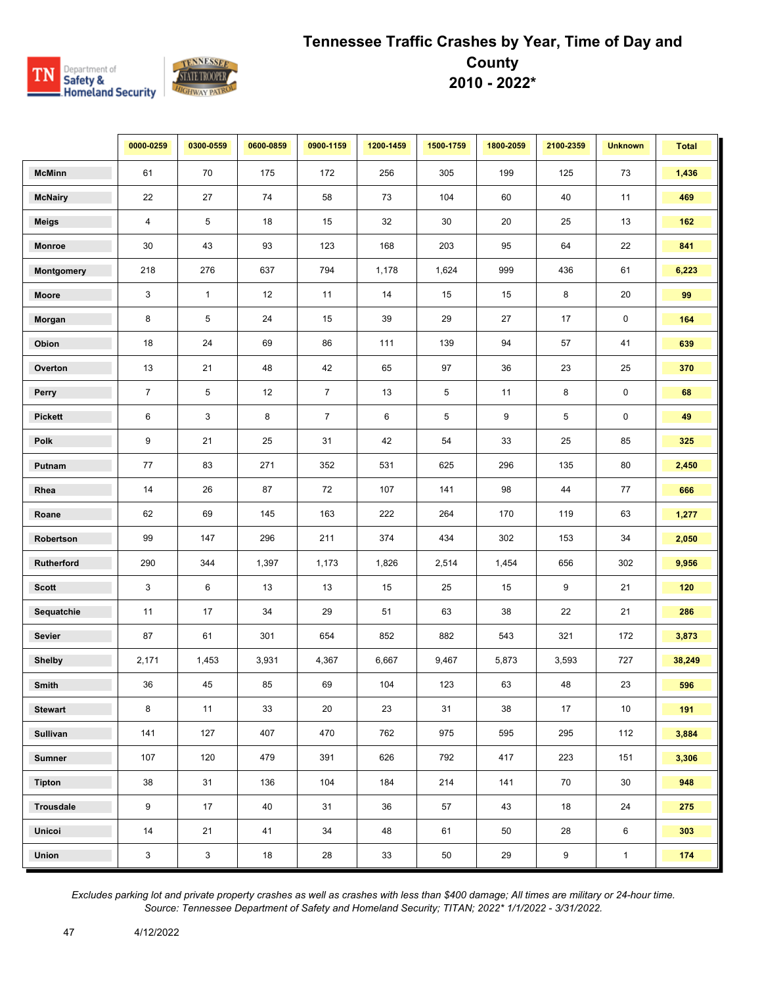

|                | 0000-0259      | 0300-0559    | 0600-0859 | 0900-1159      | 1200-1459 | 1500-1759  | 1800-2059 | 2100-2359   | <b>Unknown</b>      | <b>Total</b> |
|----------------|----------------|--------------|-----------|----------------|-----------|------------|-----------|-------------|---------------------|--------------|
| <b>McMinn</b>  | 61             | 70           | 175       | 172            | 256       | 305        | 199       | 125         | 73                  | 1,436        |
| <b>McNairy</b> | 22             | 27           | 74        | 58             | 73        | 104        | 60        | 40          | 11                  | 469          |
| <b>Meigs</b>   | $\overline{4}$ | 5            | 18        | 15             | 32        | 30         | 20        | 25          | 13                  | 162          |
| Monroe         | 30             | 43           | 93        | 123            | 168       | 203        | 95        | 64          | 22                  | 841          |
| Montgomery     | 218            | 276          | 637       | 794            | 1,178     | 1,624      | 999       | 436         | 61                  | 6,223        |
| Moore          | 3              | $\mathbf{1}$ | 12        | 11             | 14        | 15         | 15        | 8           | 20                  | 99           |
| Morgan         | 8              | 5            | 24        | 15             | 39        | 29         | 27        | 17          | $\mathsf 0$         | 164          |
| Obion          | 18             | 24           | 69        | 86             | 111       | 139        | 94        | 57          | 41                  | 639          |
| Overton        | 13             | 21           | 48        | 42             | 65        | 97         | 36        | 23          | 25                  | 370          |
| Perry          | $\overline{7}$ | 5            | 12        | $\overline{7}$ | 13        | $\sqrt{5}$ | 11        | 8           | $\mathsf{O}\xspace$ | 68           |
| <b>Pickett</b> | $\,6\,$        | 3            | 8         | $\overline{7}$ | 6         | 5          | 9         | $\,$ 5 $\,$ | $\pmb{0}$           | 49           |
| Polk           | 9              | 21           | 25        | 31             | 42        | 54         | 33        | 25          | 85                  | 325          |
| Putnam         | 77             | 83           | 271       | 352            | 531       | 625        | 296       | 135         | 80                  | 2,450        |
| Rhea           | 14             | 26           | 87        | 72             | 107       | 141        | 98        | 44          | 77                  | 666          |
| Roane          | 62             | 69           | 145       | 163            | 222       | 264        | 170       | 119         | 63                  | 1,277        |
| Robertson      | 99             | 147          | 296       | 211            | 374       | 434        | 302       | 153         | 34                  | 2,050        |
| Rutherford     | 290            | 344          | 1,397     | 1,173          | 1,826     | 2,514      | 1,454     | 656         | 302                 | 9,956        |
| <b>Scott</b>   | 3              | 6            | 13        | 13             | 15        | 25         | 15        | 9           | 21                  | 120          |
| Sequatchie     | 11             | 17           | 34        | 29             | 51        | 63         | 38        | 22          | 21                  | 286          |
| Sevier         | 87             | 61           | 301       | 654            | 852       | 882        | 543       | 321         | 172                 | 3,873        |
| <b>Shelby</b>  | 2,171          | 1,453        | 3,931     | 4,367          | 6,667     | 9,467      | 5,873     | 3,593       | 727                 | 38,249       |
| Smith          | 36             | 45           | 85        | 69             | 104       | 123        | 63        | 48          | 23                  | 596          |
| <b>Stewart</b> | 8              | 11           | 33        | 20             | 23        | 31         | 38        | 17          | 10                  | 191          |
| Sullivan       | 141            | 127          | 407       | 470            | 762       | 975        | 595       | 295         | 112                 | 3,884        |
| <b>Sumner</b>  | 107            | 120          | 479       | 391            | 626       | 792        | 417       | 223         | 151                 | 3,306        |
| <b>Tipton</b>  | 38             | 31           | 136       | 104            | 184       | 214        | 141       | 70          | 30                  | 948          |
| Trousdale      | 9              | 17           | 40        | 31             | 36        | 57         | 43        | 18          | 24                  | 275          |
| Unicoi         | 14             | 21           | 41        | 34             | 48        | 61         | 50        | 28          | 6                   | 303          |
| <b>Union</b>   | $\mathbf{3}$   | $\mathbf{3}$ | 18        | 28             | 33        | 50         | 29        | 9           | $\mathbf{1}$        | 174          |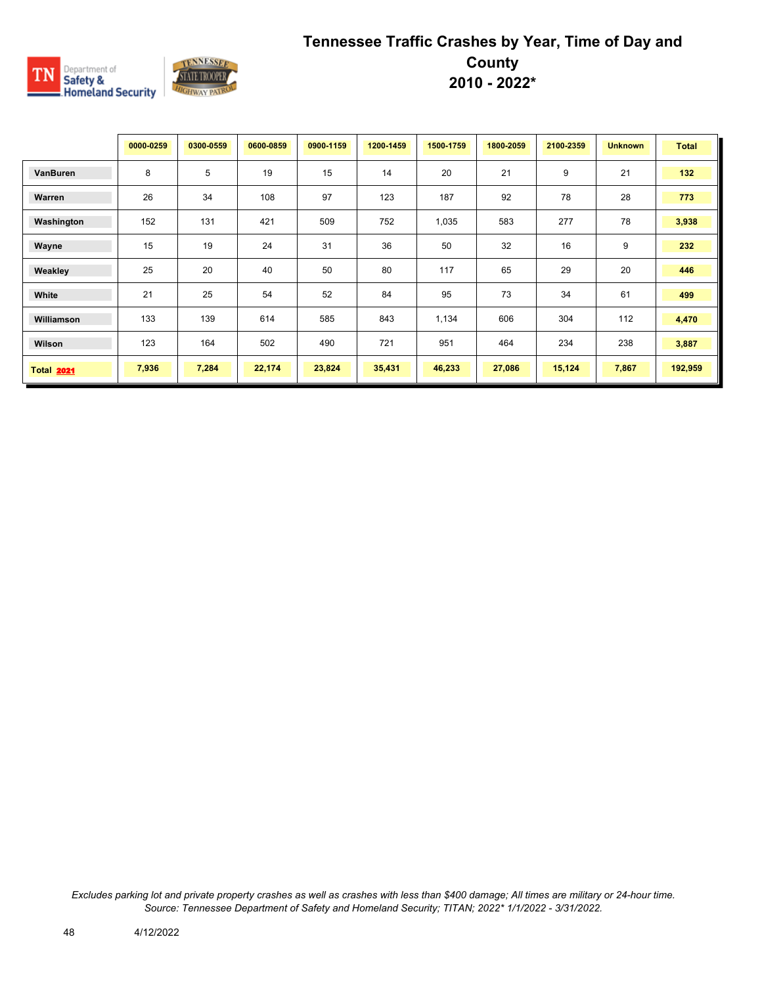

|                   | 0000-0259 | 0300-0559 | 0600-0859 | 0900-1159 | 1200-1459 | 1500-1759 | 1800-2059 | 2100-2359 | <b>Unknown</b> | <b>Total</b> |
|-------------------|-----------|-----------|-----------|-----------|-----------|-----------|-----------|-----------|----------------|--------------|
| VanBuren          | 8         | 5         | 19        | 15        | 14        | 20        | 21        | 9         | 21             | 132          |
| Warren            | 26        | 34        | 108       | 97        | 123       | 187       | 92        | 78        | 28             | 773          |
| Washington        | 152       | 131       | 421       | 509       | 752       | 1,035     | 583       | 277       | 78             | 3,938        |
| Wayne             | 15        | 19        | 24        | 31        | 36        | 50        | 32        | 16        | 9              | 232          |
| Weakley           | 25        | 20        | 40        | 50        | 80        | 117       | 65        | 29        | 20             | 446          |
| White             | 21        | 25        | 54        | 52        | 84        | 95        | 73        | 34        | 61             | 499          |
| Williamson        | 133       | 139       | 614       | 585       | 843       | 1,134     | 606       | 304       | 112            | 4,470        |
| Wilson            | 123       | 164       | 502       | 490       | 721       | 951       | 464       | 234       | 238            | 3,887        |
| <b>Total 2021</b> | 7,936     | 7,284     | 22,174    | 23,824    | 35,431    | 46,233    | 27,086    | 15,124    | 7,867          | 192,959      |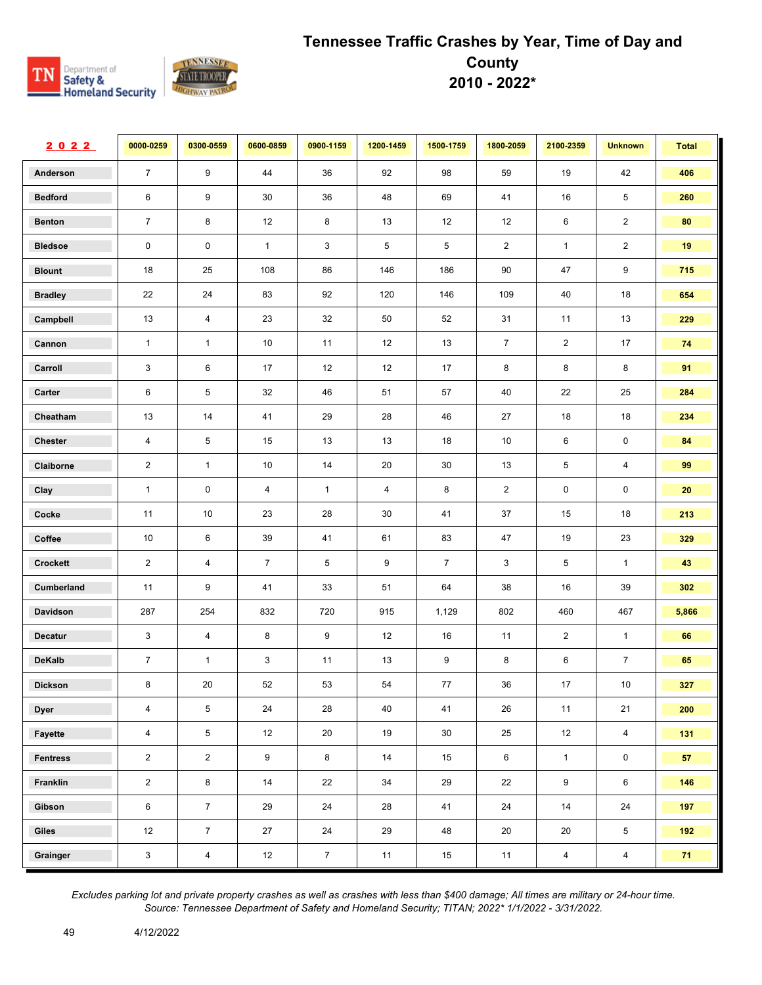

| 2022            | 0000-0259      | 0300-0559               | 0600-0859      | 0900-1159      | 1200-1459      | 1500-1759      | 1800-2059      | 2100-2359        | <b>Unknown</b>  | <b>Total</b> |
|-----------------|----------------|-------------------------|----------------|----------------|----------------|----------------|----------------|------------------|-----------------|--------------|
| Anderson        | $\overline{7}$ | 9                       | 44             | 36             | 92             | 98             | 59             | 19               | 42              | 406          |
| <b>Bedford</b>  | 6              | 9                       | 30             | 36             | 48             | 69             | 41             | 16               | 5               | 260          |
| <b>Benton</b>   | $\overline{7}$ | 8                       | 12             | 8              | 13             | 12             | 12             | 6                | $\overline{2}$  | 80           |
| <b>Bledsoe</b>  | $\mathbf 0$    | 0                       | $\mathbf{1}$   | 3              | 5              | 5              | $\overline{a}$ | $\mathbf{1}$     | $\overline{c}$  | 19           |
| <b>Blount</b>   | 18             | 25                      | 108            | 86             | 146            | 186            | 90             | 47               | 9               | 715          |
| <b>Bradley</b>  | 22             | 24                      | 83             | 92             | 120            | 146            | 109            | 40               | 18              | 654          |
| Campbell        | 13             | 4                       | 23             | 32             | 50             | 52             | 31             | 11               | 13              | 229          |
| Cannon          | $\mathbf{1}$   | $\mathbf{1}$            | 10             | 11             | 12             | 13             | $\overline{7}$ | $\overline{2}$   | 17              | 74           |
| Carroll         | 3              | 6                       | 17             | 12             | 12             | 17             | 8              | 8                | 8               | 91           |
| Carter          | 6              | 5                       | 32             | 46             | 51             | 57             | 40             | 22               | 25              | 284          |
| Cheatham        | 13             | 14                      | 41             | 29             | 28             | 46             | 27             | 18               | 18              | 234          |
| <b>Chester</b>  | $\overline{4}$ | 5                       | 15             | 13             | 13             | 18             | $10$           | 6                | $\pmb{0}$       | 84           |
| Claiborne       | $\overline{2}$ | $\mathbf{1}$            | 10             | 14             | 20             | 30             | 13             | $\overline{5}$   | 4               | 99           |
| Clay            | $\mathbf{1}$   | 0                       | 4              | $\mathbf{1}$   | $\overline{4}$ | 8              | $\overline{2}$ | 0                | 0               | 20           |
| Cocke           | 11             | 10                      | 23             | 28             | 30             | 41             | 37             | 15               | 18              | 213          |
| Coffee          | 10             | 6                       | 39             | 41             | 61             | 83             | 47             | 19               | 23              | 329          |
| Crockett        | $\overline{2}$ | $\overline{\mathbf{4}}$ | $\overline{7}$ | 5              | 9              | $\overline{7}$ | 3              | $\overline{5}$   | $\mathbf{1}$    | 43           |
| Cumberland      | 11             | 9                       | 41             | 33             | 51             | 64             | 38             | 16               | 39              | 302          |
| Davidson        | 287            | 254                     | 832            | 720            | 915            | 1,129          | 802            | 460              | 467             | 5,866        |
| <b>Decatur</b>  | 3              | $\overline{4}$          | 8              | 9              | 12             | 16             | 11             | $\overline{2}$   | $\mathbf{1}$    | 66           |
| <b>DeKalb</b>   | $\overline{7}$ | $\mathbf{1}$            | $\mathbf{3}$   | 11             | 13             | 9              | 8              | 6                | $\overline{7}$  | 65           |
| <b>Dickson</b>  | 8              | 20                      | 52             | 53             | 54             | 77             | 36             | $17$             | $10$            | 327          |
| <b>Dyer</b>     | $\overline{4}$ | $\sqrt{5}$              | 24             | 28             | 40             | 41             | 26             | 11               | 21              | 200          |
| Fayette         | $\overline{4}$ | $\overline{5}$          | 12             | 20             | 19             | $30\,$         | 25             | 12               | $\overline{4}$  | 131          |
| <b>Fentress</b> | $\overline{2}$ | $\overline{2}$          | 9              | 8              | 14             | 15             | 6              | $\mathbf{1}$     | $\mathbf 0$     | 57           |
| Franklin        | $\overline{2}$ | $\bf 8$                 | 14             | 22             | 34             | 29             | 22             | $\boldsymbol{9}$ | 6               | 146          |
| Gibson          | $\,6\,$        | $\overline{7}$          | 29             | 24             | 28             | 41             | 24             | 14               | 24              | 197          |
| Giles           | 12             | $\overline{7}$          | 27             | 24             | 29             | 48             | 20             | 20               | $5\phantom{.0}$ | 192          |
| Grainger        | $\mathbf{3}$   | $\overline{4}$          | 12             | $\overline{7}$ | 11             | 15             | 11             | $\overline{4}$   | $\overline{4}$  | 71           |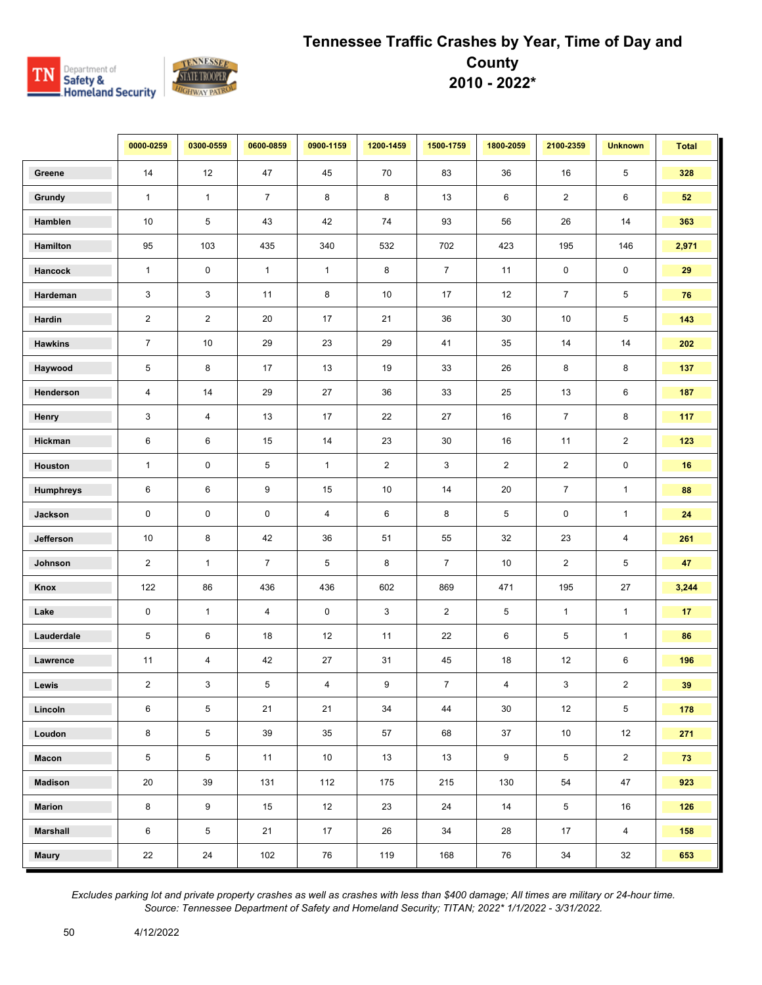

|                 | 0000-0259               | 0300-0559        | 0600-0859        | 0900-1159      | 1200-1459      | 1500-1759      | 1800-2059      | 2100-2359      | <b>Unknown</b> | <b>Total</b> |
|-----------------|-------------------------|------------------|------------------|----------------|----------------|----------------|----------------|----------------|----------------|--------------|
| Greene          | 14                      | 12               | 47               | 45             | 70             | 83             | 36             | 16             | 5              | 328          |
| Grundy          | $\mathbf{1}$            | $\mathbf{1}$     | $\overline{7}$   | 8              | 8              | 13             | 6              | $\overline{2}$ | 6              | 52           |
| Hamblen         | 10                      | 5                | 43               | 42             | 74             | 93             | 56             | 26             | 14             | 363          |
| Hamilton        | 95                      | 103              | 435              | 340            | 532            | 702            | 423            | 195            | 146            | 2,971        |
| Hancock         | $\mathbf{1}$            | 0                | $\mathbf{1}$     | $\mathbf{1}$   | 8              | $\overline{7}$ | 11             | $\mathbf 0$    | $\mathbf 0$    | 29           |
| Hardeman        | 3                       | 3                | 11               | 8              | 10             | 17             | 12             | $\overline{7}$ | 5              | 76           |
| Hardin          | $\overline{2}$          | $\overline{2}$   | 20               | 17             | 21             | 36             | $30\,$         | 10             | 5              | 143          |
| <b>Hawkins</b>  | $\overline{7}$          | 10               | 29               | 23             | 29             | 41             | 35             | 14             | 14             | 202          |
| Haywood         | 5                       | 8                | 17               | 13             | 19             | 33             | 26             | 8              | 8              | 137          |
| Henderson       | $\overline{\mathbf{4}}$ | 14               | 29               | 27             | 36             | 33             | 25             | 13             | 6              | 187          |
| Henry           | 3                       | 4                | 13               | 17             | 22             | 27             | 16             | $\overline{7}$ | 8              | 117          |
| Hickman         | 6                       | 6                | 15               | 14             | 23             | $30\,$         | 16             | 11             | $\overline{2}$ | 123          |
| Houston         | $\mathbf{1}$            | 0                | 5                | $\mathbf{1}$   | $\overline{2}$ | 3              | $\overline{2}$ | $\overline{c}$ | $\pmb{0}$      | 16           |
| Humphreys       | $\,6\,$                 | 6                | $\boldsymbol{9}$ | 15             | 10             | 14             | 20             | $\overline{7}$ | $\mathbf{1}$   | 88           |
| Jackson         | $\mathbf 0$             | 0                | $\mathbf 0$      | $\overline{4}$ | 6              | 8              | 5              | 0              | $\mathbf{1}$   | 24           |
| Jefferson       | 10                      | 8                | 42               | 36             | 51             | 55             | 32             | 23             | 4              | 261          |
| Johnson         | $\overline{2}$          | $\mathbf{1}$     | $\overline{7}$   | 5              | 8              | $\overline{7}$ | 10             | $\overline{2}$ | 5              | 47           |
| Knox            | 122                     | 86               | 436              | 436            | 602            | 869            | 471            | 195            | 27             | 3,244        |
| Lake            | $\mathbf 0$             | $\mathbf{1}$     | $\overline{4}$   | 0              | 3              | $\overline{2}$ | 5              | $\mathbf{1}$   | $\mathbf{1}$   | 17           |
| Lauderdale      | 5                       | 6                | 18               | 12             | 11             | 22             | 6              | 5              | $\mathbf{1}$   | 86           |
| Lawrence        | 11                      | 4                | 42               | 27             | 31             | 45             | 18             | 12             | 6              | 196          |
| Lewis           | $\overline{2}$          | 3                | 5                | 4              | 9              | $\overline{7}$ | $\overline{4}$ | 3              | $\overline{c}$ | 39           |
| Lincoln         | 6                       | 5                | 21               | 21             | 34             | 44             | 30             | 12             | 5              | 178          |
| Loudon          | 8                       | 5                | 39               | 35             | 57             | 68             | 37             | $10$           | 12             | 271          |
| Macon           | $\overline{5}$          | $5\phantom{.0}$  | 11               | 10             | 13             | 13             | $9\,$          | $\,$ 5 $\,$    | $\overline{2}$ | 73           |
| <b>Madison</b>  | 20                      | 39               | 131              | 112            | 175            | 215            | 130            | 54             | 47             | 923          |
| <b>Marion</b>   | 8                       | $\boldsymbol{9}$ | 15               | 12             | 23             | 24             | 14             | 5              | 16             | 126          |
| <b>Marshall</b> | 6                       | 5                | 21               | 17             | 26             | 34             | 28             | 17             | $\overline{4}$ | 158          |
| <b>Maury</b>    | 22                      | 24               | 102              | 76             | 119            | 168            | 76             | 34             | 32             | 653          |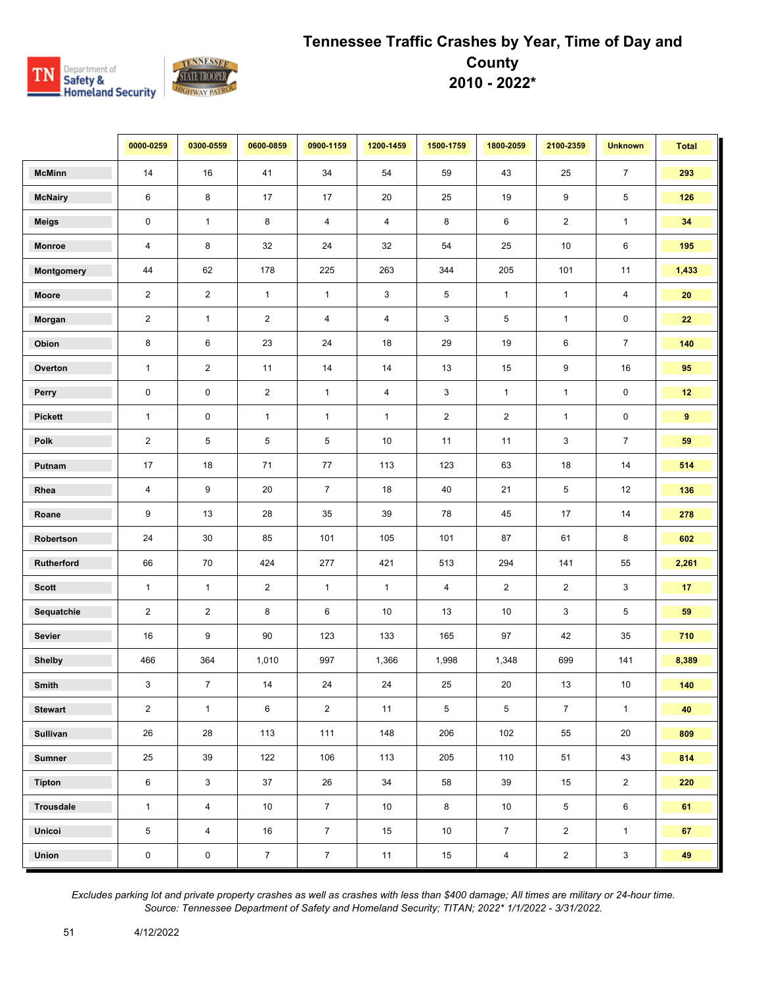

|                  | 0000-0259      | 0300-0559               | 0600-0859      | 0900-1159               | 1200-1459               | 1500-1759      | 1800-2059      | 2100-2359      | <b>Unknown</b>          | <b>Total</b>    |
|------------------|----------------|-------------------------|----------------|-------------------------|-------------------------|----------------|----------------|----------------|-------------------------|-----------------|
| <b>McMinn</b>    | 14             | 16                      | 41             | 34                      | 54                      | 59             | 43             | 25             | $\overline{7}$          | 293             |
| <b>McNairy</b>   | $\,6\,$        | 8                       | 17             | 17                      | 20                      | 25             | 19             | 9              | 5                       | 126             |
| <b>Meigs</b>     | $\pmb{0}$      | $\mathbf{1}$            | 8              | $\overline{\mathbf{4}}$ | $\overline{\mathbf{4}}$ | 8              | 6              | $\sqrt{2}$     | $\mathbf{1}$            | 34              |
| Monroe           | $\overline{4}$ | 8                       | 32             | 24                      | 32                      | 54             | 25             | 10             | $\,6$                   | 195             |
| Montgomery       | 44             | 62                      | 178            | 225                     | 263                     | 344            | 205            | 101            | 11                      | 1,433           |
| Moore            | $\overline{2}$ | $\overline{2}$          | $\mathbf{1}$   | $\mathbf{1}$            | $\mathbf{3}$            | 5              | $\mathbf{1}$   | $\mathbf{1}$   | $\overline{\mathbf{4}}$ | 20              |
| Morgan           | $\overline{2}$ | $\mathbf{1}$            | $\overline{2}$ | $\overline{4}$          | 4                       | 3              | 5              | $\mathbf{1}$   | $\pmb{0}$               | 22              |
| Obion            | 8              | 6                       | 23             | 24                      | 18                      | 29             | 19             | 6              | $\overline{7}$          | 140             |
| Overton          | $\mathbf{1}$   | $\overline{c}$          | 11             | 14                      | 14                      | 13             | 15             | 9              | 16                      | 95              |
| Perry            | $\pmb{0}$      | 0                       | $\overline{2}$ | $\mathbf{1}$            | $\overline{\mathbf{4}}$ | 3              | $\mathbf{1}$   | $\mathbf{1}$   | $\mathbf 0$             | 12 <sub>2</sub> |
| <b>Pickett</b>   | $\mathbf{1}$   | 0                       | $\mathbf{1}$   | $\mathbf{1}$            | $\mathbf{1}$            | $\overline{2}$ | $\overline{2}$ | $\mathbf{1}$   | $\mathbf 0$             | 9               |
| Polk             | $\overline{2}$ | 5                       | 5              | 5                       | 10                      | 11             | 11             | 3              | $\overline{7}$          | 59              |
| Putnam           | 17             | 18                      | 71             | 77                      | 113                     | 123            | 63             | 18             | 14                      | 514             |
| Rhea             | $\overline{4}$ | 9                       | $20\,$         | $\overline{7}$          | 18                      | 40             | 21             | 5              | 12                      | 136             |
| Roane            | 9              | 13                      | 28             | 35                      | 39                      | 78             | 45             | 17             | 14                      | 278             |
| Robertson        | 24             | 30                      | 85             | 101                     | 105                     | 101            | 87             | 61             | 8                       | 602             |
| Rutherford       | 66             | 70                      | 424            | 277                     | 421                     | 513            | 294            | 141            | 55                      | 2,261           |
| <b>Scott</b>     | $\mathbf{1}$   | $\mathbf{1}$            | $\overline{2}$ | $\mathbf{1}$            | $\mathbf{1}$            | $\overline{4}$ | $\overline{2}$ | $\sqrt{2}$     | $\mathbf{3}$            | 17              |
| Sequatchie       | $\sqrt{2}$     | $\overline{\mathbf{c}}$ | 8              | $\,6\,$                 | $10\,$                  | 13             | 10             | 3              | 5                       | 59              |
| <b>Sevier</b>    | 16             | 9                       | 90             | 123                     | 133                     | 165            | 97             | 42             | 35                      | 710             |
| <b>Shelby</b>    | 466            | 364                     | 1,010          | 997                     | 1,366                   | 1,998          | 1,348          | 699            | 141                     | 8,389           |
| Smith            | 3              | $\overline{7}$          | 14             | 24                      | 24                      | 25             | 20             | 13             | 10                      | 140             |
| <b>Stewart</b>   | $\overline{2}$ | $\mathbf{1}$            | 6              | $\overline{2}$          | 11                      | 5              | 5              | $\overline{7}$ | $\mathbf{1}$            | 40              |
| Sullivan         | 26             | 28                      | 113            | 111                     | 148                     | 206            | 102            | 55             | 20                      | 809             |
| <b>Sumner</b>    | 25             | 39                      | 122            | 106                     | 113                     | 205            | 110            | 51             | 43                      | 814             |
| <b>Tipton</b>    | $\,6\,$        | 3                       | 37             | 26                      | 34                      | 58             | 39             | 15             | $\overline{2}$          | 220             |
| <b>Trousdale</b> | $\mathbf{1}$   | $\overline{4}$          | 10             | $\overline{7}$          | 10                      | 8              | 10             | $\sqrt{5}$     | 6                       | 61              |
| <b>Unicoi</b>    | 5              | 4                       | 16             | $\overline{7}$          | 15                      | 10             | $\overline{7}$ | $\overline{2}$ | $\mathbf{1}$            | 67              |
| Union            | $\pmb{0}$      | 0                       | $\overline{7}$ | $\overline{7}$          | 11                      | 15             | $\overline{4}$ | $\overline{2}$ | $\mathbf{3}$            | 49              |